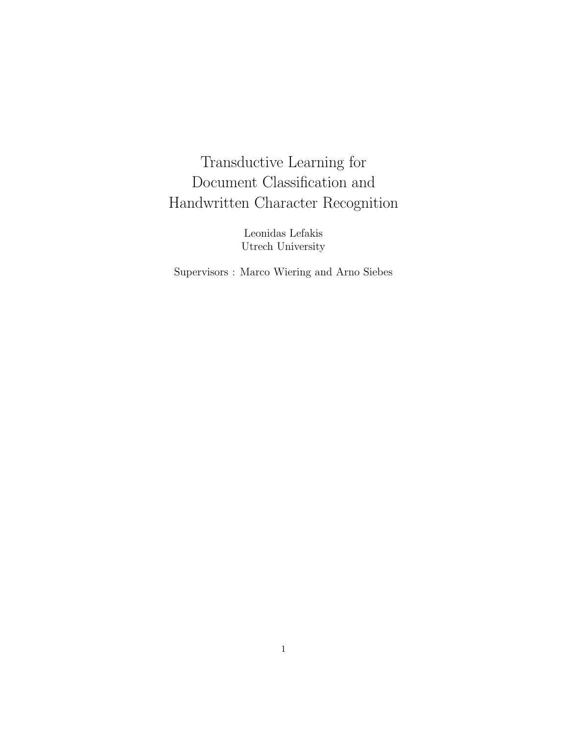# Transductive Learning for Document Classification and Handwritten Character Recognition

Leonidas Lefakis Utrech University

Supervisors : Marco Wiering and Arno Siebes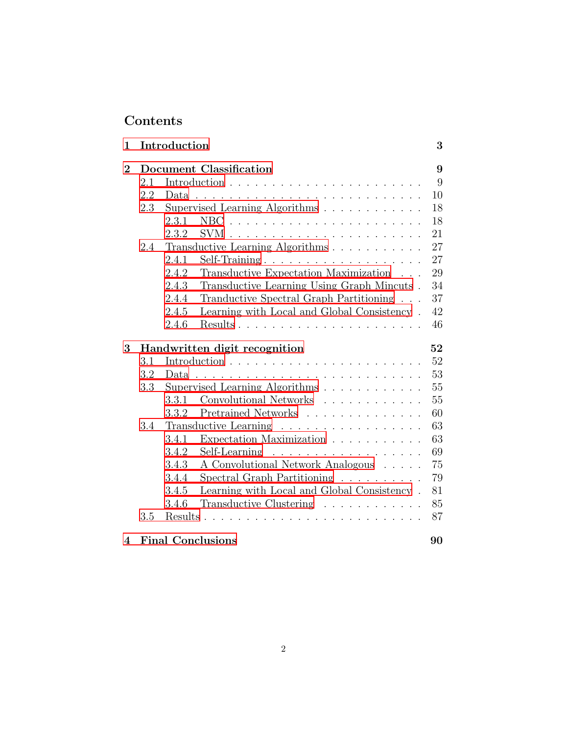# Contents

| $\mathbf{1}$   |                         | Introduction                                                                                       | 3  |
|----------------|-------------------------|----------------------------------------------------------------------------------------------------|----|
| $\overline{2}$ | Document Classification |                                                                                                    | 9  |
|                | 2.1                     |                                                                                                    | 9  |
|                | 2.2                     | Data.                                                                                              | 10 |
|                | 2.3                     | Supervised Learning Algorithms                                                                     | 18 |
|                |                         | 2.3.1                                                                                              | 18 |
|                |                         | 2.3.2                                                                                              | 21 |
|                | 2.4                     | Transductive Learning Algorithms                                                                   | 27 |
|                |                         | 2.4.1<br>Self-Training                                                                             | 27 |
|                |                         | Transductive Expectation Maximization<br>2.4.2                                                     | 29 |
|                |                         | Transductive Learning Using Graph Mincuts.<br>2.4.3                                                | 34 |
|                |                         | Tranductive Spectral Graph Partitioning<br>2.4.4                                                   | 37 |
|                |                         | 2.4.5<br>Learning with Local and Global Consistency.                                               | 42 |
|                |                         | 2.4.6                                                                                              | 46 |
| 3              |                         | Handwritten digit recognition                                                                      | 52 |
|                | 3.1                     |                                                                                                    | 52 |
|                | 3.2                     | Data                                                                                               | 53 |
|                | 3.3                     | Supervised Learning Algorithms                                                                     | 55 |
|                |                         | Convolutional Networks<br>3.3.1                                                                    | 55 |
|                |                         | Pretrained Networks<br>3.3.2                                                                       | 60 |
|                | 3.4                     | Transductive Learning                                                                              | 63 |
|                |                         | 3.4.1<br>Expectation Maximization $\ldots \ldots \ldots \ldots$                                    | 63 |
|                |                         | 3.4.2<br>Self-Learning                                                                             | 69 |
|                |                         | 3.4.3                                                                                              | 75 |
|                |                         | A Convolutional Network Analogous                                                                  |    |
|                |                         | Spectral Graph Partitioning<br>3.4.4                                                               | 79 |
|                |                         | Learning with Local and Global Consistency.<br>3.4.5                                               | 81 |
|                |                         | Transductive Clustering<br>3.4.6                                                                   | 85 |
|                | 3.5                     | Results<br>$\mathbf{r}$ , $\mathbf{r}$ , $\mathbf{r}$ , $\mathbf{r}$ , $\mathbf{r}$ , $\mathbf{r}$ | 87 |
|                |                         |                                                                                                    |    |

# [4 Final Conclusions](#page-89-0) 90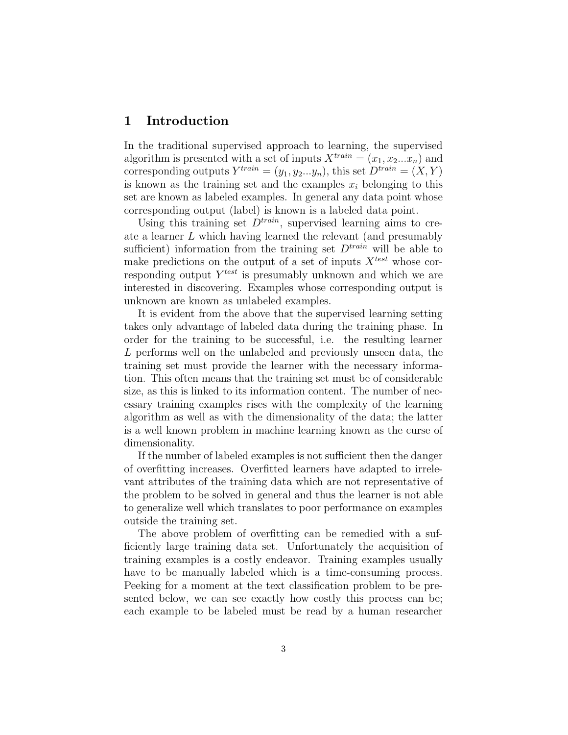## <span id="page-2-0"></span>1 Introduction

In the traditional supervised approach to learning, the supervised algorithm is presented with a set of inputs  $X^{train} = (x_1, x_2...x_n)$  and corresponding outputs  $Y^{train} = (y_1, y_2...y_n)$ , this set  $D^{train} = (X, Y)$ is known as the training set and the examples  $x_i$  belonging to this set are known as labeled examples. In general any data point whose corresponding output (label) is known is a labeled data point.

Using this training set  $D^{train}$ , supervised learning aims to create a learner L which having learned the relevant (and presumably sufficient) information from the training set  $D^{train}$  will be able to make predictions on the output of a set of inputs  $X<sup>test</sup>$  whose corresponding output  $Y<sup>test</sup>$  is presumably unknown and which we are interested in discovering. Examples whose corresponding output is unknown are known as unlabeled examples.

It is evident from the above that the supervised learning setting takes only advantage of labeled data during the training phase. In order for the training to be successful, i.e. the resulting learner L performs well on the unlabeled and previously unseen data, the training set must provide the learner with the necessary information. This often means that the training set must be of considerable size, as this is linked to its information content. The number of necessary training examples rises with the complexity of the learning algorithm as well as with the dimensionality of the data; the latter is a well known problem in machine learning known as the curse of dimensionality.

If the number of labeled examples is not sufficient then the danger of overfitting increases. Overfitted learners have adapted to irrelevant attributes of the training data which are not representative of the problem to be solved in general and thus the learner is not able to generalize well which translates to poor performance on examples outside the training set.

The above problem of overfitting can be remedied with a sufficiently large training data set. Unfortunately the acquisition of training examples is a costly endeavor. Training examples usually have to be manually labeled which is a time-consuming process. Peeking for a moment at the text classification problem to be presented below, we can see exactly how costly this process can be; each example to be labeled must be read by a human researcher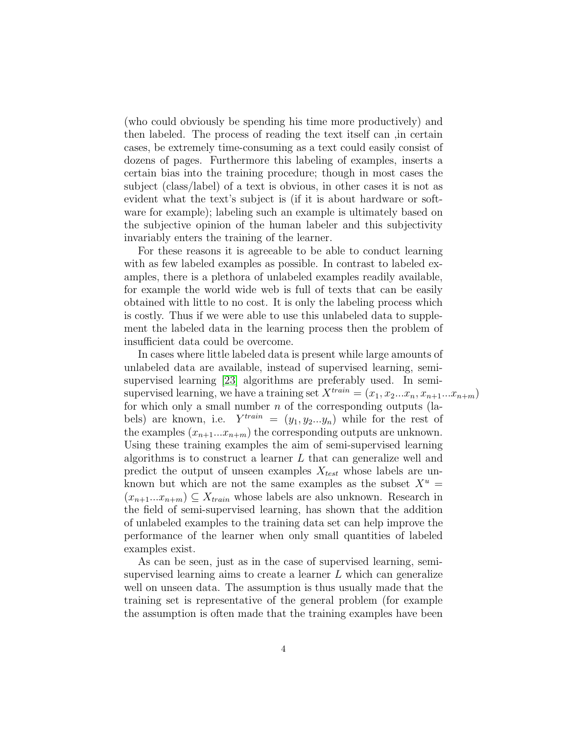(who could obviously be spending his time more productively) and then labeled. The process of reading the text itself can ,in certain cases, be extremely time-consuming as a text could easily consist of dozens of pages. Furthermore this labeling of examples, inserts a certain bias into the training procedure; though in most cases the subject (class/label) of a text is obvious, in other cases it is not as evident what the text's subject is (if it is about hardware or software for example); labeling such an example is ultimately based on the subjective opinion of the human labeler and this subjectivity invariably enters the training of the learner.

For these reasons it is agreeable to be able to conduct learning with as few labeled examples as possible. In contrast to labeled examples, there is a plethora of unlabeled examples readily available, for example the world wide web is full of texts that can be easily obtained with little to no cost. It is only the labeling process which is costly. Thus if we were able to use this unlabeled data to supplement the labeled data in the learning process then the problem of insufficient data could be overcome.

In cases where little labeled data is present while large amounts of unlabeled data are available, instead of supervised learning, semisupervised learning [\[23\]](#page-93-0) algorithms are preferably used. In semisupervised learning, we have a training set  $X^{train} = (x_1, x_2...x_n, x_{n+1}...x_{n+m})$ for which only a small number  $n$  of the corresponding outputs (labels) are known, i.e.  $Y^{train} = (y_1, y_2...y_n)$  while for the rest of the examples  $(x_{n+1}...x_{n+m})$  the corresponding outputs are unknown. Using these training examples the aim of semi-supervised learning algorithms is to construct a learner  $L$  that can generalize well and predict the output of unseen examples  $X_{test}$  whose labels are unknown but which are not the same examples as the subset  $X^u$  =  $(x_{n+1}...x_{n+m}) \subseteq X_{train}$  whose labels are also unknown. Research in the field of semi-supervised learning, has shown that the addition of unlabeled examples to the training data set can help improve the performance of the learner when only small quantities of labeled examples exist.

As can be seen, just as in the case of supervised learning, semisupervised learning aims to create a learner L which can generalize well on unseen data. The assumption is thus usually made that the training set is representative of the general problem (for example the assumption is often made that the training examples have been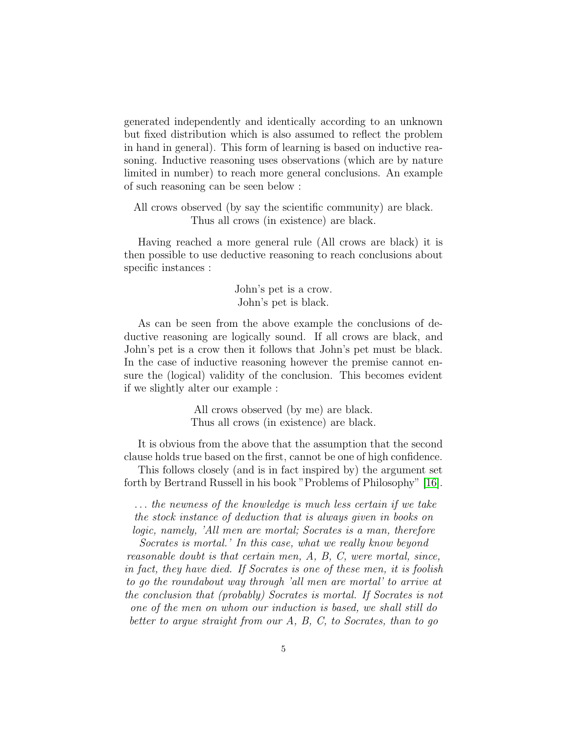generated independently and identically according to an unknown but fixed distribution which is also assumed to reflect the problem in hand in general). This form of learning is based on inductive reasoning. Inductive reasoning uses observations (which are by nature limited in number) to reach more general conclusions. An example of such reasoning can be seen below :

All crows observed (by say the scientific community) are black. Thus all crows (in existence) are black.

Having reached a more general rule (All crows are black) it is then possible to use deductive reasoning to reach conclusions about specific instances :

> John's pet is a crow. John's pet is black.

As can be seen from the above example the conclusions of deductive reasoning are logically sound. If all crows are black, and John's pet is a crow then it follows that John's pet must be black. In the case of inductive reasoning however the premise cannot ensure the (logical) validity of the conclusion. This becomes evident if we slightly alter our example :

> All crows observed (by me) are black. Thus all crows (in existence) are black.

It is obvious from the above that the assumption that the second clause holds true based on the first, cannot be one of high confidence.

This follows closely (and is in fact inspired by) the argument set forth by Bertrand Russell in his book "Problems of Philosophy" [\[16\]](#page-92-0).

. . . the newness of the knowledge is much less certain if we take the stock instance of deduction that is always given in books on logic, namely, 'All men are mortal; Socrates is a man, therefore

Socrates is mortal.' In this case, what we really know beyond reasonable doubt is that certain men, A, B, C, were mortal, since, in fact, they have died. If Socrates is one of these men, it is foolish to go the roundabout way through 'all men are mortal' to arrive at the conclusion that (probably) Socrates is mortal. If Socrates is not one of the men on whom our induction is based, we shall still do better to argue straight from our A, B, C, to Socrates, than to go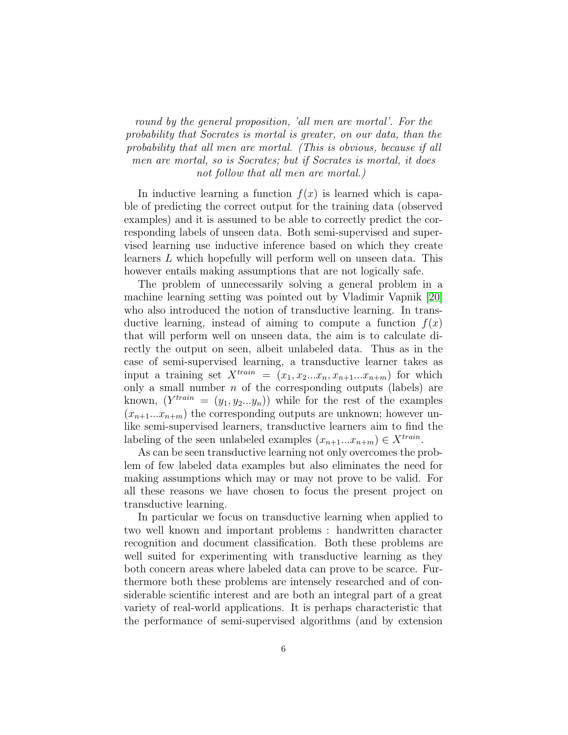round by the general proposition, 'all men are mortal'. For the probability that Socrates is mortal is greater, on our data, than the probability that all men are mortal. (This is obvious, because if all men are mortal, so is Socrates; but if Socrates is mortal, it does not follow that all men are mortal.)

In inductive learning a function  $f(x)$  is learned which is capable of predicting the correct output for the training data (observed examples) and it is assumed to be able to correctly predict the corresponding labels of unseen data. Both semi-supervised and supervised learning use inductive inference based on which they create learners L which hopefully will perform well on unseen data. This however entails making assumptions that are not logically safe.

The problem of unnecessarily solving a general problem in a machine learning setting was pointed out by Vladimir Vapnik [\[20\]](#page-92-1) who also introduced the notion of transductive learning. In transductive learning, instead of aiming to compute a function  $f(x)$ that will perform well on unseen data, the aim is to calculate directly the output on seen, albeit unlabeled data. Thus as in the case of semi-supervised learning, a transductive learner takes as input a training set  $X^{train} = (x_1, x_2...x_n, x_{n+1}...x_{n+m})$  for which only a small number  $n$  of the corresponding outputs (labels) are known,  $(Y^{train} = (y_1, y_2...y_n))$  while for the rest of the examples  $(x_{n+1}...x_{n+m})$  the corresponding outputs are unknown; however unlike semi-supervised learners, transductive learners aim to find the labeling of the seen unlabeled examples  $(x_{n+1}...x_{n+m}) \in X^{train}$ .

As can be seen transductive learning not only overcomes the problem of few labeled data examples but also eliminates the need for making assumptions which may or may not prove to be valid. For all these reasons we have chosen to focus the present project on transductive learning.

In particular we focus on transductive learning when applied to two well known and important problems : handwritten character recognition and document classification. Both these problems are well suited for experimenting with transductive learning as they both concern areas where labeled data can prove to be scarce. Furthermore both these problems are intensely researched and of considerable scientific interest and are both an integral part of a great variety of real-world applications. It is perhaps characteristic that the performance of semi-supervised algorithms (and by extension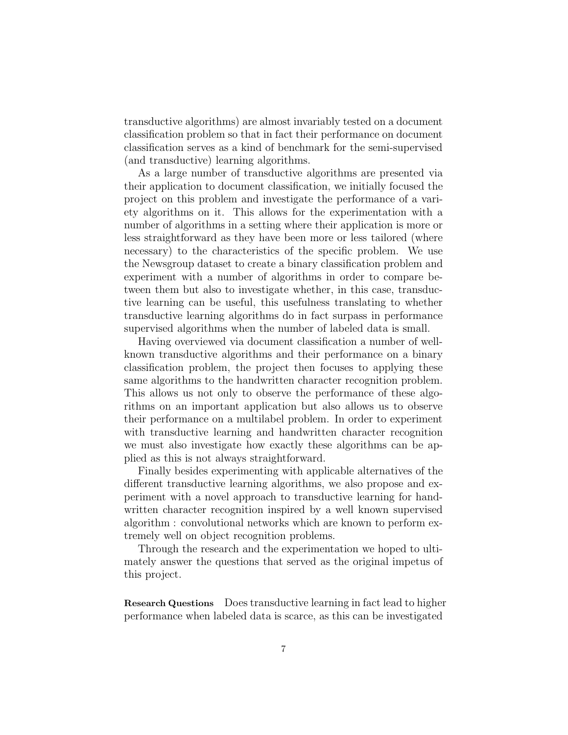transductive algorithms) are almost invariably tested on a document classification problem so that in fact their performance on document classification serves as a kind of benchmark for the semi-supervised (and transductive) learning algorithms.

As a large number of transductive algorithms are presented via their application to document classification, we initially focused the project on this problem and investigate the performance of a variety algorithms on it. This allows for the experimentation with a number of algorithms in a setting where their application is more or less straightforward as they have been more or less tailored (where necessary) to the characteristics of the specific problem. We use the Newsgroup dataset to create a binary classification problem and experiment with a number of algorithms in order to compare between them but also to investigate whether, in this case, transductive learning can be useful, this usefulness translating to whether transductive learning algorithms do in fact surpass in performance supervised algorithms when the number of labeled data is small.

Having overviewed via document classification a number of wellknown transductive algorithms and their performance on a binary classification problem, the project then focuses to applying these same algorithms to the handwritten character recognition problem. This allows us not only to observe the performance of these algorithms on an important application but also allows us to observe their performance on a multilabel problem. In order to experiment with transductive learning and handwritten character recognition we must also investigate how exactly these algorithms can be applied as this is not always straightforward.

Finally besides experimenting with applicable alternatives of the different transductive learning algorithms, we also propose and experiment with a novel approach to transductive learning for handwritten character recognition inspired by a well known supervised algorithm : convolutional networks which are known to perform extremely well on object recognition problems.

Through the research and the experimentation we hoped to ultimately answer the questions that served as the original impetus of this project.

Research Questions Does transductive learning in fact lead to higher performance when labeled data is scarce, as this can be investigated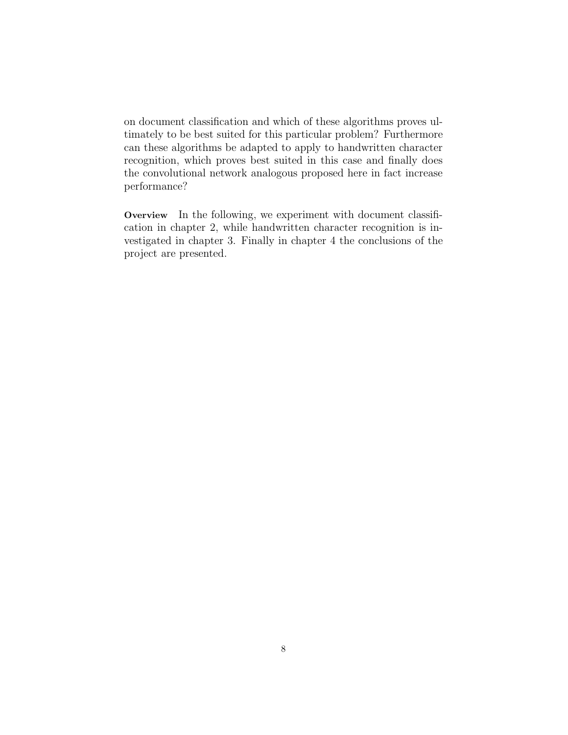on document classification and which of these algorithms proves ultimately to be best suited for this particular problem? Furthermore can these algorithms be adapted to apply to handwritten character recognition, which proves best suited in this case and finally does the convolutional network analogous proposed here in fact increase performance?

Overview In the following, we experiment with document classification in chapter 2, while handwritten character recognition is investigated in chapter 3. Finally in chapter 4 the conclusions of the project are presented.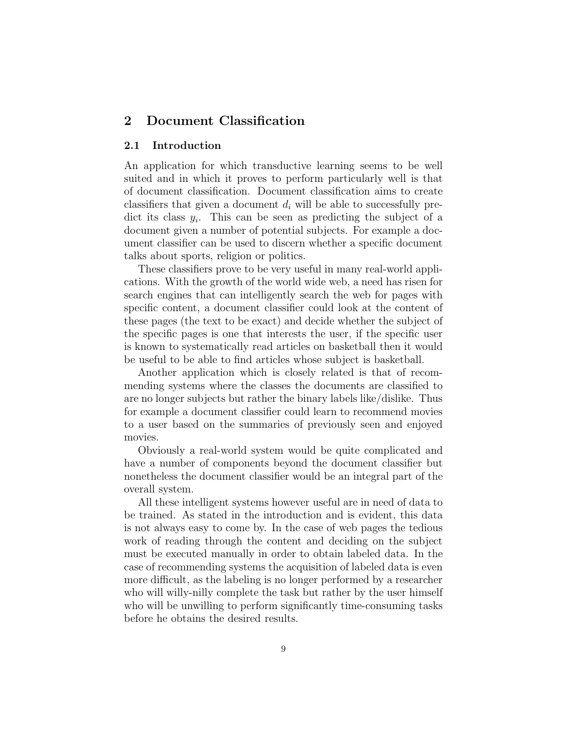# <span id="page-8-1"></span><span id="page-8-0"></span>2 Document Classification

#### 2.1 Introduction

An application for which transductive learning seems to be well suited and in which it proves to perform particularly well is that of document classification. Document classification aims to create classifiers that given a document  $d_i$  will be able to successfully predict its class  $y_i$ . This can be seen as predicting the subject of a document given a number of potential subjects. For example a document classifier can be used to discern whether a specific document talks about sports, religion or politics.

These classifiers prove to be very useful in many real-world applications. With the growth of the world wide web, a need has risen for search engines that can intelligently search the web for pages with specific content, a document classifier could look at the content of these pages (the text to be exact) and decide whether the subject of the specific pages is one that interests the user, if the specific user is known to systematically read articles on basketball then it would be useful to be able to find articles whose subject is basketball.

Another application which is closely related is that of recommending systems where the classes the documents are classified to are no longer subjects but rather the binary labels like/dislike. Thus for example a document classifier could learn to recommend movies to a user based on the summaries of previously seen and enjoyed movies.

Obviously a real-world system would be quite complicated and have a number of components beyond the document classifier but nonetheless the document classifier would be an integral part of the overall system.

All these intelligent systems however useful are in need of data to be trained. As stated in the introduction and is evident, this data is not always easy to come by. In the case of web pages the tedious work of reading through the content and deciding on the subject must be executed manually in order to obtain labeled data. In the case of recommending systems the acquisition of labeled data is even more difficult, as the labeling is no longer performed by a researcher who will willy-nilly complete the task but rather by the user himself who will be unwilling to perform significantly time-consuming tasks before he obtains the desired results.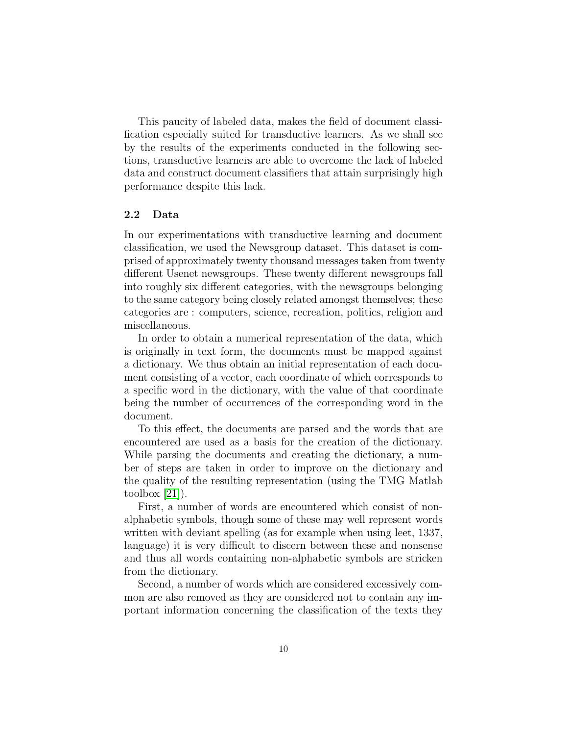This paucity of labeled data, makes the field of document classification especially suited for transductive learners. As we shall see by the results of the experiments conducted in the following sections, transductive learners are able to overcome the lack of labeled data and construct document classifiers that attain surprisingly high performance despite this lack.

#### <span id="page-9-0"></span>2.2 Data

In our experimentations with transductive learning and document classification, we used the Newsgroup dataset. This dataset is comprised of approximately twenty thousand messages taken from twenty different Usenet newsgroups. These twenty different newsgroups fall into roughly six different categories, with the newsgroups belonging to the same category being closely related amongst themselves; these categories are : computers, science, recreation, politics, religion and miscellaneous.

In order to obtain a numerical representation of the data, which is originally in text form, the documents must be mapped against a dictionary. We thus obtain an initial representation of each document consisting of a vector, each coordinate of which corresponds to a specific word in the dictionary, with the value of that coordinate being the number of occurrences of the corresponding word in the document.

To this effect, the documents are parsed and the words that are encountered are used as a basis for the creation of the dictionary. While parsing the documents and creating the dictionary, a number of steps are taken in order to improve on the dictionary and the quality of the resulting representation (using the TMG Matlab toolbox  $[21]$ .

First, a number of words are encountered which consist of nonalphabetic symbols, though some of these may well represent words written with deviant spelling (as for example when using leet, 1337, language) it is very difficult to discern between these and nonsense and thus all words containing non-alphabetic symbols are stricken from the dictionary.

Second, a number of words which are considered excessively common are also removed as they are considered not to contain any important information concerning the classification of the texts they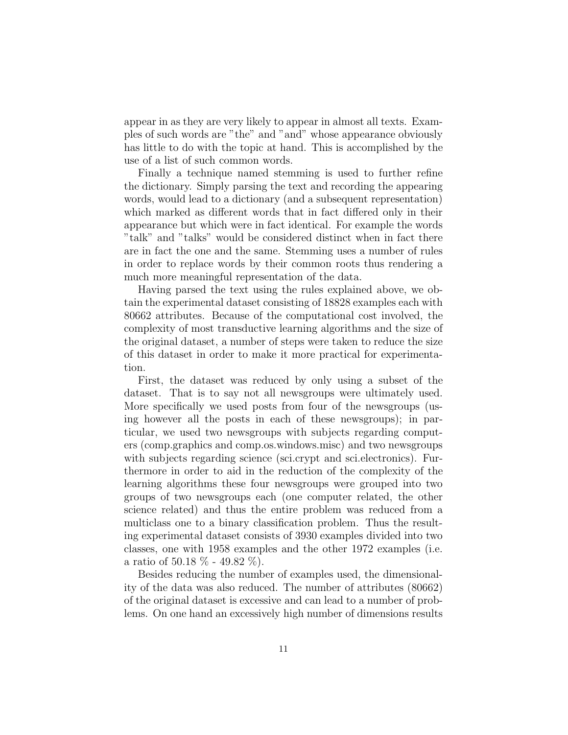appear in as they are very likely to appear in almost all texts. Examples of such words are "the" and "and" whose appearance obviously has little to do with the topic at hand. This is accomplished by the use of a list of such common words.

Finally a technique named stemming is used to further refine the dictionary. Simply parsing the text and recording the appearing words, would lead to a dictionary (and a subsequent representation) which marked as different words that in fact differed only in their appearance but which were in fact identical. For example the words "talk" and "talks" would be considered distinct when in fact there are in fact the one and the same. Stemming uses a number of rules in order to replace words by their common roots thus rendering a much more meaningful representation of the data.

Having parsed the text using the rules explained above, we obtain the experimental dataset consisting of 18828 examples each with 80662 attributes. Because of the computational cost involved, the complexity of most transductive learning algorithms and the size of the original dataset, a number of steps were taken to reduce the size of this dataset in order to make it more practical for experimentation.

First, the dataset was reduced by only using a subset of the dataset. That is to say not all newsgroups were ultimately used. More specifically we used posts from four of the newsgroups (using however all the posts in each of these newsgroups); in particular, we used two newsgroups with subjects regarding computers (comp.graphics and comp.os.windows.misc) and two newsgroups with subjects regarding science (sci.crypt and sci.electronics). Furthermore in order to aid in the reduction of the complexity of the learning algorithms these four newsgroups were grouped into two groups of two newsgroups each (one computer related, the other science related) and thus the entire problem was reduced from a multiclass one to a binary classification problem. Thus the resulting experimental dataset consists of 3930 examples divided into two classes, one with 1958 examples and the other 1972 examples (i.e. a ratio of 50.18  $% -49.82$  %).

Besides reducing the number of examples used, the dimensionality of the data was also reduced. The number of attributes (80662) of the original dataset is excessive and can lead to a number of problems. On one hand an excessively high number of dimensions results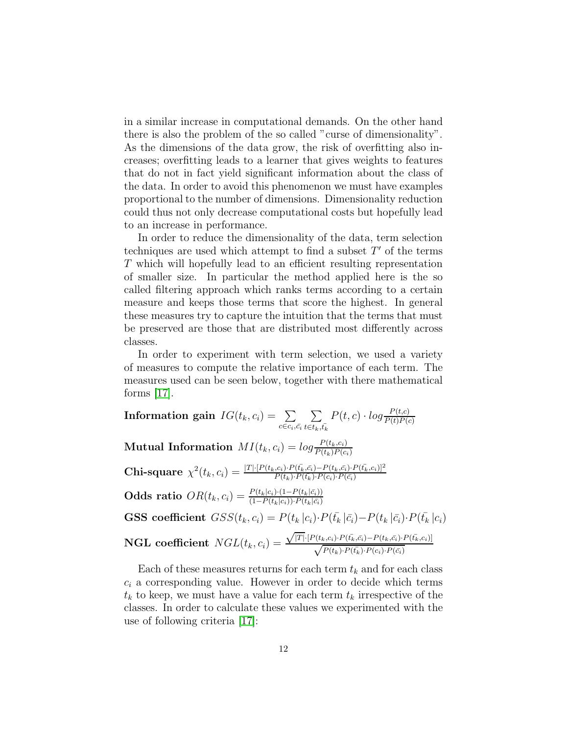in a similar increase in computational demands. On the other hand there is also the problem of the so called "curse of dimensionality". As the dimensions of the data grow, the risk of overfitting also increases; overfitting leads to a learner that gives weights to features that do not in fact yield significant information about the class of the data. In order to avoid this phenomenon we must have examples proportional to the number of dimensions. Dimensionality reduction could thus not only decrease computational costs but hopefully lead to an increase in performance.

In order to reduce the dimensionality of the data, term selection techniques are used which attempt to find a subset  $T'$  of the terms T which will hopefully lead to an efficient resulting representation of smaller size. In particular the method applied here is the so called filtering approach which ranks terms according to a certain measure and keeps those terms that score the highest. In general these measures try to capture the intuition that the terms that must be preserved are those that are distributed most differently across classes.

In order to experiment with term selection, we used a variety of measures to compute the relative importance of each term. The measures used can be seen below, together with there mathematical forms  $|17|$ .

 $\textbf{Information gain} \,\, IG(t_k, c_i) = \,\,\sum\,\,$  $c \in c_i, \bar{c_i}$  $\sum$  $t \in t_k$ , $\bar{t_k}$  $P(t, c) \cdot log \frac{P(t, c)}{P(t)P(c)}$ Mutual Information  $MI(t_k, c_i) = log \frac{P(t_k, c_i)}{P(t_k)P(c_i)}$ Chi-square  $\chi^2(t_k, c_i) = \frac{|T| \cdot [P(t_k, c_i) \cdot P(\bar{t_k}, \bar{c_i}) - P(t_k, \bar{c_i}) \cdot P(\bar{t_k}, c_i)]^2}{P(t_k) \cdot P(\bar{t_k}) \cdot P(\bar{c_i}) \cdot P(\bar{c_i})}$ Odds ratio  $OR(t_k, c_i) = \frac{P(t_k|c_i) \cdot (1 - P(t_k|\bar{c}_i))}{(1 - P(t_k|c_i)) \cdot P(t_k|\bar{c}_i)}$ GSS coefficient  $GSS(t_k, c_i) = P(t_k | c_i) \cdot P(\bar{t}_k | \bar{c}_i) - P(t_k | \bar{c}_i) \cdot P(\bar{t}_k | c_i)$  $\mathbf{NGL} \text{ coefficient } NGL(t_k,c_i) =$  $\sqrt{|T|}\cdot[P(t_k,c_i)\cdot P(\bar{t_k},\bar{c_i})-P(t_k,\bar{c_i})\cdot P(\bar{t_k},c_i)]$  $\sqrt{P(t_k) \cdot P(\bar{t_k}) \cdot P(c_i) \cdot P(\bar{c_i})}$ 

Each of these measures returns for each term  $t_k$  and for each class  $c_i$  a corresponding value. However in order to decide which terms  $t_k$  to keep, we must have a value for each term  $t_k$  irrespective of the classes. In order to calculate these values we experimented with the use of following criteria [\[17\]](#page-92-3):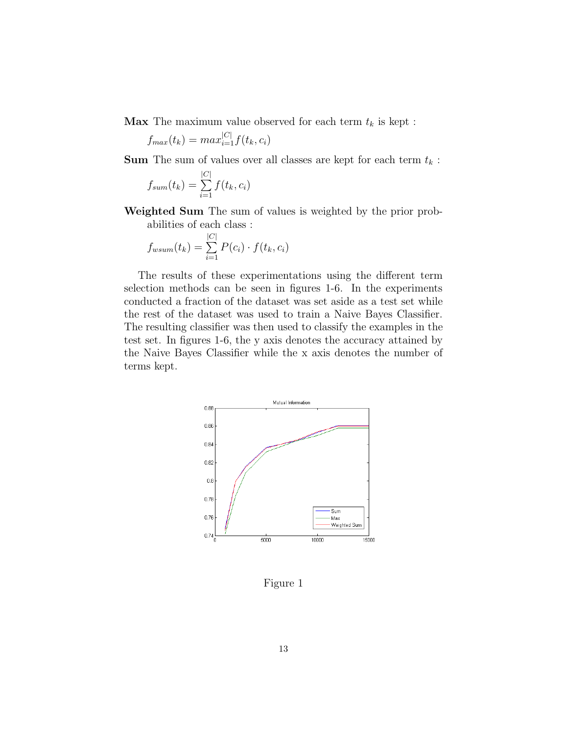**Max** The maximum value observed for each term  $t_k$  is kept :

$$
f_{max}(t_k) = max_{i=1}^{|C|} f(t_k, c_i)
$$

 $\textbf{Sum}$  The sum of values over all classes are kept for each term  $t_k$  :

$$
f_{sum}(t_k) = \sum_{i=1}^{|C|} f(t_k, c_i)
$$

Weighted Sum The sum of values is weighted by the prior probabilities of each class :

$$
f_{wsum}(t_k) = \sum_{i=1}^{|C|} P(c_i) \cdot f(t_k, c_i)
$$

The results of these experimentations using the different term selection methods can be seen in figures 1-6. In the experiments conducted a fraction of the dataset was set aside as a test set while the rest of the dataset was used to train a Naive Bayes Classifier. The resulting classifier was then used to classify the examples in the test set. In figures 1-6, the y axis denotes the accuracy attained by the Naive Bayes Classifier while the x axis denotes the number of terms kept.



Figure 1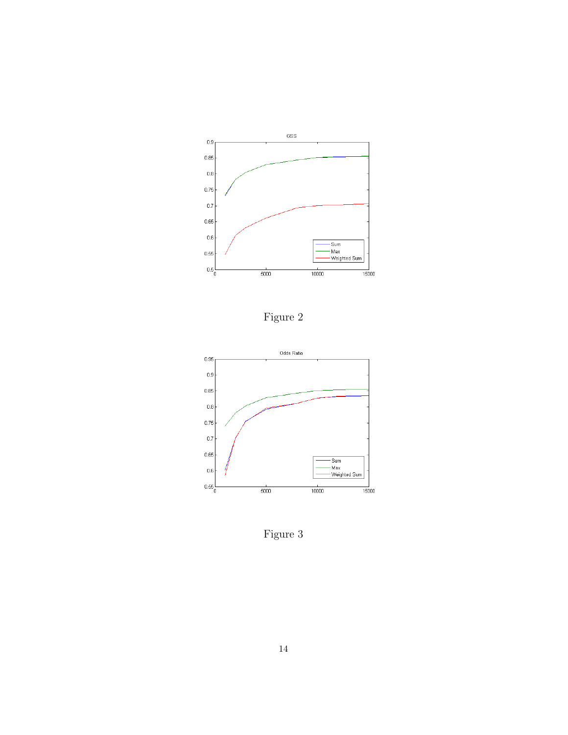

Figure 2



Figure 3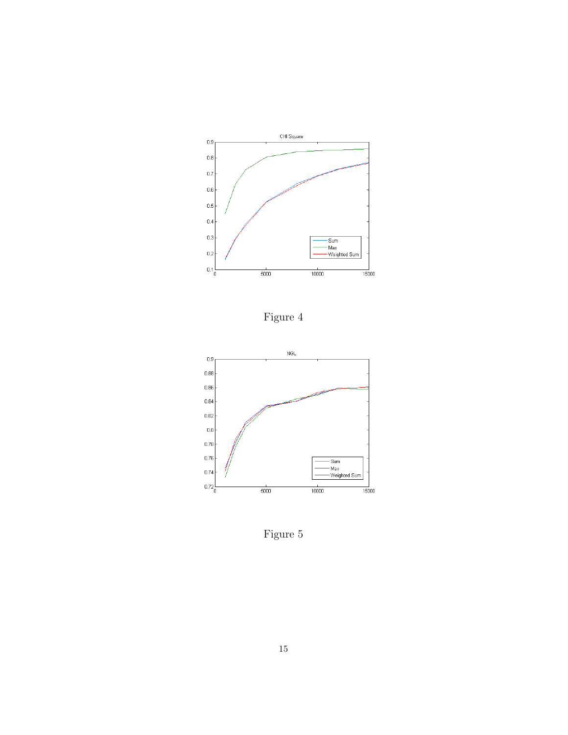

Figure 4



Figure 5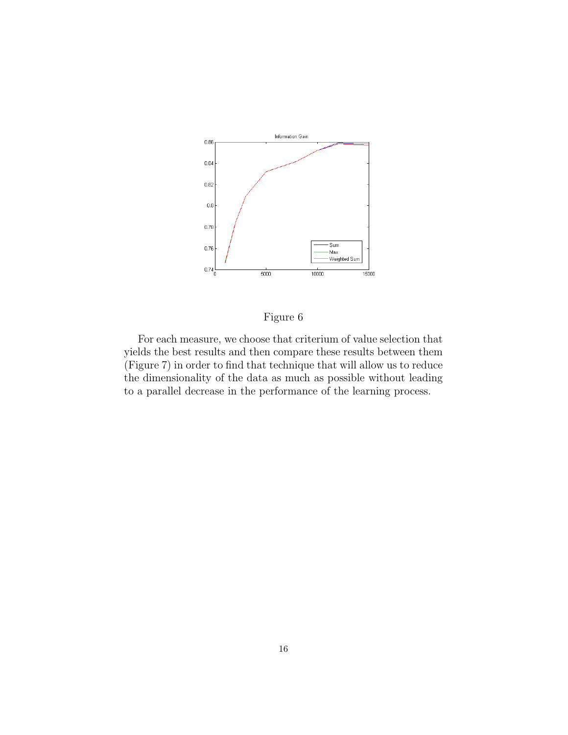

## Figure 6

For each measure, we choose that criterium of value selection that yields the best results and then compare these results between them (Figure 7) in order to find that technique that will allow us to reduce the dimensionality of the data as much as possible without leading to a parallel decrease in the performance of the learning process.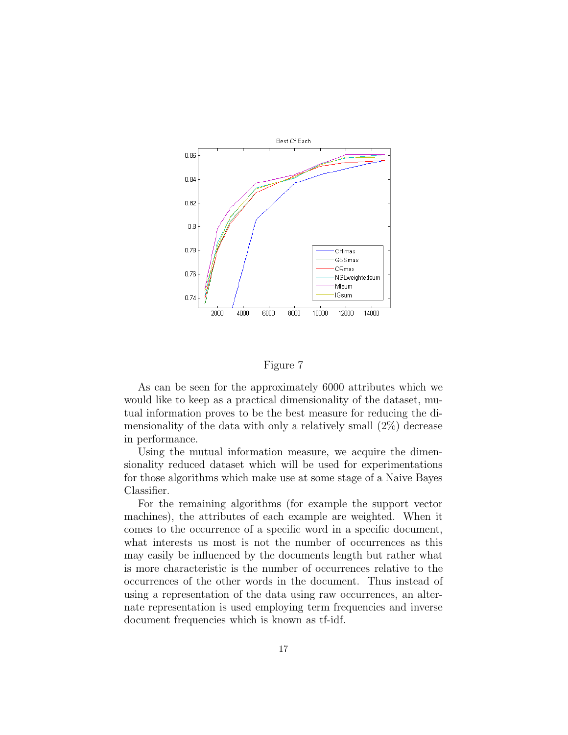

Figure 7

As can be seen for the approximately 6000 attributes which we would like to keep as a practical dimensionality of the dataset, mutual information proves to be the best measure for reducing the dimensionality of the data with only a relatively small (2%) decrease in performance.

Using the mutual information measure, we acquire the dimensionality reduced dataset which will be used for experimentations for those algorithms which make use at some stage of a Naive Bayes Classifier.

For the remaining algorithms (for example the support vector machines), the attributes of each example are weighted. When it comes to the occurrence of a specific word in a specific document, what interests us most is not the number of occurrences as this may easily be influenced by the documents length but rather what is more characteristic is the number of occurrences relative to the occurrences of the other words in the document. Thus instead of using a representation of the data using raw occurrences, an alternate representation is used employing term frequencies and inverse document frequencies which is known as tf-idf.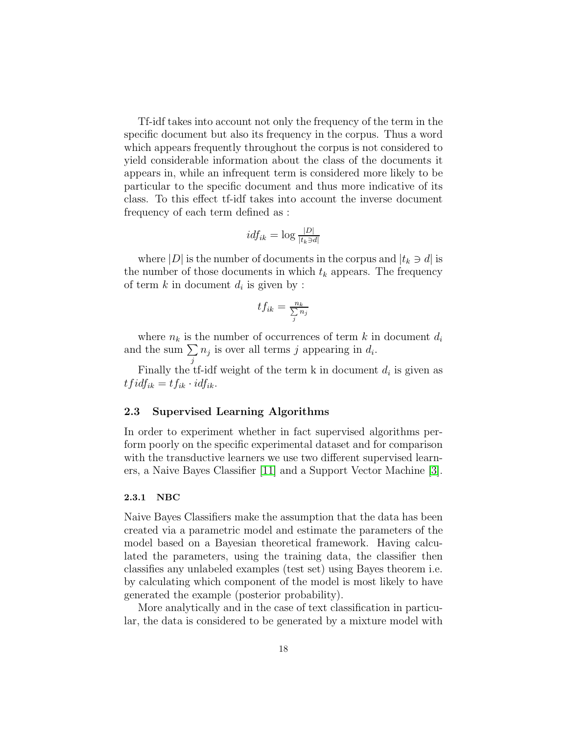Tf-idf takes into account not only the frequency of the term in the specific document but also its frequency in the corpus. Thus a word which appears frequently throughout the corpus is not considered to yield considerable information about the class of the documents it appears in, while an infrequent term is considered more likely to be particular to the specific document and thus more indicative of its class. To this effect tf-idf takes into account the inverse document frequency of each term defined as :

$$
idf_{ik} = \log \frac{|D|}{|t_k \ni d|}
$$

where  $|D|$  is the number of documents in the corpus and  $|t_k \ni d|$  is the number of those documents in which  $t_k$  appears. The frequency of term  $k$  in document  $d_i$  is given by :

$$
tf_{ik} = \frac{n_k}{\sum_j n_j}
$$

where  $n_k$  is the number of occurrences of term k in document  $d_i$ and the sum  $\Sigma$  $n_j$  is over all terms j appearing in  $d_i$ .

j Finally the tf-idf weight of the term  $k$  in document  $d_i$  is given as  $tfidf_{ik} = tf_{ik} \cdot idf_{ik}.$ 

#### <span id="page-17-0"></span>2.3 Supervised Learning Algorithms

In order to experiment whether in fact supervised algorithms perform poorly on the specific experimental dataset and for comparison with the transductive learners we use two different supervised learners, a Naive Bayes Classifier [\[11\]](#page-92-4) and a Support Vector Machine [\[3\]](#page-91-0).

#### <span id="page-17-1"></span>2.3.1 NBC

Naive Bayes Classifiers make the assumption that the data has been created via a parametric model and estimate the parameters of the model based on a Bayesian theoretical framework. Having calculated the parameters, using the training data, the classifier then classifies any unlabeled examples (test set) using Bayes theorem i.e. by calculating which component of the model is most likely to have generated the example (posterior probability).

More analytically and in the case of text classification in particular, the data is considered to be generated by a mixture model with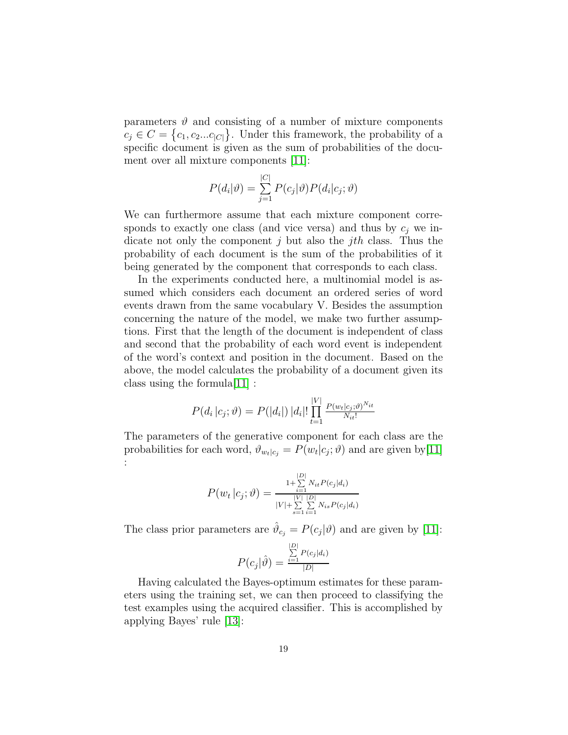parameters  $\vartheta$  and consisting of a number of mixture components  $c_j \in C = \{c_1, c_2...c_{|C|}\}.$  Under this framework, the probability of a specific document is given as the sum of probabilities of the document over all mixture components [\[11\]](#page-92-4):

$$
P(d_i|\vartheta) = \sum_{j=1}^{|C|} P(c_j|\vartheta) P(d_i|c_j; \vartheta)
$$

We can furthermore assume that each mixture component corresponds to exactly one class (and vice versa) and thus by  $c_i$  we indicate not only the component j but also the jth class. Thus the probability of each document is the sum of the probabilities of it being generated by the component that corresponds to each class.

In the experiments conducted here, a multinomial model is assumed which considers each document an ordered series of word events drawn from the same vocabulary V. Besides the assumption concerning the nature of the model, we make two further assumptions. First that the length of the document is independent of class and second that the probability of each word event is independent of the word's context and position in the document. Based on the above, the model calculates the probability of a document given its class using the formula[\[11\]](#page-92-4) :

$$
P(d_i | c_j; \vartheta) = P(|d_i|) |d_i|! \prod_{t=1}^{|V|} \frac{P(w_t | c_j; \vartheta)^{N_{it}}}{N_{it}!}
$$

The parameters of the generative component for each class are the probabilities for each word,  $\vartheta_{w_t|c_j} = P(w_t|c_j; \vartheta)$  and are given by [\[11\]](#page-92-4) :

$$
P(w_t | c_j; \vartheta) = \frac{1 + \sum\limits_{i=1}^{|D|} N_{it} P(c_j | d_i)}{|V| + \sum\limits_{s=1}^{|V|} \sum\limits_{i=1}^{|D|} N_{is} P(c_j | d_i)}
$$

The class prior parameters are  $\hat{\vartheta}_{c_j} = P(c_j|\vartheta)$  and are given by [\[11\]](#page-92-4):

$$
P(c_j|\hat{\vartheta}) = \frac{\sum_{i=1}^{|D|} P(c_j|d_i)}{|D|}
$$

Having calculated the Bayes-optimum estimates for these parameters using the training set, we can then proceed to classifying the test examples using the acquired classifier. This is accomplished by applying Bayes' rule [\[13\]](#page-92-5):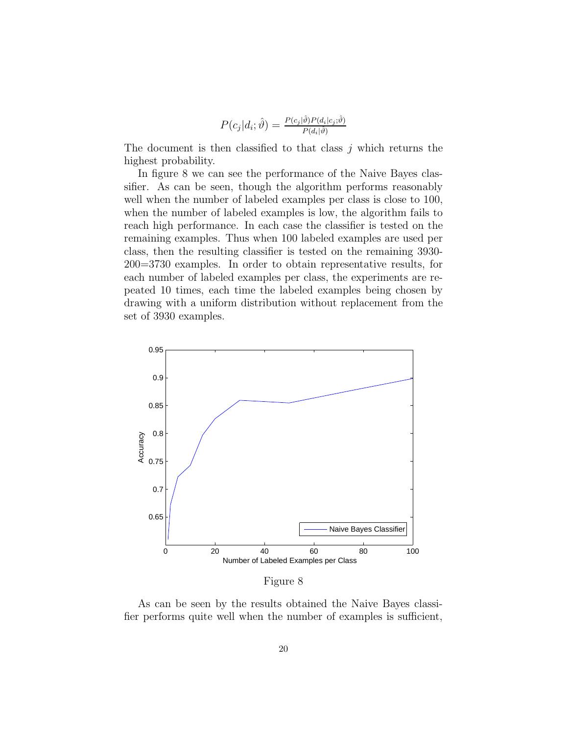$$
P(c_j|d_i; \hat{\vartheta}) = \frac{P(c_j|\hat{\vartheta})P(d_i|c_j; \hat{\vartheta})}{P(d_i|\hat{\vartheta})}
$$

The document is then classified to that class  $j$  which returns the highest probability.

In figure 8 we can see the performance of the Naive Bayes classifier. As can be seen, though the algorithm performs reasonably well when the number of labeled examples per class is close to 100, when the number of labeled examples is low, the algorithm fails to reach high performance. In each case the classifier is tested on the remaining examples. Thus when 100 labeled examples are used per class, then the resulting classifier is tested on the remaining 3930- 200=3730 examples. In order to obtain representative results, for each number of labeled examples per class, the experiments are repeated 10 times, each time the labeled examples being chosen by drawing with a uniform distribution without replacement from the set of 3930 examples.



Figure 8

As can be seen by the results obtained the Naive Bayes classifier performs quite well when the number of examples is sufficient,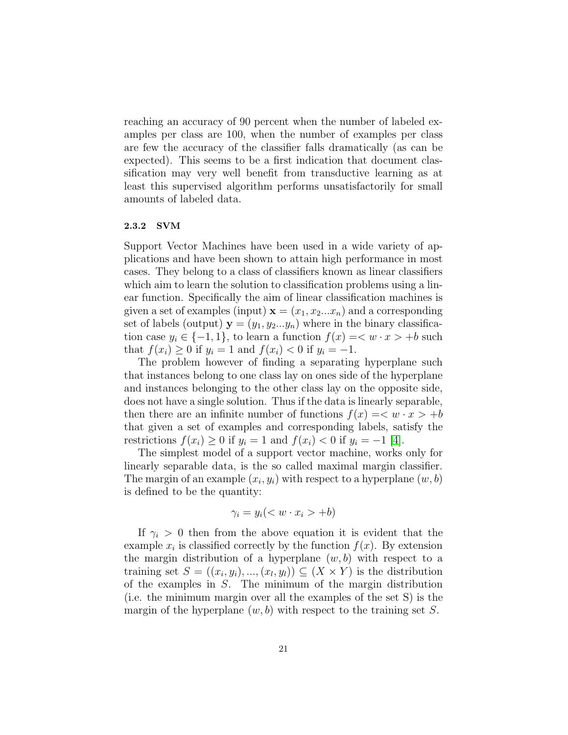reaching an accuracy of 90 percent when the number of labeled examples per class are 100, when the number of examples per class are few the accuracy of the classifier falls dramatically (as can be expected). This seems to be a first indication that document classification may very well benefit from transductive learning as at least this supervised algorithm performs unsatisfactorily for small amounts of labeled data.

#### <span id="page-20-0"></span>2.3.2 SVM

Support Vector Machines have been used in a wide variety of applications and have been shown to attain high performance in most cases. They belong to a class of classifiers known as linear classifiers which aim to learn the solution to classification problems using a linear function. Specifically the aim of linear classification machines is given a set of examples (input)  $\mathbf{x} = (x_1, x_2...x_n)$  and a corresponding set of labels (output)  $y = (y_1, y_2...y_n)$  where in the binary classification case  $y_i \in \{-1, 1\}$ , to learn a function  $f(x) = \langle w \cdot x \rangle + b$  such that  $f(x_i) \ge 0$  if  $y_i = 1$  and  $f(x_i) < 0$  if  $y_i = -1$ .

The problem however of finding a separating hyperplane such that instances belong to one class lay on ones side of the hyperplane and instances belonging to the other class lay on the opposite side, does not have a single solution. Thus if the data is linearly separable, then there are an infinite number of functions  $f(x) = \langle w \cdot x \rangle + b$ that given a set of examples and corresponding labels, satisfy the restrictions  $f(x_i) \geq 0$  if  $y_i = 1$  and  $f(x_i) < 0$  if  $y_i = -1$  [\[4\]](#page-91-1).

The simplest model of a support vector machine, works only for linearly separable data, is the so called maximal margin classifier. The margin of an example  $(x_i, y_i)$  with respect to a hyperplane  $(w, b)$ is defined to be the quantity:

$$
\gamma_i = y_i \quad < w \cdot x_i > +b)
$$

If  $\gamma_i > 0$  then from the above equation it is evident that the example  $x_i$  is classified correctly by the function  $f(x)$ . By extension the margin distribution of a hyperplane  $(w, b)$  with respect to a training set  $S = ((x_i, y_i), ..., (x_l, y_l)) \subseteq (X \times Y)$  is the distribution of the examples in S. The minimum of the margin distribution (i.e. the minimum margin over all the examples of the set S) is the margin of the hyperplane  $(w, b)$  with respect to the training set S.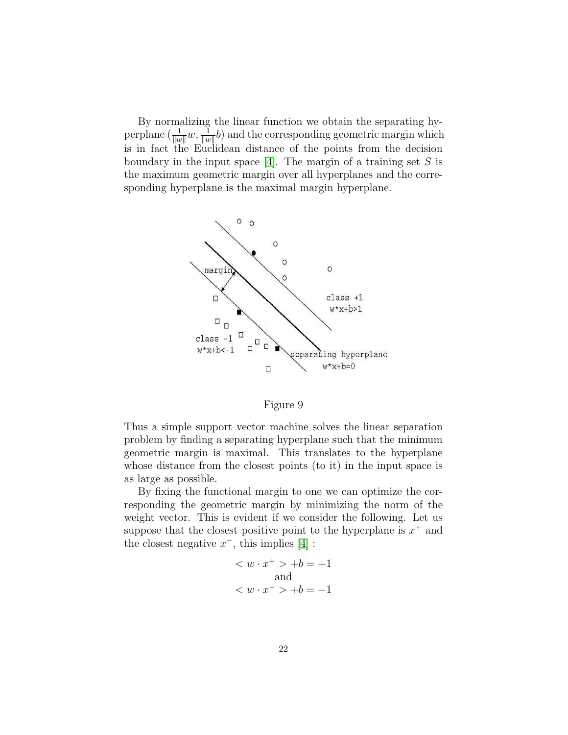By normalizing the linear function we obtain the separating hyperplane  $\left(\frac{1}{\|w\|}w,\frac{1}{\|w\|}\right)$  and the corresponding geometric margin which is in fact the Euclidean distance of the points from the decision boundary in the input space [\[4\]](#page-91-1). The margin of a training set  $S$  is the maximum geometric margin over all hyperplanes and the corresponding hyperplane is the maximal margin hyperplane.



Figure 9

Thus a simple support vector machine solves the linear separation problem by finding a separating hyperplane such that the minimum geometric margin is maximal. This translates to the hyperplane whose distance from the closest points (to it) in the input space is as large as possible.

By fixing the functional margin to one we can optimize the corresponding the geometric margin by minimizing the norm of the weight vector. This is evident if we consider the following. Let us suppose that the closest positive point to the hyperplane is  $x^+$  and the closest negative  $x^-$ , this implies [\[4\]](#page-91-1) :

$$
\langle w \cdot x^+ \rangle + b = +1
$$
  
and  

$$
\langle w \cdot x^- \rangle + b = -1
$$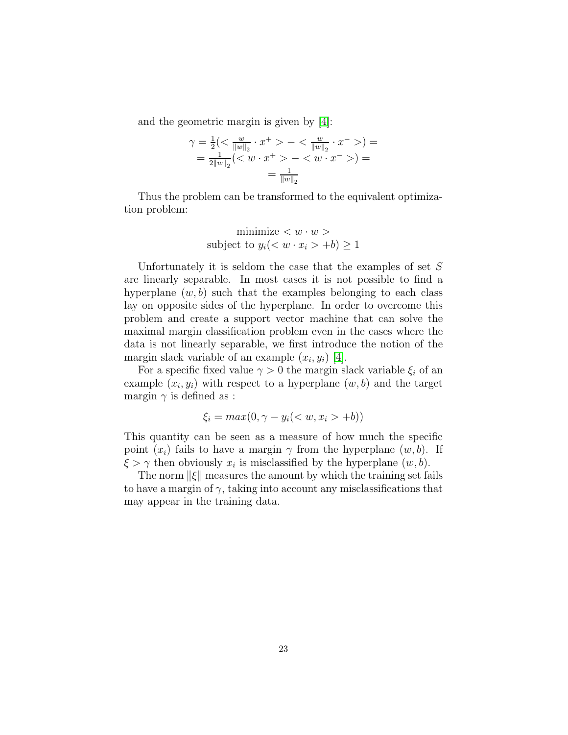and the geometric margin is given by [\[4\]](#page-91-1):

$$
\gamma = \frac{1}{2} \left( \langle \frac{w}{\|w\|_2} \cdot x^+ > - \langle \frac{w}{\|w\|_2} \cdot x^- > \right) =
$$
\n
$$
= \frac{1}{2\|w\|_2} \left( \langle w \cdot x^+ > - \langle w \cdot x^- > \rangle \right) =
$$
\n
$$
= \frac{1}{\|w\|_2}
$$

Thus the problem can be transformed to the equivalent optimization problem:

$$
\text{minimize} < w \cdot w > \\
\text{subject to } y_i < w \cdot x_i > +b \ge 1
$$

Unfortunately it is seldom the case that the examples of set  $S$ are linearly separable. In most cases it is not possible to find a hyperplane  $(w, b)$  such that the examples belonging to each class lay on opposite sides of the hyperplane. In order to overcome this problem and create a support vector machine that can solve the maximal margin classification problem even in the cases where the data is not linearly separable, we first introduce the notion of the margin slack variable of an example  $(x_i, y_i)$  [\[4\]](#page-91-1).

For a specific fixed value  $\gamma > 0$  the margin slack variable  $\xi_i$  of an example  $(x_i, y_i)$  with respect to a hyperplane  $(w, b)$  and the target margin  $\gamma$  is defined as :

$$
\xi_i = \max(0, \gamma - y_i( +b))
$$

This quantity can be seen as a measure of how much the specific point  $(x_i)$  fails to have a margin  $\gamma$  from the hyperplane  $(w, b)$ . If  $\xi > \gamma$  then obviously  $x_i$  is misclassified by the hyperplane  $(w, b)$ .

The norm  $\|\xi\|$  measures the amount by which the training set fails to have a margin of  $\gamma$ , taking into account any misclassifications that may appear in the training data.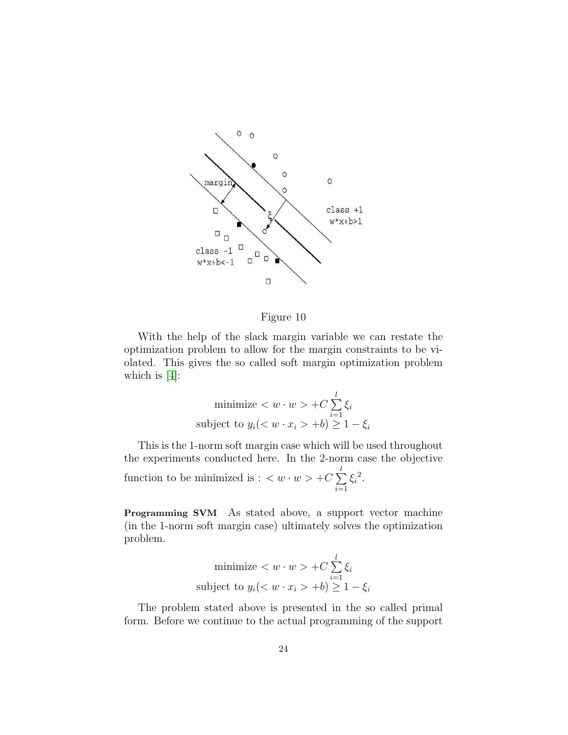

#### Figure 10

With the help of the slack margin variable we can restate the optimization problem to allow for the margin constraints to be violated. This gives the so called soft margin optimization problem which is  $[4]$ :

minimize 
$$
\langle w \cdot w \rangle + C \sum_{i=1}^{l} \xi_i
$$
  
subject to  $y_i (\langle w \cdot x_i \rangle + b) \ge 1 - \xi_i$ 

This is the 1-norm soft margin case which will be used throughout the experiments conducted here. In the 2-norm case the objective function to be minimized is :  $\langle w \cdot w \rangle + C \sum$ l  $i=1$  $\xi_i^2$ .

Programming SVM As stated above, a support vector machine (in the 1-norm soft margin case) ultimately solves the optimization problem.

minimize 
$$
\langle w \cdot w \rangle + C \sum_{i=1}^{l} \xi_i
$$
subject to 
$$
y_i \langle \langle w \cdot x_i \rangle + b \rangle \ge 1 - \xi_i
$$

The problem stated above is presented in the so called primal form. Before we continue to the actual programming of the support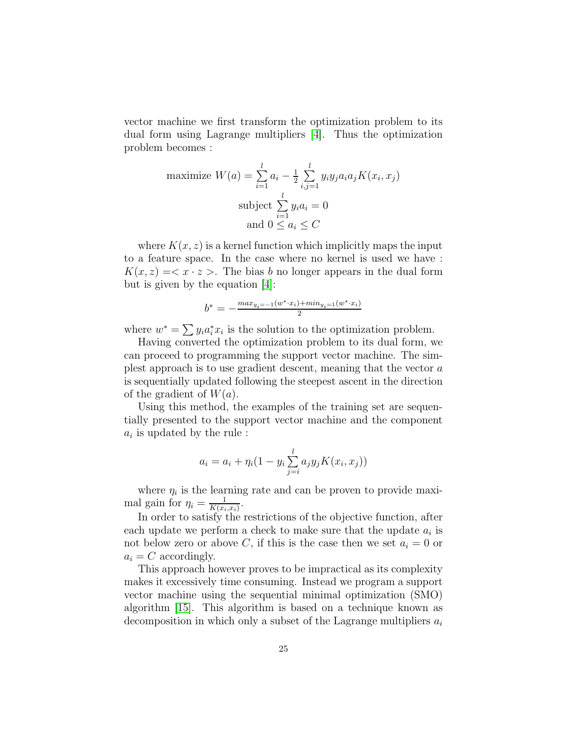vector machine we first transform the optimization problem to its dual form using Lagrange multipliers [\[4\]](#page-91-1). Thus the optimization problem becomes :

maximize 
$$
W(a) = \sum_{i=1}^{l} a_i - \frac{1}{2} \sum_{i,j=1}^{l} y_i y_j a_i a_j K(x_i, x_j)
$$
  
\nsubject  $\sum_{i=1}^{l} y_i a_i = 0$   
\nand  $0 \le a_i \le C$ 

where  $K(x, z)$  is a kernel function which implicitly maps the input to a feature space. In the case where no kernel is used we have :  $K(x, z) = \langle x \cdot z \rangle$ . The bias b no longer appears in the dual form but is given by the equation [\[4\]](#page-91-1):

$$
b^* = -\frac{max_{y_i = -1}(w^* \cdot x_i) + min_{y_i = 1}(w^* \cdot x_i)}{2}
$$

where  $w^* = \sum y_i a_i^* x_i$  is the solution to the optimization problem.

Having converted the optimization problem to its dual form, we can proceed to programming the support vector machine. The simplest approach is to use gradient descent, meaning that the vector a is sequentially updated following the steepest ascent in the direction of the gradient of  $W(a)$ .

Using this method, the examples of the training set are sequentially presented to the support vector machine and the component  $a_i$  is updated by the rule :

$$
a_i = a_i + \eta_i (1 - y_i \sum_{j=i}^{l} a_j y_j K(x_i, x_j))
$$

where  $\eta_i$  is the learning rate and can be proven to provide maximal gain for  $\eta_i = \frac{1}{K(x_i)}$  $\frac{1}{K(x_i,x_i)}$ .

In order to satisfy the restrictions of the objective function, after each update we perform a check to make sure that the update  $a_i$  is not below zero or above C, if this is the case then we set  $a_i = 0$  or  $a_i = C$  accordingly.

This approach however proves to be impractical as its complexity makes it excessively time consuming. Instead we program a support vector machine using the sequential minimal optimization (SMO) algorithm [\[15\]](#page-92-6). This algorithm is based on a technique known as decomposition in which only a subset of the Lagrange multipliers  $a_i$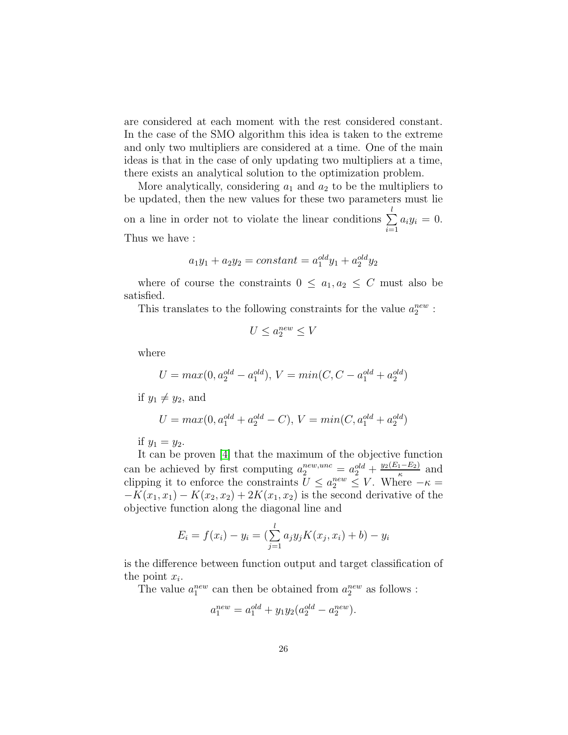are considered at each moment with the rest considered constant. In the case of the SMO algorithm this idea is taken to the extreme and only two multipliers are considered at a time. One of the main ideas is that in the case of only updating two multipliers at a time, there exists an analytical solution to the optimization problem.

More analytically, considering  $a_1$  and  $a_2$  to be the multipliers to be updated, then the new values for these two parameters must lie on a line in order not to violate the linear conditions  $\Sigma$ l  $i=1$  $a_iy_i = 0.$ Thus we have :

$$
a_1y_1 + a_2y_2 = constant = a_1^{old}y_1 + a_2^{old}y_2
$$

where of course the constraints  $0 \le a_1, a_2 \le C$  must also be satisfied.

This translates to the following constraints for the value  $a_2^{new}$ :

$$
U \le a_2^{new} \le V
$$

where

$$
U = max(0, a_2^{old} - a_1^{old}), V = min(C, C - a_1^{old} + a_2^{old})
$$

if  $y_1 \neq y_2$ , and

$$
U = max(0, a_1^{old} + a_2^{old} - C), V = min(C, a_1^{old} + a_2^{old})
$$

if  $y_1 = y_2$ .

It can be proven [\[4\]](#page-91-1) that the maximum of the objective function can be achieved by first computing  $a_2^{new,unc} = a_2^{old} + \frac{y_2(E_1 - E_2)}{\kappa}$  and clipping it to enforce the constraints  $U \le a_2^{new} \le V$ . Where  $-\kappa =$  $-K(x_1, x_1) - K(x_2, x_2) + 2K(x_1, x_2)$  is the second derivative of the objective function along the diagonal line and

$$
E_i = f(x_i) - y_i = \left(\sum_{j=1}^l a_j y_j K(x_j, x_i) + b\right) - y_i
$$

is the difference between function output and target classification of the point  $x_i$ .

The value  $a_1^{new}$  can then be obtained from  $a_2^{new}$  as follows :

$$
a_1^{new} = a_1^{old} + y_1 y_2 (a_2^{old} - a_2^{new}).
$$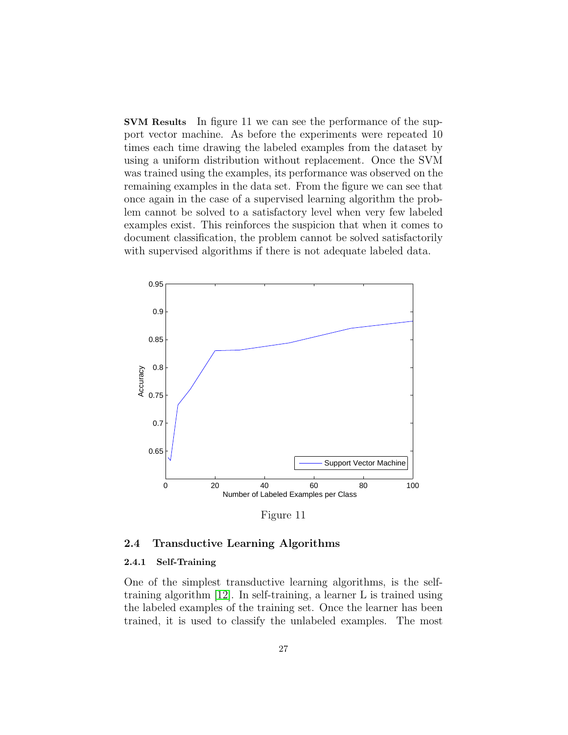SVM Results In figure 11 we can see the performance of the support vector machine. As before the experiments were repeated 10 times each time drawing the labeled examples from the dataset by using a uniform distribution without replacement. Once the SVM was trained using the examples, its performance was observed on the remaining examples in the data set. From the figure we can see that once again in the case of a supervised learning algorithm the problem cannot be solved to a satisfactory level when very few labeled examples exist. This reinforces the suspicion that when it comes to document classification, the problem cannot be solved satisfactorily with supervised algorithms if there is not adequate labeled data.



Figure 11

#### <span id="page-26-1"></span><span id="page-26-0"></span>2.4 Transductive Learning Algorithms

#### 2.4.1 Self-Training

One of the simplest transductive learning algorithms, is the selftraining algorithm [\[12\]](#page-92-7). In self-training, a learner L is trained using the labeled examples of the training set. Once the learner has been trained, it is used to classify the unlabeled examples. The most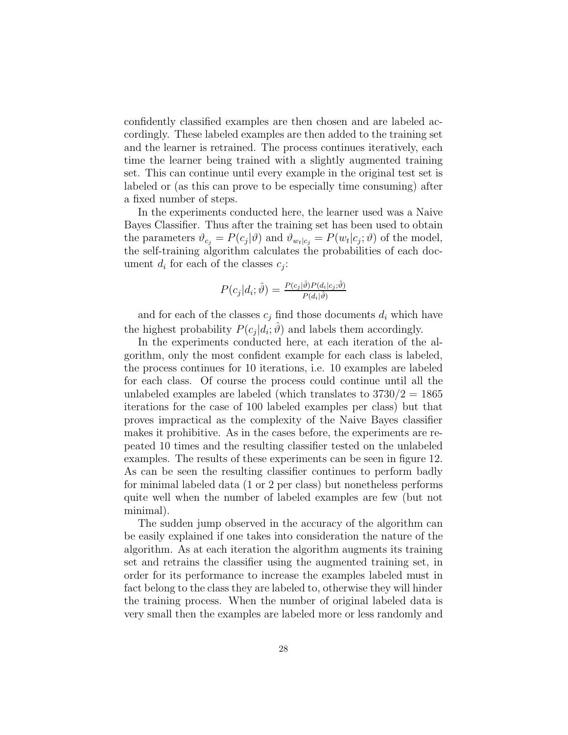confidently classified examples are then chosen and are labeled accordingly. These labeled examples are then added to the training set and the learner is retrained. The process continues iteratively, each time the learner being trained with a slightly augmented training set. This can continue until every example in the original test set is labeled or (as this can prove to be especially time consuming) after a fixed number of steps.

In the experiments conducted here, the learner used was a Naive Bayes Classifier. Thus after the training set has been used to obtain the parameters  $\vartheta_{c_j} = P(c_j|\vartheta)$  and  $\vartheta_{w_t|c_j} = P(w_t|c_j;\vartheta)$  of the model, the self-training algorithm calculates the probabilities of each document  $d_i$  for each of the classes  $c_j$ :

$$
P(c_j|d_i; \hat{\vartheta}) = \frac{P(c_j|\hat{\vartheta})P(d_i|c_j; \hat{\vartheta})}{P(d_i|\hat{\vartheta})}
$$

and for each of the classes  $c_j$  find those documents  $d_i$  which have the highest probability  $P(c_j|d_i;\hat{\theta})$  and labels them accordingly.

In the experiments conducted here, at each iteration of the algorithm, only the most confident example for each class is labeled, the process continues for 10 iterations, i.e. 10 examples are labeled for each class. Of course the process could continue until all the unlabeled examples are labeled (which translates to  $3730/2 = 1865$ ) iterations for the case of 100 labeled examples per class) but that proves impractical as the complexity of the Naive Bayes classifier makes it prohibitive. As in the cases before, the experiments are repeated 10 times and the resulting classifier tested on the unlabeled examples. The results of these experiments can be seen in figure 12. As can be seen the resulting classifier continues to perform badly for minimal labeled data (1 or 2 per class) but nonetheless performs quite well when the number of labeled examples are few (but not minimal).

The sudden jump observed in the accuracy of the algorithm can be easily explained if one takes into consideration the nature of the algorithm. As at each iteration the algorithm augments its training set and retrains the classifier using the augmented training set, in order for its performance to increase the examples labeled must in fact belong to the class they are labeled to, otherwise they will hinder the training process. When the number of original labeled data is very small then the examples are labeled more or less randomly and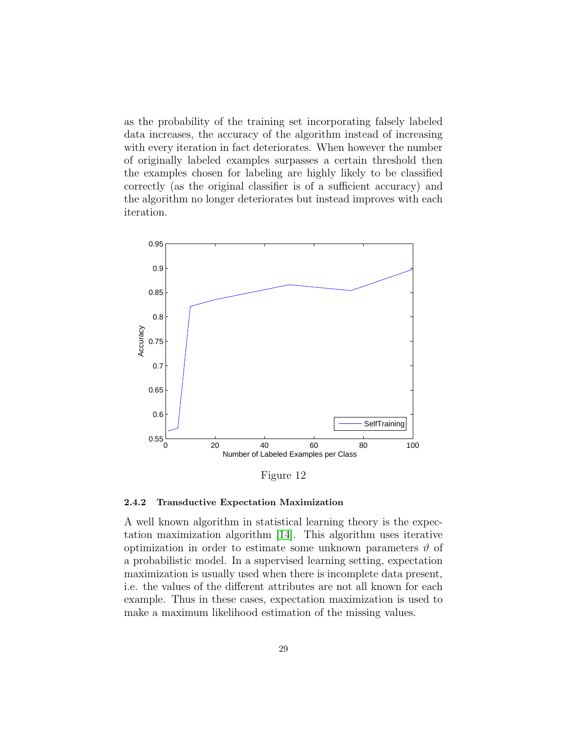as the probability of the training set incorporating falsely labeled data increases, the accuracy of the algorithm instead of increasing with every iteration in fact deteriorates. When however the number of originally labeled examples surpasses a certain threshold then the examples chosen for labeling are highly likely to be classified correctly (as the original classifier is of a sufficient accuracy) and the algorithm no longer deteriorates but instead improves with each iteration.



Figure 12

#### <span id="page-28-0"></span>2.4.2 Transductive Expectation Maximization

A well known algorithm in statistical learning theory is the expectation maximization algorithm [\[14\]](#page-92-8). This algorithm uses iterative optimization in order to estimate some unknown parameters  $\vartheta$  of a probabilistic model. In a supervised learning setting, expectation maximization is usually used when there is incomplete data present, i.e. the values of the different attributes are not all known for each example. Thus in these cases, expectation maximization is used to make a maximum likelihood estimation of the missing values.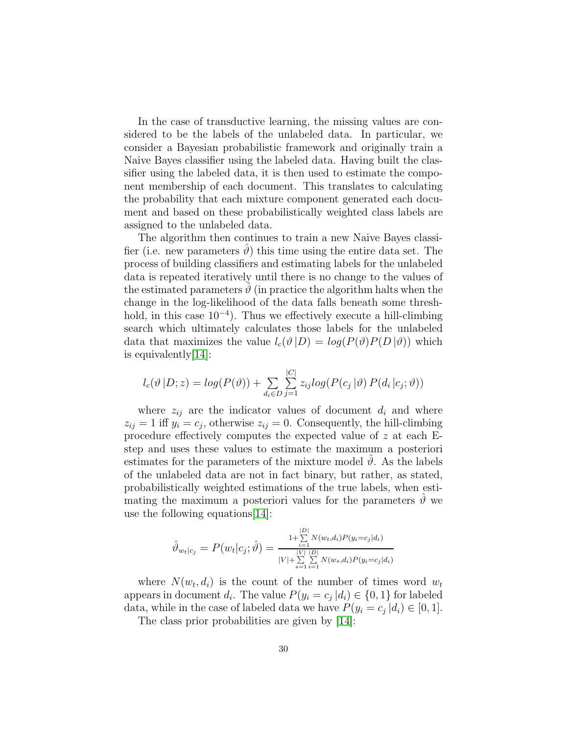In the case of transductive learning, the missing values are considered to be the labels of the unlabeled data. In particular, we consider a Bayesian probabilistic framework and originally train a Naive Bayes classifier using the labeled data. Having built the classifier using the labeled data, it is then used to estimate the component membership of each document. This translates to calculating the probability that each mixture component generated each document and based on these probabilistically weighted class labels are assigned to the unlabeled data.

The algorithm then continues to train a new Naive Bayes classifier (i.e. new parameters  $\vartheta$ ) this time using the entire data set. The process of building classifiers and estimating labels for the unlabeled data is repeated iteratively until there is no change to the values of the estimated parameters  $\hat{\theta}$  (in practice the algorithm halts when the change in the log-likelihood of the data falls beneath some threshhold, in this case 10−<sup>4</sup> ). Thus we effectively execute a hill-climbing search which ultimately calculates those labels for the unlabeled data that maximizes the value  $l_c(\vartheta|D) = log(P(\vartheta)P(D|\vartheta))$  which is equivalently[\[14\]](#page-92-8):

$$
l_c(\vartheta | D; z) = log(P(\vartheta)) + \sum_{d_i \in D} \sum_{j=1}^{|C|} z_{ij} log(P(c_j | \vartheta) P(d_i | c_j; \vartheta))
$$

where  $z_{ij}$  are the indicator values of document  $d_i$  and where  $z_{ij} = 1$  iff  $y_i = c_j$ , otherwise  $z_{ij} = 0$ . Consequently, the hill-climbing procedure effectively computes the expected value of z at each Estep and uses these values to estimate the maximum a posteriori estimates for the parameters of the mixture model  $\vartheta$ . As the labels of the unlabeled data are not in fact binary, but rather, as stated, probabilistically weighted estimations of the true labels, when estimating the maximum a posteriori values for the parameters  $\hat{\theta}$  we use the following equations[\[14\]](#page-92-8):

$$
\hat{\vartheta}_{w_t|c_j} = P(w_t|c_j; \hat{\vartheta}) = \frac{\prod\limits_{i=1}^{|D|} N(w_t, d_i) P(y_i = c_j|d_i)}{|V| + \sum\limits_{s=1}^{|V|} \sum\limits_{i=1}^{|D|} N(w_s, d_i) P(y_i = c_j|d_i)}
$$

where  $N(w_t, d_i)$  is the count of the number of times word  $w_t$ appears in document  $d_i$ . The value  $P(y_i = c_j | d_i) \in \{0, 1\}$  for labeled data, while in the case of labeled data we have  $P(y_i = c_j | d_i) \in [0, 1]$ .

The class prior probabilities are given by [\[14\]](#page-92-8):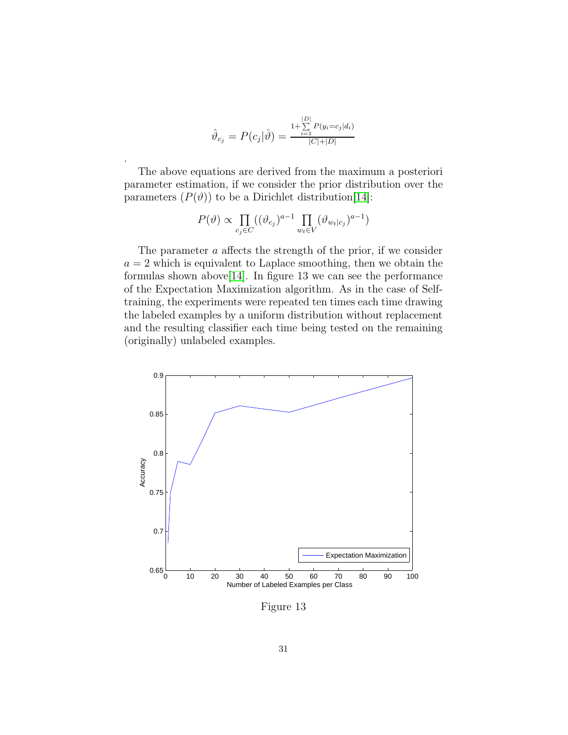$$
\hat{\vartheta}_{c_j} = P(c_j|\hat{\vartheta}) = \frac{\sum_{i=1}^{|D|} P(y_i = c_j|d_i)}{|C| + |D|}
$$

.

The above equations are derived from the maximum a posteriori parameter estimation, if we consider the prior distribution over the parameters  $(P(\vartheta))$  to be a Dirichlet distribution [\[14\]](#page-92-8):

$$
P(\vartheta) \propto \prod_{c_j \in C} ((\vartheta_{c_j})^{a-1} \prod_{w_t \in V} (\vartheta_{w_t|c_j})^{a-1})
$$

The parameter a affects the strength of the prior, if we consider  $a = 2$  which is equivalent to Laplace smoothing, then we obtain the formulas shown above[\[14\]](#page-92-8). In figure 13 we can see the performance of the Expectation Maximization algorithm. As in the case of Selftraining, the experiments were repeated ten times each time drawing the labeled examples by a uniform distribution without replacement and the resulting classifier each time being tested on the remaining (originally) unlabeled examples.



Figure 13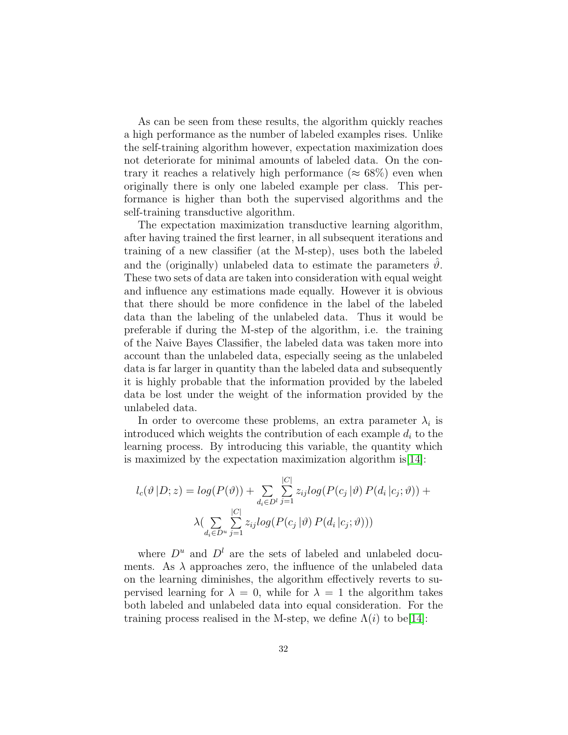As can be seen from these results, the algorithm quickly reaches a high performance as the number of labeled examples rises. Unlike the self-training algorithm however, expectation maximization does not deteriorate for minimal amounts of labeled data. On the contrary it reaches a relatively high performance ( $\approx 68\%$ ) even when originally there is only one labeled example per class. This performance is higher than both the supervised algorithms and the self-training transductive algorithm.

The expectation maximization transductive learning algorithm, after having trained the first learner, in all subsequent iterations and training of a new classifier (at the M-step), uses both the labeled and the (originally) unlabeled data to estimate the parameters  $\vartheta$ . These two sets of data are taken into consideration with equal weight and influence any estimations made equally. However it is obvious that there should be more confidence in the label of the labeled data than the labeling of the unlabeled data. Thus it would be preferable if during the M-step of the algorithm, i.e. the training of the Naive Bayes Classifier, the labeled data was taken more into account than the unlabeled data, especially seeing as the unlabeled data is far larger in quantity than the labeled data and subsequently it is highly probable that the information provided by the labeled data be lost under the weight of the information provided by the unlabeled data.

In order to overcome these problems, an extra parameter  $\lambda_i$  is introduced which weights the contribution of each example  $d_i$  to the learning process. By introducing this variable, the quantity which is maximized by the expectation maximization algorithm is[\[14\]](#page-92-8):

$$
l_c(\vartheta | D; z) = log(P(\vartheta)) + \sum_{d_i \in D^l} \sum_{j=1}^{|C|} z_{ij} log(P(c_j | \vartheta) P(d_i | c_j; \vartheta)) +
$$

$$
\lambda \left( \sum_{d_i \in D^u} \sum_{j=1}^{|C|} z_{ij} log(P(c_j | \vartheta) P(d_i | c_j; \vartheta)))\right)
$$

where  $D^u$  and  $D^l$  are the sets of labeled and unlabeled documents. As  $\lambda$  approaches zero, the influence of the unlabeled data on the learning diminishes, the algorithm effectively reverts to supervised learning for  $\lambda = 0$ , while for  $\lambda = 1$  the algorithm takes both labeled and unlabeled data into equal consideration. For the training process realised in the M-step, we define  $\Lambda(i)$  to be[\[14\]](#page-92-8):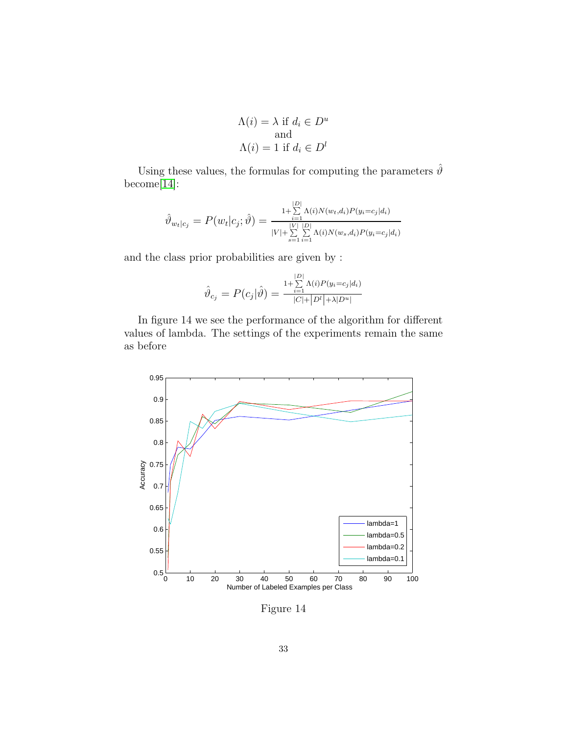$$
\Lambda(i) = \lambda \text{ if } d_i \in D^u
$$
  
and  

$$
\Lambda(i) = 1 \text{ if } d_i \in D^l
$$

Using these values, the formulas for computing the parameters  $\hat{\vartheta}$ become[\[14\]](#page-92-8):

$$
\hat{\vartheta}_{w_t|c_j} = P(w_t|c_j; \hat{\vartheta}) = \frac{\prod_{i=1}^{|D|} \Lambda(i) N(w_t, d_i) P(y_i = c_j | d_i)}{|V| + \sum_{s=1}^{|V|} \sum_{i=1}^{|D|} \Lambda(i) N(w_s, d_i) P(y_i = c_j | d_i)}
$$

and the class prior probabilities are given by :

$$
\hat{\vartheta}_{c_j} = P(c_j|\hat{\vartheta}) = \frac{\sum_{i=1}^{|D|} \Lambda(i) P(y_i = c_j|d_i)}{|C| + |D^l| + \lambda |D^u|}
$$

In figure 14 we see the performance of the algorithm for different values of lambda. The settings of the experiments remain the same as before



Figure 14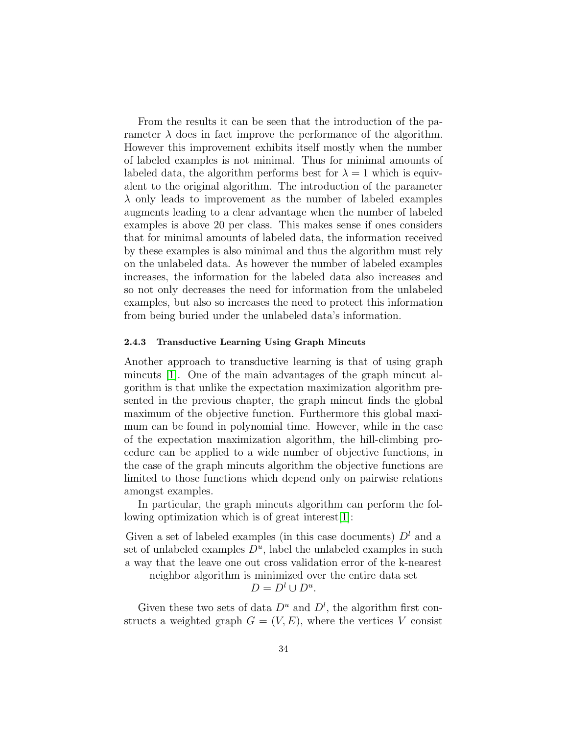From the results it can be seen that the introduction of the parameter  $\lambda$  does in fact improve the performance of the algorithm. However this improvement exhibits itself mostly when the number of labeled examples is not minimal. Thus for minimal amounts of labeled data, the algorithm performs best for  $\lambda = 1$  which is equivalent to the original algorithm. The introduction of the parameter  $\lambda$  only leads to improvement as the number of labeled examples augments leading to a clear advantage when the number of labeled examples is above 20 per class. This makes sense if ones considers that for minimal amounts of labeled data, the information received by these examples is also minimal and thus the algorithm must rely on the unlabeled data. As however the number of labeled examples increases, the information for the labeled data also increases and so not only decreases the need for information from the unlabeled examples, but also so increases the need to protect this information from being buried under the unlabeled data's information.

#### <span id="page-33-0"></span>2.4.3 Transductive Learning Using Graph Mincuts

Another approach to transductive learning is that of using graph mincuts [\[1\]](#page-91-2). One of the main advantages of the graph mincut algorithm is that unlike the expectation maximization algorithm presented in the previous chapter, the graph mincut finds the global maximum of the objective function. Furthermore this global maximum can be found in polynomial time. However, while in the case of the expectation maximization algorithm, the hill-climbing procedure can be applied to a wide number of objective functions, in the case of the graph mincuts algorithm the objective functions are limited to those functions which depend only on pairwise relations amongst examples.

In particular, the graph mincuts algorithm can perform the following optimization which is of great interest[\[1\]](#page-91-2):

Given a set of labeled examples (in this case documents)  $D<sup>l</sup>$  and a set of unlabeled examples  $D^u$ , label the unlabeled examples in such a way that the leave one out cross validation error of the k-nearest

neighbor algorithm is minimized over the entire data set

 $D = D^l \cup D^u$ .

Given these two sets of data  $D^u$  and  $D^l$ , the algorithm first constructs a weighted graph  $G = (V, E)$ , where the vertices V consist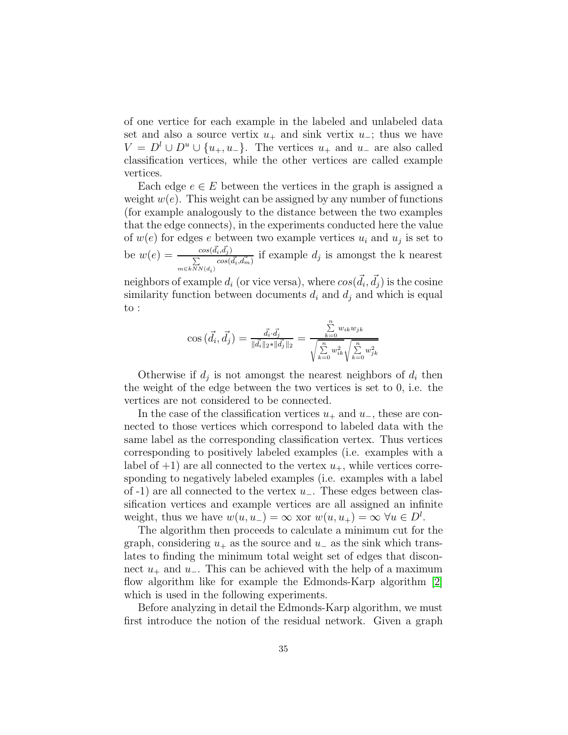of one vertice for each example in the labeled and unlabeled data set and also a source vertix  $u_+$  and sink vertix  $u_-$ ; thus we have  $V = D^l \cup D^u \cup \{u_+, u_-\}.$  The vertices  $u_+$  and  $u_-$  are also called classification vertices, while the other vertices are called example vertices.

Each edge  $e \in E$  between the vertices in the graph is assigned a weight  $w(e)$ . This weight can be assigned by any number of functions (for example analogously to the distance between the two examples that the edge connects), in the experiments conducted here the value of  $w(e)$  for edges e between two example vertices  $u_i$  and  $u_j$  is set to be  $w(e) = \frac{cos(\vec{d}_i, \vec{d}_j)}{\sum_{i=1}^{n} cos(i_i + \vec{d}_j)}$ P  $\frac{\sum\limits_{i=1}^{cos(a_i,a_j)}\sum\limits_{i=1}^{cos(\overrightarrow{d_i},\overrightarrow{d_m})}}{cos(\overrightarrow{d_i},\overrightarrow{d_m})}$  if example  $d_j$  is amongst the k nearest

neighbors of example  $d_i$  (or vice versa), where  $cos(\vec{d}_i, \vec{d}_j)$  is the cosine similarity function between documents  $d_i$  and  $d_j$  and which is equal to :

$$
\cos(\vec{d}_i, \vec{d}_j) = \frac{\vec{d}_i \cdot \vec{d}_j}{\|\vec{d}_i\|_2 \cdot \|\vec{d}_j\|_2} = \frac{\sum\limits_{k=0}^n w_{ik} w_{jk}}{\sqrt{\sum\limits_{k=0}^n w_{ik}^2} \sqrt{\sum\limits_{k=0}^n w_{jk}^2}}
$$

Otherwise if  $d_j$  is not amongst the nearest neighbors of  $d_i$  then the weight of the edge between the two vertices is set to 0, i.e. the vertices are not considered to be connected.

In the case of the classification vertices  $u_+$  and  $u_-$ , these are connected to those vertices which correspond to labeled data with the same label as the corresponding classification vertex. Thus vertices corresponding to positively labeled examples (i.e. examples with a label of  $+1$ ) are all connected to the vertex  $u_+$ , while vertices corresponding to negatively labeled examples (i.e. examples with a label of -1) are all connected to the vertex  $u_$ . These edges between classification vertices and example vertices are all assigned an infinite weight, thus we have  $w(u, u_{-}) = \infty$  xor  $w(u, u_{+}) = \infty$   $\forall u \in D^{l}$ .

The algorithm then proceeds to calculate a minimum cut for the graph, considering  $u_+$  as the source and  $u_-$  as the sink which translates to finding the minimum total weight set of edges that disconnect  $u_+$  and  $u_-$ . This can be achieved with the help of a maximum flow algorithm like for example the Edmonds-Karp algorithm [\[2\]](#page-91-3) which is used in the following experiments.

Before analyzing in detail the Edmonds-Karp algorithm, we must first introduce the notion of the residual network. Given a graph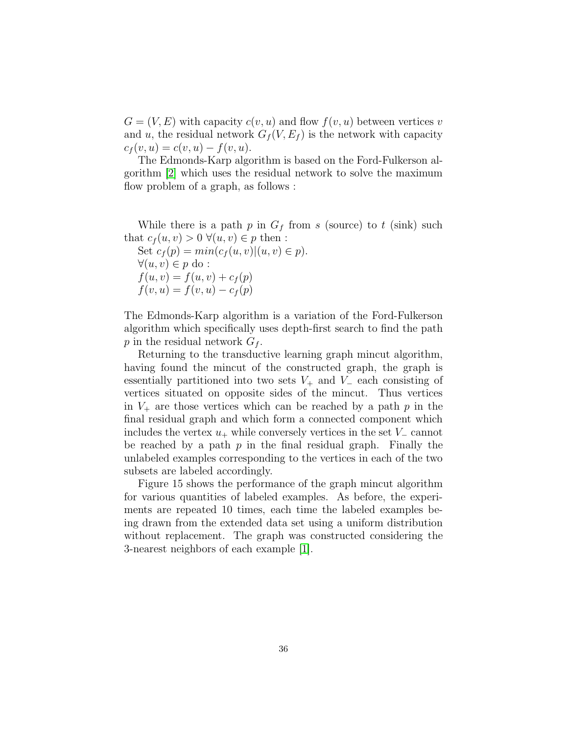$G = (V, E)$  with capacity  $c(v, u)$  and flow  $f(v, u)$  between vertices v and u, the residual network  $G_f(V, E_f)$  is the network with capacity  $c_f(v, u) = c(v, u) - f(v, u).$ 

The Edmonds-Karp algorithm is based on the Ford-Fulkerson algorithm [\[2\]](#page-91-3) which uses the residual network to solve the maximum flow problem of a graph, as follows :

While there is a path  $p$  in  $G_f$  from s (source) to t (sink) such that  $c_f(u, v) > 0 \ \forall (u, v) \in p$  then :

Set  $c_f(p) = min(c_f(u, v)|(u, v) \in p)$ .  $\forall (u, v) \in p \text{ do :}$  $f(u, v) = f(u, v) + c_f(p)$  $f(v, u) = f(v, u) - c_f(p)$ 

The Edmonds-Karp algorithm is a variation of the Ford-Fulkerson algorithm which specifically uses depth-first search to find the path p in the residual network  $G_f$ .

Returning to the transductive learning graph mincut algorithm, having found the mincut of the constructed graph, the graph is essentially partitioned into two sets  $V_+$  and  $V_-$  each consisting of vertices situated on opposite sides of the mincut. Thus vertices in  $V_+$  are those vertices which can be reached by a path p in the final residual graph and which form a connected component which includes the vertex  $u_+$  while conversely vertices in the set  $V_-\text{cannot}$ be reached by a path  $p$  in the final residual graph. Finally the unlabeled examples corresponding to the vertices in each of the two subsets are labeled accordingly.

Figure 15 shows the performance of the graph mincut algorithm for various quantities of labeled examples. As before, the experiments are repeated 10 times, each time the labeled examples being drawn from the extended data set using a uniform distribution without replacement. The graph was constructed considering the 3-nearest neighbors of each example [\[1\]](#page-91-2).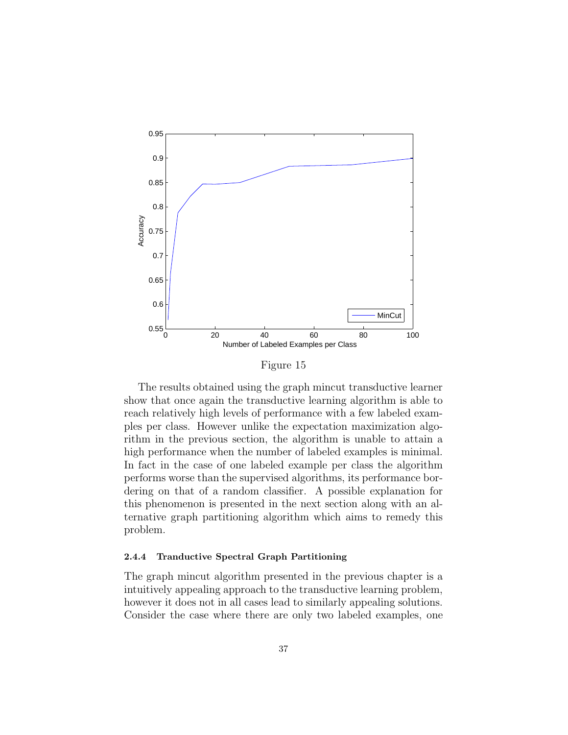

Figure 15

The results obtained using the graph mincut transductive learner show that once again the transductive learning algorithm is able to reach relatively high levels of performance with a few labeled examples per class. However unlike the expectation maximization algorithm in the previous section, the algorithm is unable to attain a high performance when the number of labeled examples is minimal. In fact in the case of one labeled example per class the algorithm performs worse than the supervised algorithms, its performance bordering on that of a random classifier. A possible explanation for this phenomenon is presented in the next section along with an alternative graph partitioning algorithm which aims to remedy this problem.

## 2.4.4 Tranductive Spectral Graph Partitioning

The graph mincut algorithm presented in the previous chapter is a intuitively appealing approach to the transductive learning problem, however it does not in all cases lead to similarly appealing solutions. Consider the case where there are only two labeled examples, one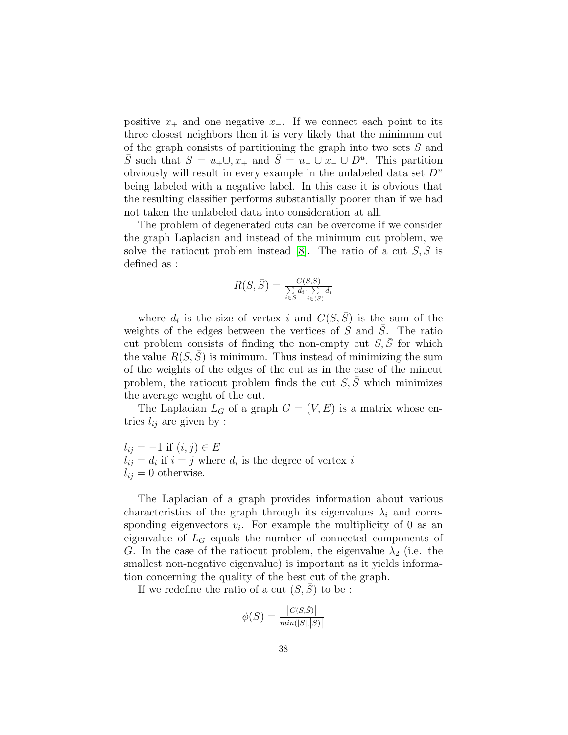positive  $x_+$  and one negative  $x_-.$  If we connect each point to its three closest neighbors then it is very likely that the minimum cut of the graph consists of partitioning the graph into two sets S and  $\overline{S}$  such that  $S = u_+ \cup, x_+$  and  $\overline{S} = u_- \cup x_- \cup D^u$ . This partition obviously will result in every example in the unlabeled data set  $D^u$ being labeled with a negative label. In this case it is obvious that the resulting classifier performs substantially poorer than if we had not taken the unlabeled data into consideration at all.

The problem of degenerated cuts can be overcome if we consider the graph Laplacian and instead of the minimum cut problem, we solve the ratiocut problem instead [\[8\]](#page-91-0). The ratio of a cut  $S, \overline{S}$  is defined as :

$$
R(S, \bar{S}) = \frac{C(S, \bar{S})}{\sum\limits_{i \in S} d_i \cdot \sum\limits_{i \in (S)} d_i}
$$

where  $d_i$  is the size of vertex i and  $C(S, \overline{S})$  is the sum of the weights of the edges between the vertices of  $\overrightarrow{S}$  and  $\overrightarrow{S}$ . The ratio cut problem consists of finding the non-empty cut  $S, \overline{S}$  for which the value  $R(S, S)$  is minimum. Thus instead of minimizing the sum of the weights of the edges of the cut as in the case of the mincut problem, the ratiocut problem finds the cut  $S, \overline{S}$  which minimizes the average weight of the cut.

The Laplacian  $L_G$  of a graph  $G = (V, E)$  is a matrix whose entries  $l_{ij}$  are given by :

 $l_{ij} = -1$  if  $(i, j) \in E$  $l_{ij} = d_i$  if  $i = j$  where  $d_i$  is the degree of vertex i  $l_{ij} = 0$  otherwise.

The Laplacian of a graph provides information about various characteristics of the graph through its eigenvalues  $\lambda_i$  and corresponding eigenvectors  $v_i$ . For example the multiplicity of 0 as an eigenvalue of  $L_G$  equals the number of connected components of G. In the case of the ratiocut problem, the eigenvalue  $\lambda_2$  (i.e. the smallest non-negative eigenvalue) is important as it yields information concerning the quality of the best cut of the graph.

If we redefine the ratio of a cut  $(S, \overline{S})$  to be :

$$
\phi(S) = \frac{|C(S,\bar{S})|}{\min(|S|,|\bar{S})|}
$$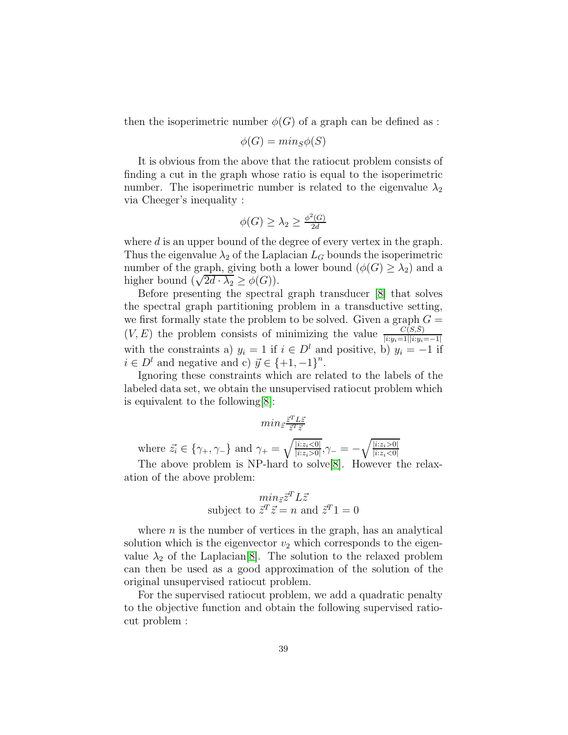then the isoperimetric number  $\phi(G)$  of a graph can be defined as :

$$
\phi(G) = min_S \phi(S)
$$

It is obvious from the above that the ratiocut problem consists of finding a cut in the graph whose ratio is equal to the isoperimetric number. The isoperimetric number is related to the eigenvalue  $\lambda_2$ via Cheeger's inequality :

$$
\phi(G) \ge \lambda_2 \ge \frac{\phi^2(G)}{2d}
$$

where d is an upper bound of the degree of every vertex in the graph. Thus the eigenvalue  $\lambda_2$  of the Laplacian  $L_G$  bounds the isoperimetric number of the graph, giving both a lower bound  $(\phi(G) \geq \lambda_2)$  and a higher bound  $(\sqrt{2d} \cdot \lambda_2 \ge \phi(G))$ .

Before presenting the spectral graph transducer [\[8\]](#page-91-0) that solves the spectral graph partitioning problem in a transductive setting, we first formally state the problem to be solved. Given a graph  $G =$  $(V, E)$  the problem consists of minimizing the value  $\frac{C(S,\bar{S})}{|i:y_i=1||i:y_i=-1|}$ with the constraints a)  $y_i = 1$  if  $i \in D^l$  and positive, b)  $y_i = -1$  if  $i \in D^l$  and negative and c)  $\vec{y} \in \{+1, -1\}^n$ .

Ignoring these constraints which are related to the labels of the labeled data set, we obtain the unsupervised ratiocut problem which is equivalent to the following[\[8\]](#page-91-0):

$$
min_{\vec{z}} \tfrac{\vec{z}^T L \vec{z}}{\vec{z}^T \vec{z}}
$$

where  $\vec{z}_i \in \{\gamma_+, \gamma_-\}$  and  $\gamma_+ = \sqrt{\frac{|i:z_i \leq 0|}{|i:z_i \geq 0|}}$  $\frac{|i:z_i<0|}{|i:z_i>0|}, \gamma_{-}=-\sqrt{\frac{|i:z_i>0|}{|i:z_i<0|}}$  $|i:z_i<0|$ 

The above problem is NP-hard to solve[\[8\]](#page-91-0). However the relaxation of the above problem:

$$
min_{\vec{z}} \vec{z}^T L \vec{z}
$$
subject to  $\vec{z}^T \vec{z} = n$  and  $\vec{z}^T 1 = 0$ 

where  $n$  is the number of vertices in the graph, has an analytical solution which is the eigenvector  $v_2$  which corresponds to the eigenvalue  $\lambda_2$  of the Laplacian<sup>[\[8\]](#page-91-0)</sup>. The solution to the relaxed problem can then be used as a good approximation of the solution of the original unsupervised ratiocut problem.

For the supervised ratiocut problem, we add a quadratic penalty to the objective function and obtain the following supervised ratiocut problem :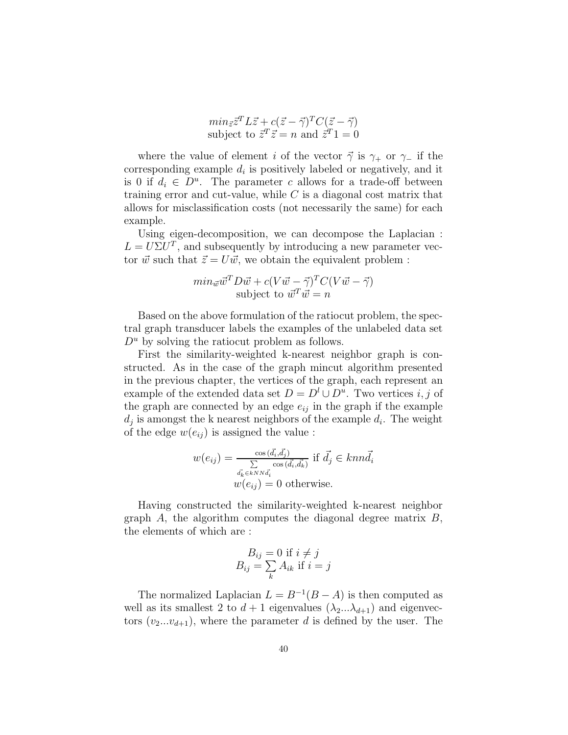$$
min_{\vec{z}} \vec{z}^T L \vec{z} + c(\vec{z} - \vec{\gamma})^T C(\vec{z} - \vec{\gamma})
$$
  
subject to  $\vec{z}^T \vec{z} = n$  and  $\vec{z}^T 1 = 0$ 

where the value of element *i* of the vector  $\vec{\gamma}$  is  $\gamma_+$  or  $\gamma_-$  if the corresponding example  $d_i$  is positively labeled or negatively, and it is 0 if  $d_i \in D^u$ . The parameter c allows for a trade-off between training error and cut-value, while  $C$  is a diagonal cost matrix that allows for misclassification costs (not necessarily the same) for each example.

Using eigen-decomposition, we can decompose the Laplacian :  $L = U\Sigma U^T$ , and subsequently by introducing a new parameter vector  $\vec{w}$  such that  $\vec{z} = U \vec{w}$ , we obtain the equivalent problem :

$$
min_{\vec{w}} \vec{w}^T D \vec{w} + c(V\vec{w} - \vec{\gamma})^T C (V\vec{w} - \vec{\gamma})
$$
  
subject to  $\vec{w}^T \vec{w} = n$ 

Based on the above formulation of the ratiocut problem, the spectral graph transducer labels the examples of the unlabeled data set  $D^u$  by solving the ratiocut problem as follows.

First the similarity-weighted k-nearest neighbor graph is constructed. As in the case of the graph mincut algorithm presented in the previous chapter, the vertices of the graph, each represent an example of the extended data set  $D = D^l \cup D^u$ . Two vertices *i*, *j* of the graph are connected by an edge  $e_{ij}$  in the graph if the example  $d_j$  is amongst the k nearest neighbors of the example  $d_i$ . The weight of the edge  $w(e_{ij})$  is assigned the value :

$$
w(e_{ij}) = \frac{\cos(\vec{d_i}, \vec{d_j})}{\sum \cos(\vec{d_i}, \vec{d_k})} \text{ if } \vec{d_j} \in knn\vec{d_i}
$$

$$
w(e_{ij}) = 0 \text{ otherwise.}
$$

Having constructed the similarity-weighted k-nearest neighbor graph  $A$ , the algorithm computes the diagonal degree matrix  $B$ , the elements of which are :

$$
B_{ij} = 0 \text{ if } i \neq j
$$
  

$$
B_{ij} = \sum_{k} A_{ik} \text{ if } i = j
$$

The normalized Laplacian  $L = B^{-1}(B - A)$  is then computed as well as its smallest 2 to  $d+1$  eigenvalues  $(\lambda_2...\lambda_{d+1})$  and eigenvectors  $(v_2...v_{d+1})$ , where the parameter d is defined by the user. The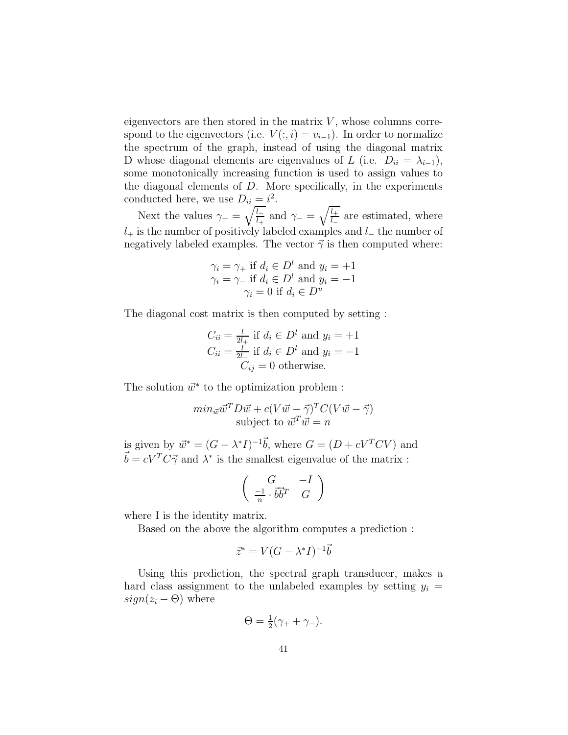eigenvectors are then stored in the matrix  $V$ , whose columns correspond to the eigenvectors (i.e.  $V(:, i) = v_{i-1}$ ). In order to normalize the spectrum of the graph, instead of using the diagonal matrix D whose diagonal elements are eigenvalues of L (i.e.  $D_{ii} = \lambda_{i-1}$ ), some monotonically increasing function is used to assign values to the diagonal elements of  $D$ . More specifically, in the experiments conducted here, we use  $D_{ii} = i^2$ .

Next the values  $\gamma_+ = \sqrt{\frac{l_-}{l_+}}$  $\frac{\overline{l_-}}{l_+}$  and  $\gamma_- = \sqrt{\frac{l_+}{l_-}}$  $\frac{l_+}{l_-}$  are estimated, where  $l_+$  is the number of positively labeled examples and  $l_-\,$  the number of negatively labeled examples. The vector  $\vec{\gamma}$  is then computed where:

$$
\gamma_i = \gamma_+ \text{ if } d_i \in D^l \text{ and } y_i = +1
$$
  

$$
\gamma_i = \gamma_- \text{ if } d_i \in D^l \text{ and } y_i = -1
$$
  

$$
\gamma_i = 0 \text{ if } d_i \in D^u
$$

The diagonal cost matrix is then computed by setting :

$$
C_{ii} = \frac{l}{2l_+} \text{ if } d_i \in D^l \text{ and } y_i = +1
$$
  

$$
C_{ii} = \frac{l}{2l_-} \text{ if } d_i \in D^l \text{ and } y_i = -1
$$
  

$$
C_{ij} = 0 \text{ otherwise.}
$$

The solution  $\vec{w}^*$  to the optimization problem :

$$
min_{\vec{w}} \vec{w}^T D \vec{w} + c(V\vec{w} - \vec{\gamma})^T C (V\vec{w} - \vec{\gamma})
$$
  
subject to  $\vec{w}^T \vec{w} = n$ 

is given by  $\vec{w}^* = (G - \lambda^* I)^{-1} \vec{b}$ , where  $G = (D + cV^T CV)$  and  $\vec{b} = cV^T C \vec{\gamma}$  and  $\lambda^*$  is the smallest eigenvalue of the matrix :

$$
\left(\begin{array}{cc} G & -I\\ \frac{-1}{n} \cdot \vec{b} \vec{b}^T & G \end{array}\right)
$$

where I is the identity matrix.

Based on the above the algorithm computes a prediction :

$$
\vec{z}^* = V(G - \lambda^* I)^{-1} \vec{b}
$$

Using this prediction, the spectral graph transducer, makes a hard class assignment to the unlabeled examples by setting  $y_i =$  $sign(z_i - \Theta)$  where

$$
\Theta = \frac{1}{2}(\gamma_+ + \gamma_-).
$$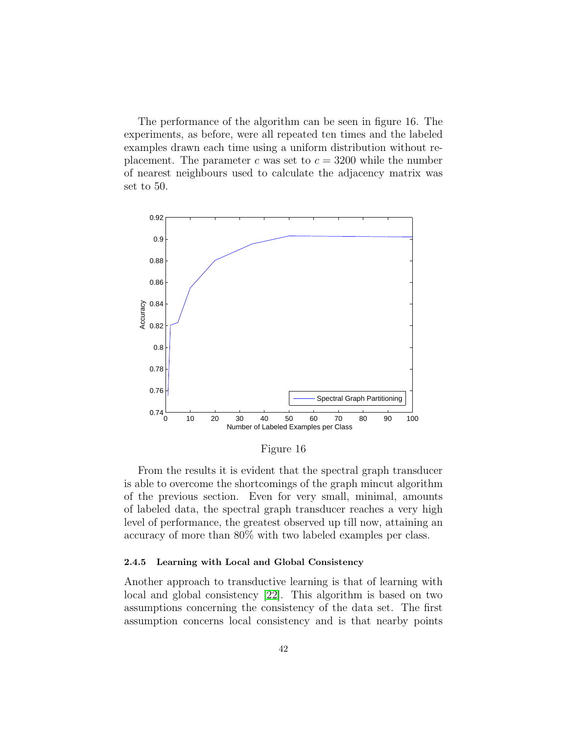The performance of the algorithm can be seen in figure 16. The experiments, as before, were all repeated ten times and the labeled examples drawn each time using a uniform distribution without replacement. The parameter c was set to  $c = 3200$  while the number of nearest neighbours used to calculate the adjacency matrix was set to 50.



Figure 16

From the results it is evident that the spectral graph transducer is able to overcome the shortcomings of the graph mincut algorithm of the previous section. Even for very small, minimal, amounts of labeled data, the spectral graph transducer reaches a very high level of performance, the greatest observed up till now, attaining an accuracy of more than 80% with two labeled examples per class.

#### 2.4.5 Learning with Local and Global Consistency

Another approach to transductive learning is that of learning with local and global consistency [\[22\]](#page-93-0). This algorithm is based on two assumptions concerning the consistency of the data set. The first assumption concerns local consistency and is that nearby points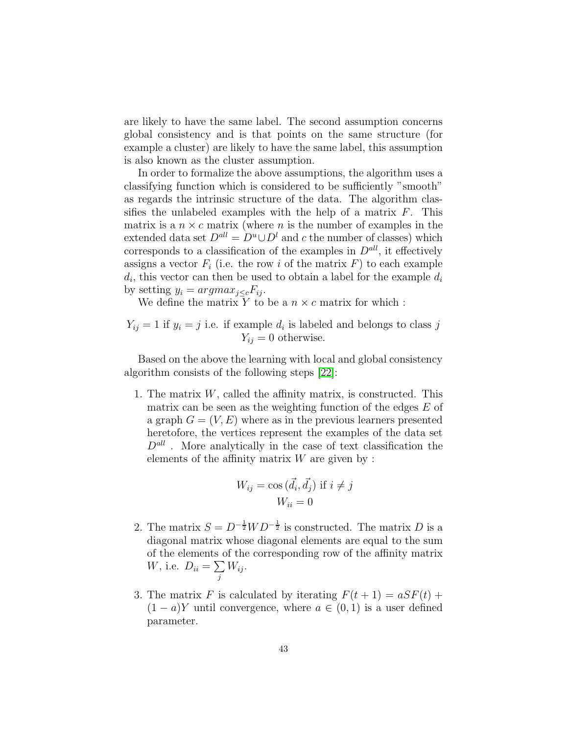are likely to have the same label. The second assumption concerns global consistency and is that points on the same structure (for example a cluster) are likely to have the same label, this assumption is also known as the cluster assumption.

In order to formalize the above assumptions, the algorithm uses a classifying function which is considered to be sufficiently "smooth" as regards the intrinsic structure of the data. The algorithm classifies the unlabeled examples with the help of a matrix  $F$ . This matrix is a  $n \times c$  matrix (where n is the number of examples in the extended data set  $D^{all} = D^u \cup D^l$  and c the number of classes) which corresponds to a classification of the examples in  $D<sup>all</sup>$ , it effectively assigns a vector  $F_i$  (i.e. the row i of the matrix  $F$ ) to each example  $d_i$ , this vector can then be used to obtain a label for the example  $d_i$ by setting  $y_i = argmax_{j \leq c} F_{ij}$ .

We define the matrix Y to be a  $n \times c$  matrix for which :

 $Y_{ij} = 1$  if  $y_i = j$  i.e. if example  $d_i$  is labeled and belongs to class j  $Y_{ij} = 0$  otherwise.

Based on the above the learning with local and global consistency algorithm consists of the following steps [\[22\]](#page-93-0):

1. The matrix  $W$ , called the affinity matrix, is constructed. This matrix can be seen as the weighting function of the edges  $E$  of a graph  $G = (V, E)$  where as in the previous learners presented heretofore, the vertices represent the examples of the data set  $D<sup>all</sup>$ . More analytically in the case of text classification the elements of the affinity matrix  $W$  are given by :

$$
W_{ij} = \cos(\vec{d_i}, \vec{d_j}) \text{ if } i \neq j
$$
  

$$
W_{ii} = 0
$$

- 2. The matrix  $S = D^{-\frac{1}{2}}WD^{-\frac{1}{2}}$  is constructed. The matrix D is a diagonal matrix whose diagonal elements are equal to the sum of the elements of the corresponding row of the affinity matrix *W*, i.e.  $D_{ii} = \sum$ j  $W_{ij}$ .
- 3. The matrix F is calculated by iterating  $F(t + 1) = aSF(t) +$  $(1 - a)Y$  until convergence, where  $a \in (0, 1)$  is a user defined parameter.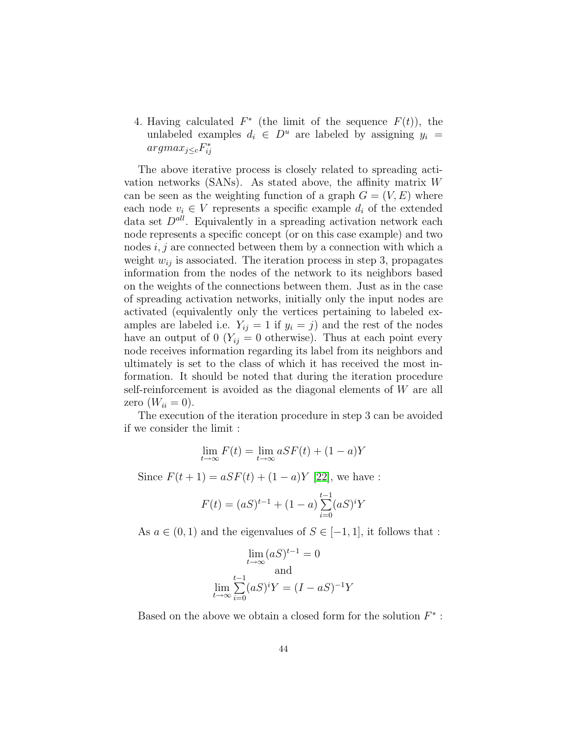4. Having calculated  $F^*$  (the limit of the sequence  $F(t)$ ), the unlabeled examples  $d_i \in D^u$  are labeled by assigning  $y_i =$  $argmax_{j\leq c}F_{ij}^*$ 

The above iterative process is closely related to spreading activation networks (SANs). As stated above, the affinity matrix W can be seen as the weighting function of a graph  $G = (V, E)$  where each node  $v_i \in V$  represents a specific example  $d_i$  of the extended data set  $D^{all}$ . Equivalently in a spreading activation network each node represents a specific concept (or on this case example) and two nodes  $i, j$  are connected between them by a connection with which a weight  $w_{ij}$  is associated. The iteration process in step 3, propagates information from the nodes of the network to its neighbors based on the weights of the connections between them. Just as in the case of spreading activation networks, initially only the input nodes are activated (equivalently only the vertices pertaining to labeled examples are labeled i.e.  $Y_{ij} = 1$  if  $y_i = j$  and the rest of the nodes have an output of 0  $(Y_{ij} = 0$  otherwise). Thus at each point every node receives information regarding its label from its neighbors and ultimately is set to the class of which it has received the most information. It should be noted that during the iteration procedure self-reinforcement is avoided as the diagonal elements of W are all zero  $(W_{ii} = 0)$ .

The execution of the iteration procedure in step 3 can be avoided if we consider the limit :

$$
\lim_{t \to \infty} F(t) = \lim_{t \to \infty} aSF(t) + (1 - a)Y
$$

Since  $F(t + 1) = aSF(t) + (1 - a)Y$  [\[22\]](#page-93-0), we have :

$$
F(t) = (aS)^{t-1} + (1-a)\sum_{i=0}^{t-1} (aS)^{i}Y
$$

As  $a \in (0,1)$  and the eigenvalues of  $S \in [-1,1]$ , it follows that :

$$
\lim_{t \to \infty} (aS)^{t-1} = 0
$$
  
and  

$$
\lim_{t \to \infty} \sum_{i=0}^{t-1} (aS)^i Y = (I - aS)^{-1}Y
$$

Based on the above we obtain a closed form for the solution  $F^*$ :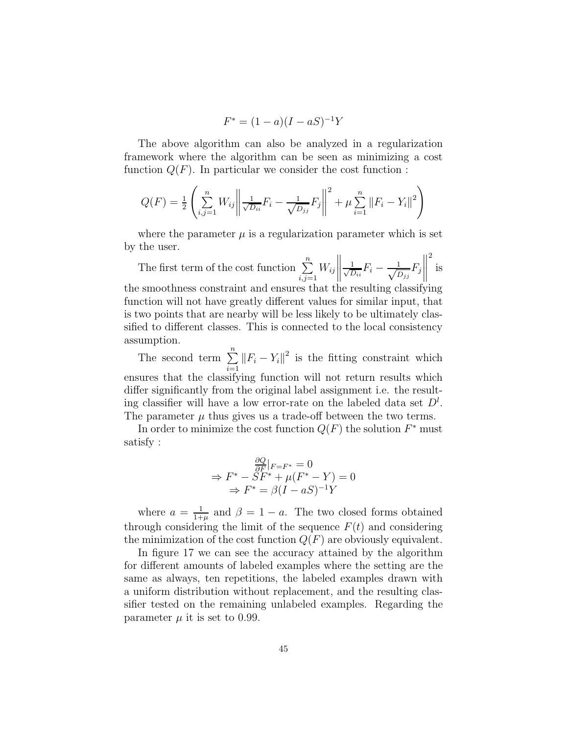$$
F^* = (1 - a)(I - aS)^{-1}Y
$$

The above algorithm can also be analyzed in a regularization framework where the algorithm can be seen as minimizing a cost function  $Q(F)$ . In particular we consider the cost function :

$$
Q(F) = \frac{1}{2} \left( \sum_{i,j=1}^{n} W_{ij} \left\| \frac{1}{\sqrt{D_{ii}}} F_i - \frac{1}{\sqrt{D_{jj}}} F_j \right\|^2 + \mu \sum_{i=1}^{n} \| F_i - Y_i \|^2 \right)
$$

where the parameter  $\mu$  is a regularization parameter which is set by the user.

The first term of the cost function  $\sum_{n=1}^{\infty}$  $i,j=1$  $W_{ij}$   $\frac{1}{\sqrt{r}}$  $\frac{1}{D_{ii}}F_i - \frac{1}{\sqrt{L}}$  $\frac{1}{D_{jj}}F_j$  2 is the smoothness constraint and ensures that the resulting classifying function will not have greatly different values for similar input, that is two points that are nearby will be less likely to be ultimately classified to different classes. This is connected to the local consistency assumption.

The second term  $\sum_{n=1}^{\infty}$  $\sum_{i=1}^{\infty} ||F_i - Y_i||^2$  is the fitting constraint which ensures that the classifying function will not return results which differ significantly from the original label assignment i.e. the resulting classifier will have a low error-rate on the labeled data set  $D^l$ . The parameter  $\mu$  thus gives us a trade-off between the two terms.

In order to minimize the cost function  $Q(F)$  the solution  $F^*$  must satisfy :

$$
\Rightarrow F^* - SF^* + \mu(F^* - Y) = 0
$$
  
\n
$$
\Rightarrow F^* - SF^* + \mu(F^* - Y) = 0
$$
  
\n
$$
\Rightarrow F^* = \beta(I - aS)^{-1}Y
$$

where  $a = \frac{1}{1+}$  $\frac{1}{1+\mu}$  and  $\beta = 1 - a$ . The two closed forms obtained through considering the limit of the sequence  $F(t)$  and considering the minimization of the cost function  $Q(F)$  are obviously equivalent.

In figure 17 we can see the accuracy attained by the algorithm for different amounts of labeled examples where the setting are the same as always, ten repetitions, the labeled examples drawn with a uniform distribution without replacement, and the resulting classifier tested on the remaining unlabeled examples. Regarding the parameter  $\mu$  it is set to 0.99.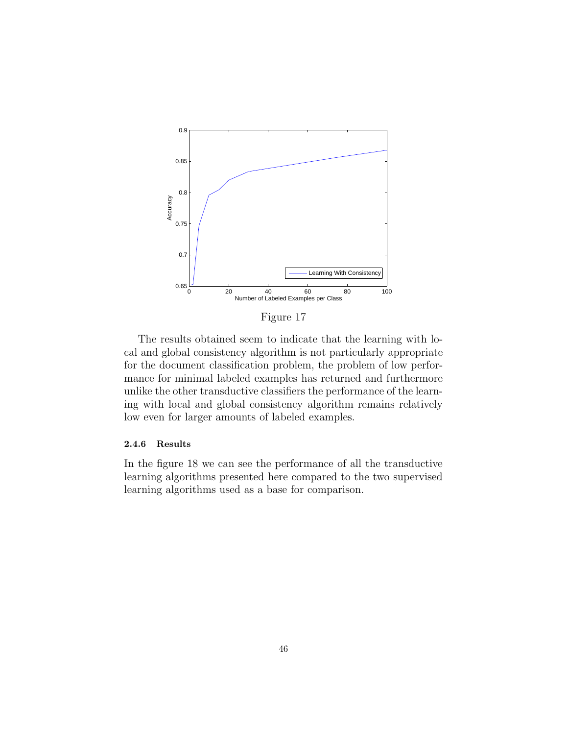

Figure 17

The results obtained seem to indicate that the learning with local and global consistency algorithm is not particularly appropriate for the document classification problem, the problem of low performance for minimal labeled examples has returned and furthermore unlike the other transductive classifiers the performance of the learning with local and global consistency algorithm remains relatively low even for larger amounts of labeled examples.

# 2.4.6 Results

In the figure 18 we can see the performance of all the transductive learning algorithms presented here compared to the two supervised learning algorithms used as a base for comparison.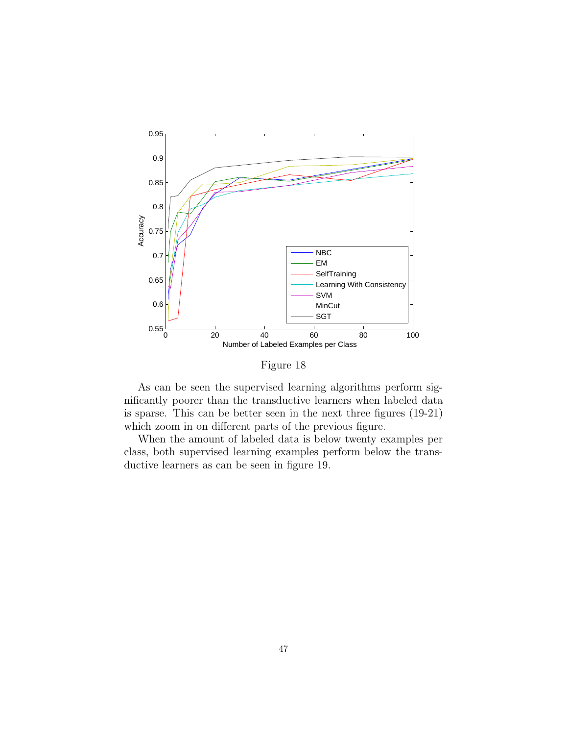

Figure 18

As can be seen the supervised learning algorithms perform significantly poorer than the transductive learners when labeled data is sparse. This can be better seen in the next three figures (19-21) which zoom in on different parts of the previous figure.

When the amount of labeled data is below twenty examples per class, both supervised learning examples perform below the transductive learners as can be seen in figure 19.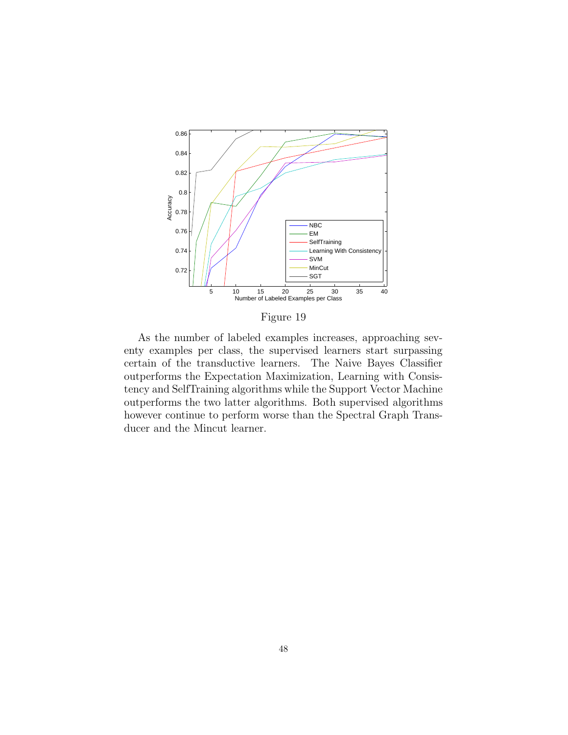

Figure 19

As the number of labeled examples increases, approaching seventy examples per class, the supervised learners start surpassing certain of the transductive learners. The Naive Bayes Classifier outperforms the Expectation Maximization, Learning with Consistency and SelfTraining algorithms while the Support Vector Machine outperforms the two latter algorithms. Both supervised algorithms however continue to perform worse than the Spectral Graph Transducer and the Mincut learner.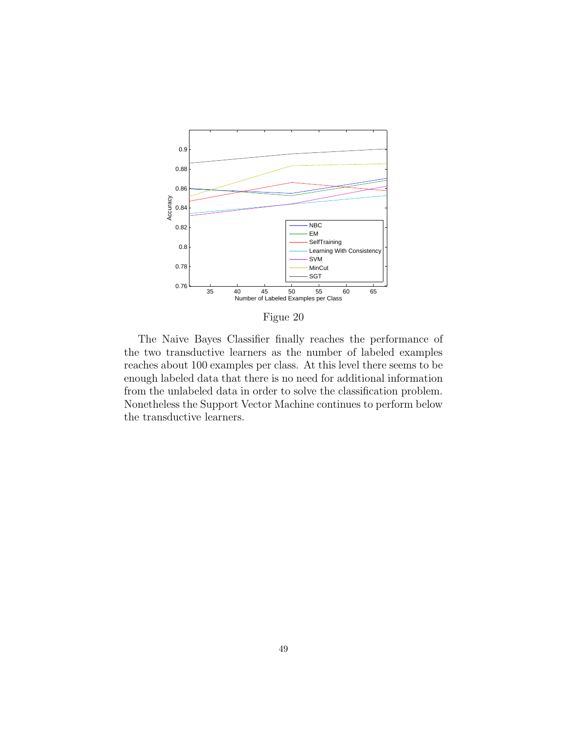

Figue 20

The Naive Bayes Classifier finally reaches the performance of the two transductive learners as the number of labeled examples reaches about 100 examples per class. At this level there seems to be enough labeled data that there is no need for additional information from the unlabeled data in order to solve the classification problem. Nonetheless the Support Vector Machine continues to perform below the transductive learners.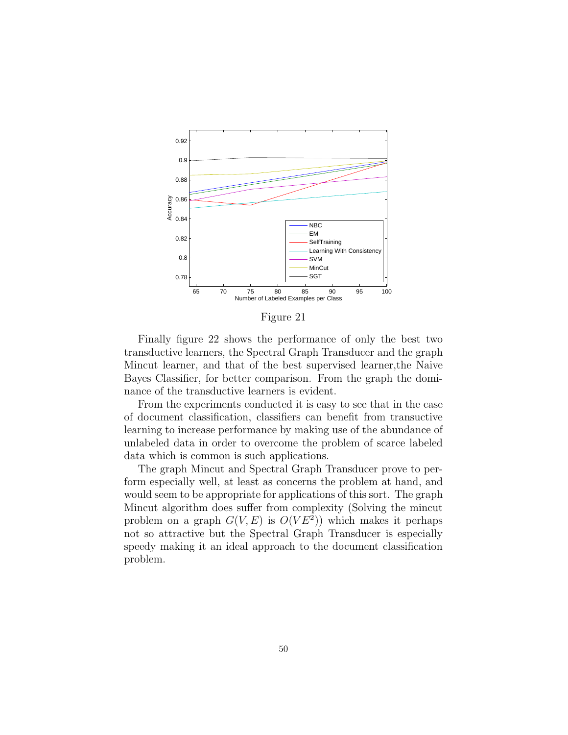

Figure 21

Finally figure 22 shows the performance of only the best two transductive learners, the Spectral Graph Transducer and the graph Mincut learner, and that of the best supervised learner,the Naive Bayes Classifier, for better comparison. From the graph the dominance of the transductive learners is evident.

From the experiments conducted it is easy to see that in the case of document classification, classifiers can benefit from transuctive learning to increase performance by making use of the abundance of unlabeled data in order to overcome the problem of scarce labeled data which is common is such applications.

The graph Mincut and Spectral Graph Transducer prove to perform especially well, at least as concerns the problem at hand, and would seem to be appropriate for applications of this sort. The graph Mincut algorithm does suffer from complexity (Solving the mincut problem on a graph  $G(V, E)$  is  $O(V E^2)$  which makes it perhaps not so attractive but the Spectral Graph Transducer is especially speedy making it an ideal approach to the document classification problem.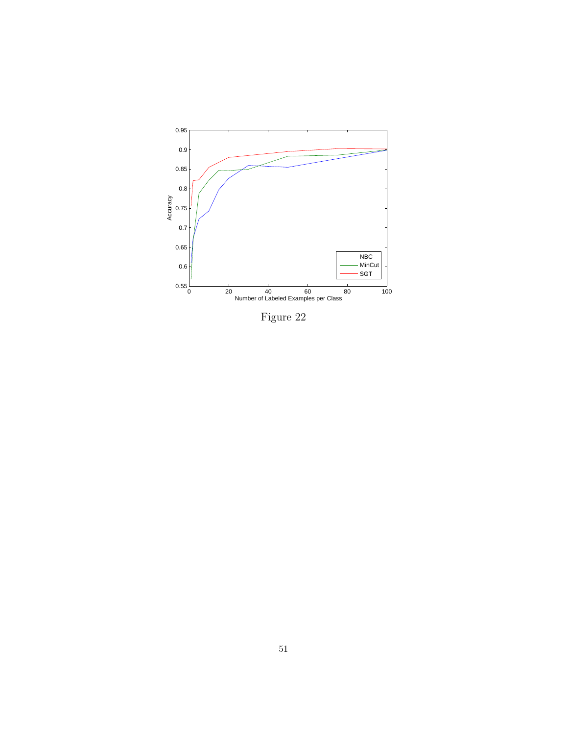

Figure 22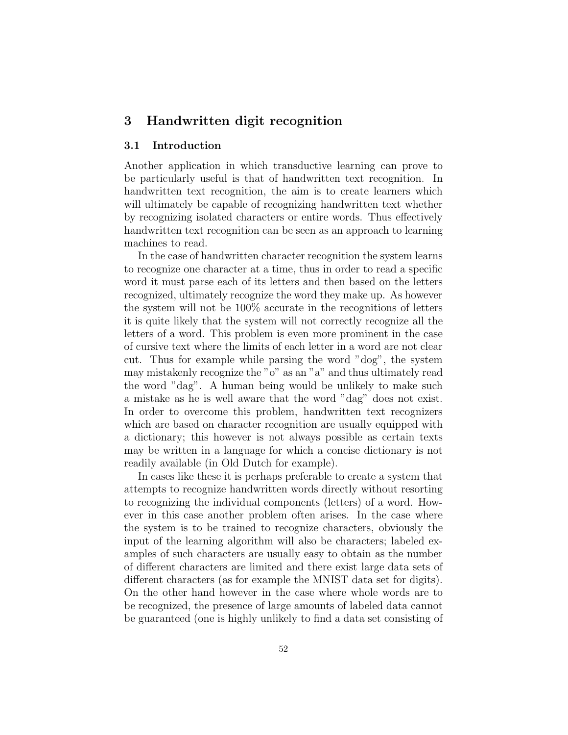# 3 Handwritten digit recognition

# 3.1 Introduction

Another application in which transductive learning can prove to be particularly useful is that of handwritten text recognition. In handwritten text recognition, the aim is to create learners which will ultimately be capable of recognizing handwritten text whether by recognizing isolated characters or entire words. Thus effectively handwritten text recognition can be seen as an approach to learning machines to read.

In the case of handwritten character recognition the system learns to recognize one character at a time, thus in order to read a specific word it must parse each of its letters and then based on the letters recognized, ultimately recognize the word they make up. As however the system will not be 100% accurate in the recognitions of letters it is quite likely that the system will not correctly recognize all the letters of a word. This problem is even more prominent in the case of cursive text where the limits of each letter in a word are not clear cut. Thus for example while parsing the word "dog", the system may mistakenly recognize the "o" as an "a" and thus ultimately read the word "dag". A human being would be unlikely to make such a mistake as he is well aware that the word "dag" does not exist. In order to overcome this problem, handwritten text recognizers which are based on character recognition are usually equipped with a dictionary; this however is not always possible as certain texts may be written in a language for which a concise dictionary is not readily available (in Old Dutch for example).

In cases like these it is perhaps preferable to create a system that attempts to recognize handwritten words directly without resorting to recognizing the individual components (letters) of a word. However in this case another problem often arises. In the case where the system is to be trained to recognize characters, obviously the input of the learning algorithm will also be characters; labeled examples of such characters are usually easy to obtain as the number of different characters are limited and there exist large data sets of different characters (as for example the MNIST data set for digits). On the other hand however in the case where whole words are to be recognized, the presence of large amounts of labeled data cannot be guaranteed (one is highly unlikely to find a data set consisting of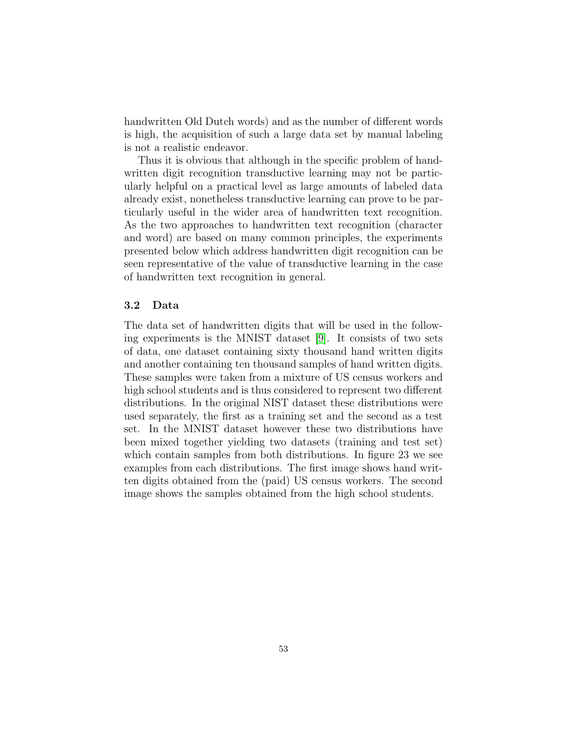handwritten Old Dutch words) and as the number of different words is high, the acquisition of such a large data set by manual labeling is not a realistic endeavor.

Thus it is obvious that although in the specific problem of handwritten digit recognition transductive learning may not be particularly helpful on a practical level as large amounts of labeled data already exist, nonetheless transductive learning can prove to be particularly useful in the wider area of handwritten text recognition. As the two approaches to handwritten text recognition (character and word) are based on many common principles, the experiments presented below which address handwritten digit recognition can be seen representative of the value of transductive learning in the case of handwritten text recognition in general.

# 3.2 Data

The data set of handwritten digits that will be used in the following experiments is the MNIST dataset [\[9\]](#page-91-1). It consists of two sets of data, one dataset containing sixty thousand hand written digits and another containing ten thousand samples of hand written digits. These samples were taken from a mixture of US census workers and high school students and is thus considered to represent two different distributions. In the original NIST dataset these distributions were used separately, the first as a training set and the second as a test set. In the MNIST dataset however these two distributions have been mixed together yielding two datasets (training and test set) which contain samples from both distributions. In figure 23 we see examples from each distributions. The first image shows hand written digits obtained from the (paid) US census workers. The second image shows the samples obtained from the high school students.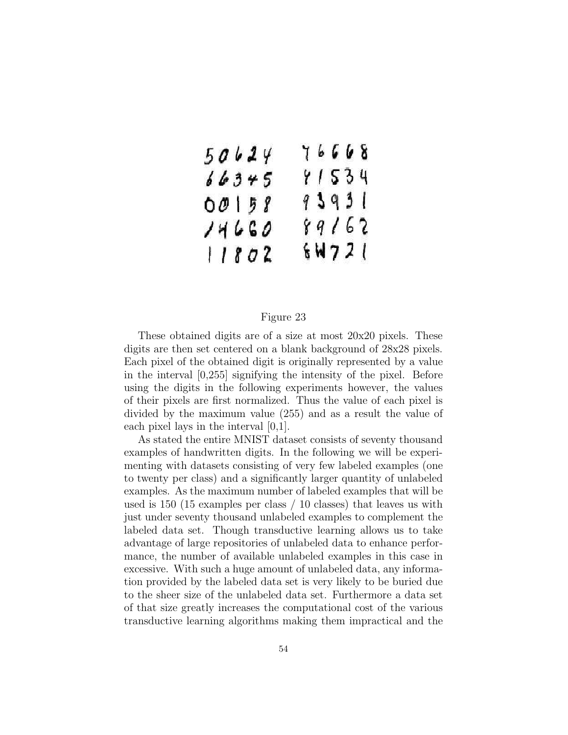$$
\begin{array}{cccc}\n50624 & 76668 \\
66375 & 81534 \\
00158 & 93931 \\
7460 & 89162 \\
11802 & 64721\n\end{array}
$$

## Figure 23

These obtained digits are of a size at most 20x20 pixels. These digits are then set centered on a blank background of 28x28 pixels. Each pixel of the obtained digit is originally represented by a value in the interval [0,255] signifying the intensity of the pixel. Before using the digits in the following experiments however, the values of their pixels are first normalized. Thus the value of each pixel is divided by the maximum value (255) and as a result the value of each pixel lays in the interval  $[0,1]$ .

As stated the entire MNIST dataset consists of seventy thousand examples of handwritten digits. In the following we will be experimenting with datasets consisting of very few labeled examples (one to twenty per class) and a significantly larger quantity of unlabeled examples. As the maximum number of labeled examples that will be used is 150 (15 examples per class / 10 classes) that leaves us with just under seventy thousand unlabeled examples to complement the labeled data set. Though transductive learning allows us to take advantage of large repositories of unlabeled data to enhance performance, the number of available unlabeled examples in this case in excessive. With such a huge amount of unlabeled data, any information provided by the labeled data set is very likely to be buried due to the sheer size of the unlabeled data set. Furthermore a data set of that size greatly increases the computational cost of the various transductive learning algorithms making them impractical and the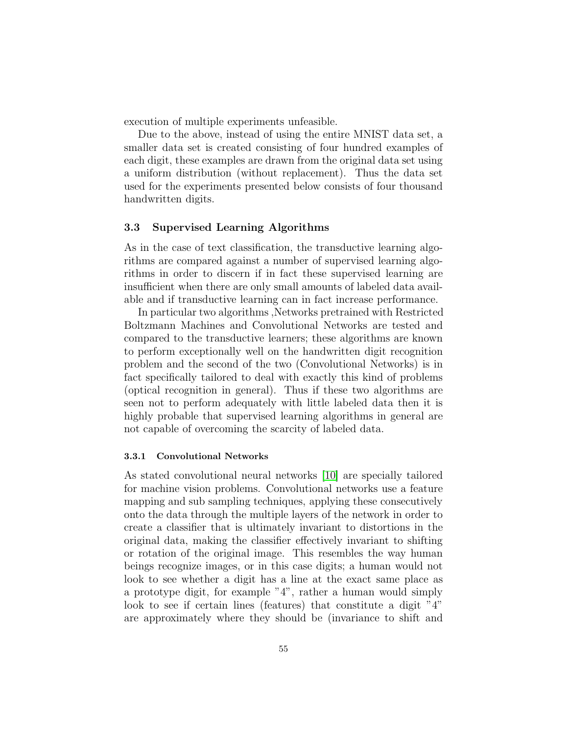execution of multiple experiments unfeasible.

Due to the above, instead of using the entire MNIST data set, a smaller data set is created consisting of four hundred examples of each digit, these examples are drawn from the original data set using a uniform distribution (without replacement). Thus the data set used for the experiments presented below consists of four thousand handwritten digits.

## 3.3 Supervised Learning Algorithms

As in the case of text classification, the transductive learning algorithms are compared against a number of supervised learning algorithms in order to discern if in fact these supervised learning are insufficient when there are only small amounts of labeled data available and if transductive learning can in fact increase performance.

In particular two algorithms ,Networks pretrained with Restricted Boltzmann Machines and Convolutional Networks are tested and compared to the transductive learners; these algorithms are known to perform exceptionally well on the handwritten digit recognition problem and the second of the two (Convolutional Networks) is in fact specifically tailored to deal with exactly this kind of problems (optical recognition in general). Thus if these two algorithms are seen not to perform adequately with little labeled data then it is highly probable that supervised learning algorithms in general are not capable of overcoming the scarcity of labeled data.

#### 3.3.1 Convolutional Networks

As stated convolutional neural networks [\[10\]](#page-91-2) are specially tailored for machine vision problems. Convolutional networks use a feature mapping and sub sampling techniques, applying these consecutively onto the data through the multiple layers of the network in order to create a classifier that is ultimately invariant to distortions in the original data, making the classifier effectively invariant to shifting or rotation of the original image. This resembles the way human beings recognize images, or in this case digits; a human would not look to see whether a digit has a line at the exact same place as a prototype digit, for example "4", rather a human would simply look to see if certain lines (features) that constitute a digit "4" are approximately where they should be (invariance to shift and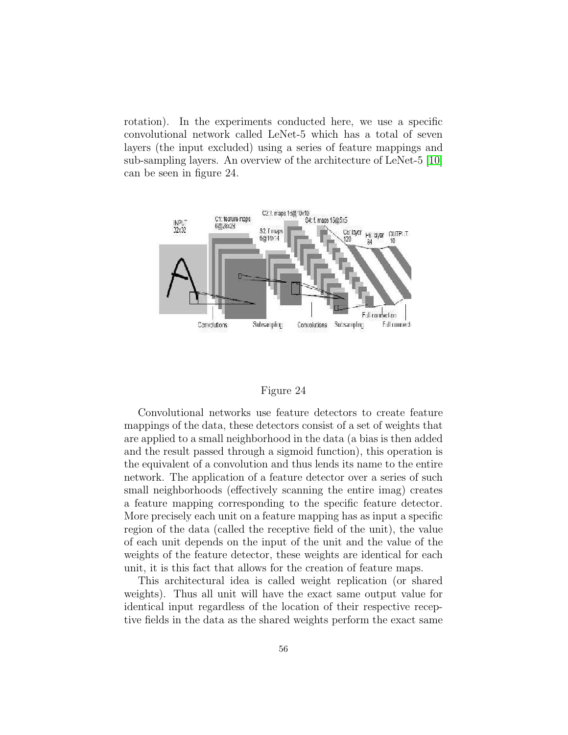rotation). In the experiments conducted here, we use a specific convolutional network called LeNet-5 which has a total of seven layers (the input excluded) using a series of feature mappings and sub-sampling layers. An overview of the architecture of LeNet-5 [\[10\]](#page-91-2) can be seen in figure 24.



#### Figure 24

Convolutional networks use feature detectors to create feature mappings of the data, these detectors consist of a set of weights that are applied to a small neighborhood in the data (a bias is then added and the result passed through a sigmoid function), this operation is the equivalent of a convolution and thus lends its name to the entire network. The application of a feature detector over a series of such small neighborhoods (effectively scanning the entire imag) creates a feature mapping corresponding to the specific feature detector. More precisely each unit on a feature mapping has as input a specific region of the data (called the receptive field of the unit), the value of each unit depends on the input of the unit and the value of the weights of the feature detector, these weights are identical for each unit, it is this fact that allows for the creation of feature maps.

This architectural idea is called weight replication (or shared weights). Thus all unit will have the exact same output value for identical input regardless of the location of their respective receptive fields in the data as the shared weights perform the exact same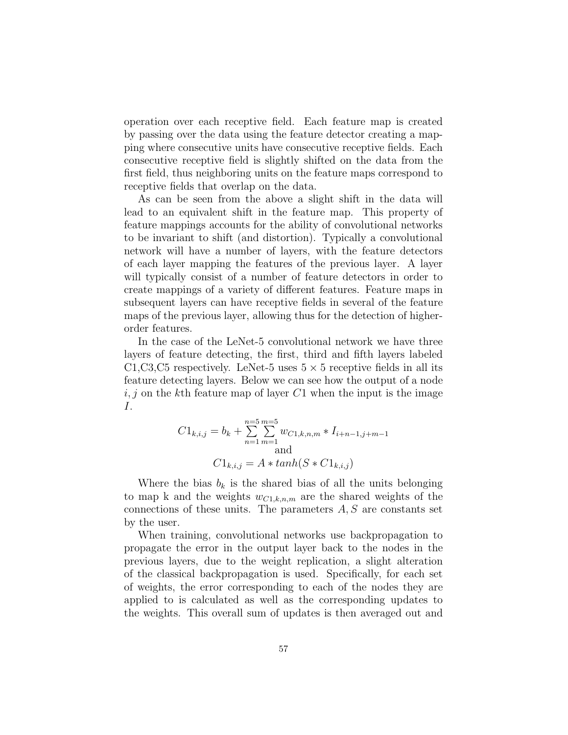operation over each receptive field. Each feature map is created by passing over the data using the feature detector creating a mapping where consecutive units have consecutive receptive fields. Each consecutive receptive field is slightly shifted on the data from the first field, thus neighboring units on the feature maps correspond to receptive fields that overlap on the data.

As can be seen from the above a slight shift in the data will lead to an equivalent shift in the feature map. This property of feature mappings accounts for the ability of convolutional networks to be invariant to shift (and distortion). Typically a convolutional network will have a number of layers, with the feature detectors of each layer mapping the features of the previous layer. A layer will typically consist of a number of feature detectors in order to create mappings of a variety of different features. Feature maps in subsequent layers can have receptive fields in several of the feature maps of the previous layer, allowing thus for the detection of higherorder features.

In the case of the LeNet-5 convolutional network we have three layers of feature detecting, the first, third and fifth layers labeled C1,C3,C5 respectively. LeNet-5 uses  $5 \times 5$  receptive fields in all its feature detecting layers. Below we can see how the output of a node  $i, j$  on the kth feature map of layer C1 when the input is the image I.

$$
C1_{k,i,j} = b_k + \sum_{n=1}^{n=5} \sum_{m=1}^{m=5} w_{C1,k,n,m} * I_{i+n-1,j+m-1}
$$
  
and  

$$
C1_{k,i,j} = A * tanh(S * C1_{k,i,j})
$$

Where the bias  $b_k$  is the shared bias of all the units belonging to map k and the weights  $w_{C1,k,n,m}$  are the shared weights of the connections of these units. The parameters  $A, S$  are constants set by the user.

When training, convolutional networks use backpropagation to propagate the error in the output layer back to the nodes in the previous layers, due to the weight replication, a slight alteration of the classical backpropagation is used. Specifically, for each set of weights, the error corresponding to each of the nodes they are applied to is calculated as well as the corresponding updates to the weights. This overall sum of updates is then averaged out and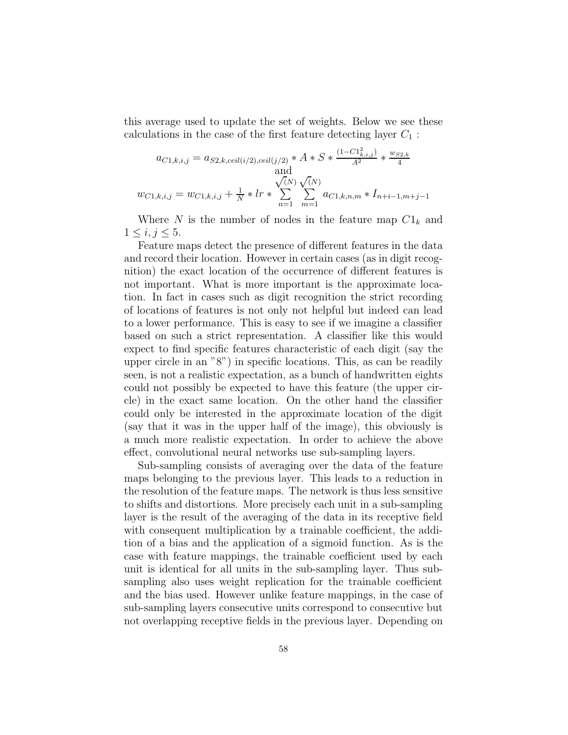this average used to update the set of weights. Below we see these calculations in the case of the first feature detecting layer  $C_1$ :

$$
a_{C1,k,i,j} = a_{S2,k,ceil(i/2),ceil(j/2)} * A * S * \frac{(1 - C1_{k,i,j}^2)}{A^2} * \frac{w_{S2,k}}{4}
$$
  
and  

$$
w_{C1,k,i,j} = w_{C1,k,i,j} + \frac{1}{N} * lr * \sum_{n=1}^{N} \sum_{m=1}^{N} a_{C1,k,n,m} * I_{n+i-1,m+j-1}
$$

Where N is the number of nodes in the feature map  $C1_k$  and  $1 \le i, j \le 5.$ 

Feature maps detect the presence of different features in the data and record their location. However in certain cases (as in digit recognition) the exact location of the occurrence of different features is not important. What is more important is the approximate location. In fact in cases such as digit recognition the strict recording of locations of features is not only not helpful but indeed can lead to a lower performance. This is easy to see if we imagine a classifier based on such a strict representation. A classifier like this would expect to find specific features characteristic of each digit (say the upper circle in an "8") in specific locations. This, as can be readily seen, is not a realistic expectation, as a bunch of handwritten eights could not possibly be expected to have this feature (the upper circle) in the exact same location. On the other hand the classifier could only be interested in the approximate location of the digit (say that it was in the upper half of the image), this obviously is a much more realistic expectation. In order to achieve the above effect, convolutional neural networks use sub-sampling layers.

Sub-sampling consists of averaging over the data of the feature maps belonging to the previous layer. This leads to a reduction in the resolution of the feature maps. The network is thus less sensitive to shifts and distortions. More precisely each unit in a sub-sampling layer is the result of the averaging of the data in its receptive field with consequent multiplication by a trainable coefficient, the addition of a bias and the application of a sigmoid function. As is the case with feature mappings, the trainable coefficient used by each unit is identical for all units in the sub-sampling layer. Thus subsampling also uses weight replication for the trainable coefficient and the bias used. However unlike feature mappings, in the case of sub-sampling layers consecutive units correspond to consecutive but not overlapping receptive fields in the previous layer. Depending on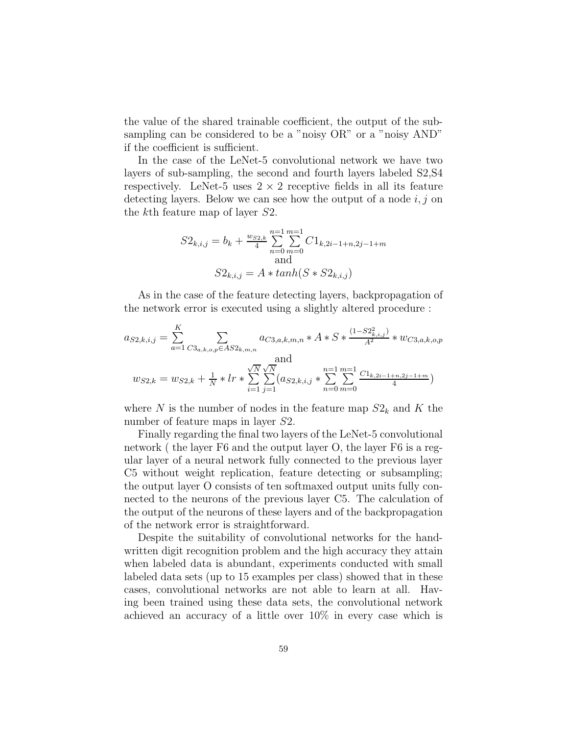the value of the shared trainable coefficient, the output of the subsampling can be considered to be a "noisy  $OR$ " or a "noisy  $AND$ " if the coefficient is sufficient.

In the case of the LeNet-5 convolutional network we have two layers of sub-sampling, the second and fourth layers labeled S2,S4 respectively. LeNet-5 uses  $2 \times 2$  receptive fields in all its feature detecting layers. Below we can see how the output of a node  $i, j$  on the kth feature map of layer S2.

$$
S2_{k,i,j} = b_k + \frac{w_{S2,k}}{4} \sum_{n=0}^{n=1} \sum_{m=0}^{m=1} C1_{k,2i-1+n,2j-1+m}
$$
  
and  

$$
S2_{k,i,j} = A * tanh(S * S2_{k,i,j})
$$

As in the case of the feature detecting layers, backpropagation of the network error is executed using a slightly altered procedure :

$$
a_{S2,k,i,j} = \sum_{a=1}^{K} \sum_{C3_{a,k,o,p} \in AS2_{k,m,n}} a_{C3,a,k,m,n} * A * S * \frac{(1-S2_{k,i,j}^2)}{A^2} * w_{C3,a,k,o,p}
$$
  
and  

$$
w_{S2,k} = w_{S2,k} + \frac{1}{N} * lr * \sum_{i=1}^{N} \sum_{j=1}^{N} (a_{S2,k,i,j} * \sum_{n=0}^{n=1} \sum_{m=0}^{m=1} \frac{C1_{k,2i-1+n,2j-1+m}}{4})
$$

where N is the number of nodes in the feature map  $S2_k$  and K the number of feature maps in layer S2.

Finally regarding the final two layers of the LeNet-5 convolutional network ( the layer F6 and the output layer O, the layer F6 is a regular layer of a neural network fully connected to the previous layer C5 without weight replication, feature detecting or subsampling; the output layer O consists of ten softmaxed output units fully connected to the neurons of the previous layer C5. The calculation of the output of the neurons of these layers and of the backpropagation of the network error is straightforward.

Despite the suitability of convolutional networks for the handwritten digit recognition problem and the high accuracy they attain when labeled data is abundant, experiments conducted with small labeled data sets (up to 15 examples per class) showed that in these cases, convolutional networks are not able to learn at all. Having been trained using these data sets, the convolutional network achieved an accuracy of a little over 10% in every case which is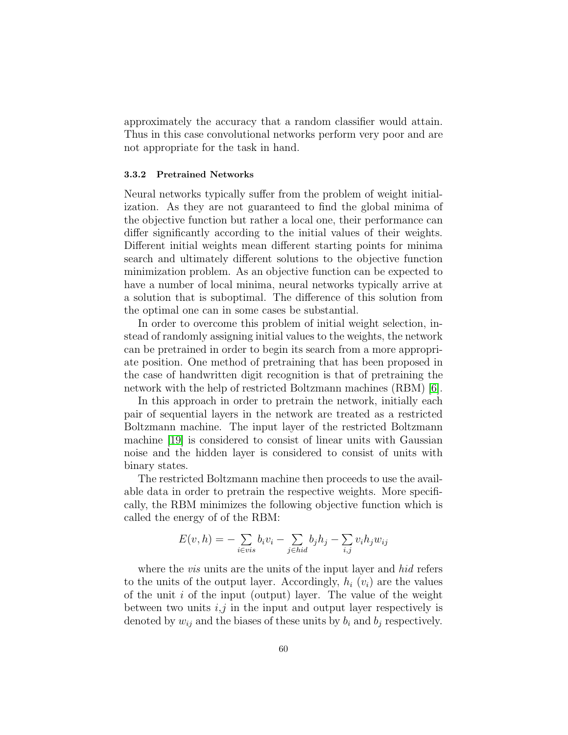approximately the accuracy that a random classifier would attain. Thus in this case convolutional networks perform very poor and are not appropriate for the task in hand.

## 3.3.2 Pretrained Networks

Neural networks typically suffer from the problem of weight initialization. As they are not guaranteed to find the global minima of the objective function but rather a local one, their performance can differ significantly according to the initial values of their weights. Different initial weights mean different starting points for minima search and ultimately different solutions to the objective function minimization problem. As an objective function can be expected to have a number of local minima, neural networks typically arrive at a solution that is suboptimal. The difference of this solution from the optimal one can in some cases be substantial.

In order to overcome this problem of initial weight selection, instead of randomly assigning initial values to the weights, the network can be pretrained in order to begin its search from a more appropriate position. One method of pretraining that has been proposed in the case of handwritten digit recognition is that of pretraining the network with the help of restricted Boltzmann machines (RBM) [\[6\]](#page-91-3).

In this approach in order to pretrain the network, initially each pair of sequential layers in the network are treated as a restricted Boltzmann machine. The input layer of the restricted Boltzmann machine [\[19\]](#page-92-0) is considered to consist of linear units with Gaussian noise and the hidden layer is considered to consist of units with binary states.

The restricted Boltzmann machine then proceeds to use the available data in order to pretrain the respective weights. More specifically, the RBM minimizes the following objective function which is called the energy of of the RBM:

$$
E(v, h) = -\sum_{i \in vis} b_i v_i - \sum_{j \in hid} b_j h_j - \sum_{i,j} v_i h_j w_{ij}
$$

where the *vis* units are the units of the input layer and *hid* refers to the units of the output layer. Accordingly,  $h_i$   $(v_i)$  are the values of the unit  $i$  of the input (output) layer. The value of the weight between two units  $i, j$  in the input and output layer respectively is denoted by  $w_{ij}$  and the biases of these units by  $b_i$  and  $b_j$  respectively.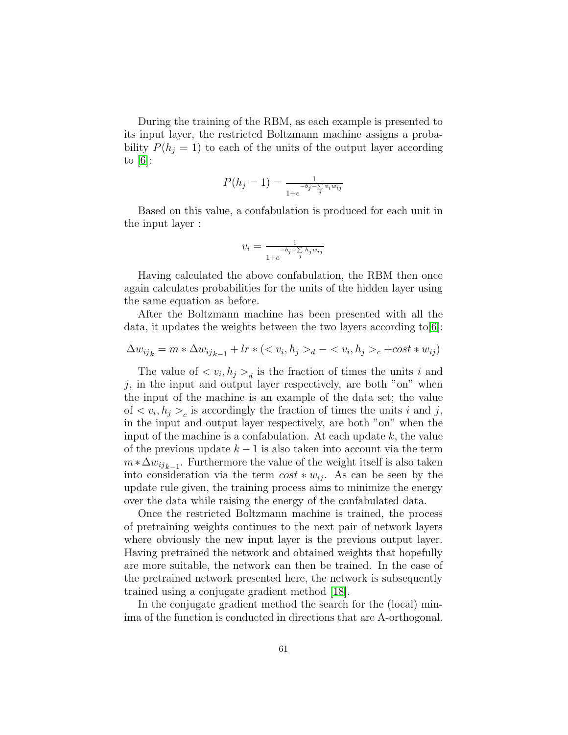During the training of the RBM, as each example is presented to its input layer, the restricted Boltzmann machine assigns a probability  $P(h_i = 1)$  to each of the units of the output layer according to  $[6]$ :

$$
P(h_j = 1) = \frac{1}{1 + e^{-b_j - \sum_{i} v_i w_{ij}}}
$$

Based on this value, a confabulation is produced for each unit in the input layer :

$$
v_i = \frac{1}{1 + e^{-b_j - \sum_{j} h_j w_{ij}}}
$$

Having calculated the above confabulation, the RBM then once again calculates probabilities for the units of the hidden layer using the same equation as before.

After the Boltzmann machine has been presented with all the data, it updates the weights between the two layers according to[\[6\]](#page-91-3):

$$
\Delta w_{ij_k} = m * \Delta w_{ij_{k-1}} + lr * (< v_i, h_j >_d - \langle v_i, h_j >_c + \text{cost} * w_{ij})
$$

The value of  $\langle v_i, h_j \rangle_d$  is the fraction of times the units i and  $i$ , in the input and output layer respectively, are both "on" when the input of the machine is an example of the data set; the value of  $\langle v_i, h_j \rangle$ <sub>c</sub> is accordingly the fraction of times the units *i* and *j*, in the input and output layer respectively, are both "on" when the input of the machine is a confabulation. At each update  $k$ , the value of the previous update  $k - 1$  is also taken into account via the term  $m * \Delta w_{ijk-1}$ . Furthermore the value of the weight itself is also taken into consideration via the term  $cost * w_{ij}$ . As can be seen by the update rule given, the training process aims to minimize the energy over the data while raising the energy of the confabulated data.

Once the restricted Boltzmann machine is trained, the process of pretraining weights continues to the next pair of network layers where obviously the new input layer is the previous output layer. Having pretrained the network and obtained weights that hopefully are more suitable, the network can then be trained. In the case of the pretrained network presented here, the network is subsequently trained using a conjugate gradient method [\[18\]](#page-92-1).

In the conjugate gradient method the search for the (local) minima of the function is conducted in directions that are A-orthogonal.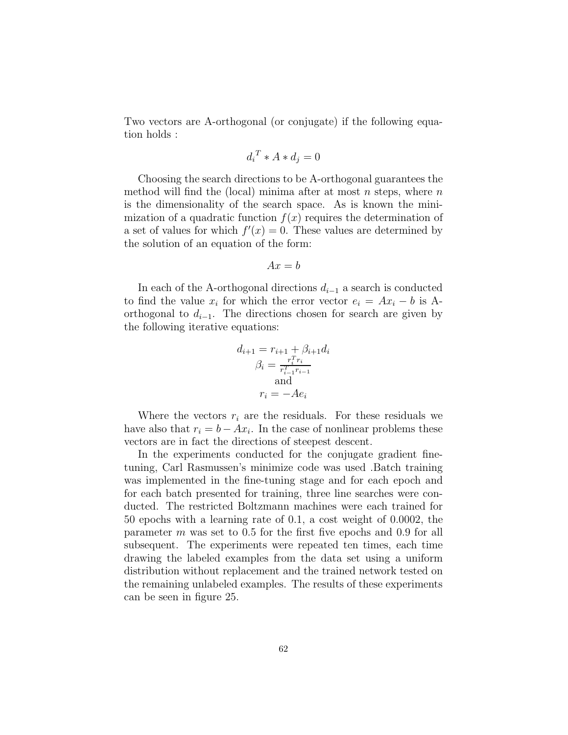Two vectors are A-orthogonal (or conjugate) if the following equation holds :

$$
d_i^T * A * d_j = 0
$$

Choosing the search directions to be A-orthogonal guarantees the method will find the (local) minima after at most  $n$  steps, where  $n$ is the dimensionality of the search space. As is known the minimization of a quadratic function  $f(x)$  requires the determination of a set of values for which  $f'(x) = 0$ . These values are determined by the solution of an equation of the form:

$$
Ax = b
$$

In each of the A-orthogonal directions  $d_{i-1}$  a search is conducted to find the value  $x_i$  for which the error vector  $e_i = Ax_i - b$  is Aorthogonal to  $d_{i-1}$ . The directions chosen for search are given by the following iterative equations:

$$
d_{i+1} = r_{i+1} + \beta_{i+1} d_i
$$

$$
\beta_i = \frac{r_i^T r_i}{r_{i-1}^T r_{i-1}}
$$

$$
r_i = -A e_i
$$

Where the vectors  $r_i$  are the residuals. For these residuals we have also that  $r_i = b - Ax_i$ . In the case of nonlinear problems these vectors are in fact the directions of steepest descent.

In the experiments conducted for the conjugate gradient finetuning, Carl Rasmussen's minimize code was used .Batch training was implemented in the fine-tuning stage and for each epoch and for each batch presented for training, three line searches were conducted. The restricted Boltzmann machines were each trained for 50 epochs with a learning rate of 0.1, a cost weight of 0.0002, the parameter m was set to 0.5 for the first five epochs and 0.9 for all subsequent. The experiments were repeated ten times, each time drawing the labeled examples from the data set using a uniform distribution without replacement and the trained network tested on the remaining unlabeled examples. The results of these experiments can be seen in figure 25.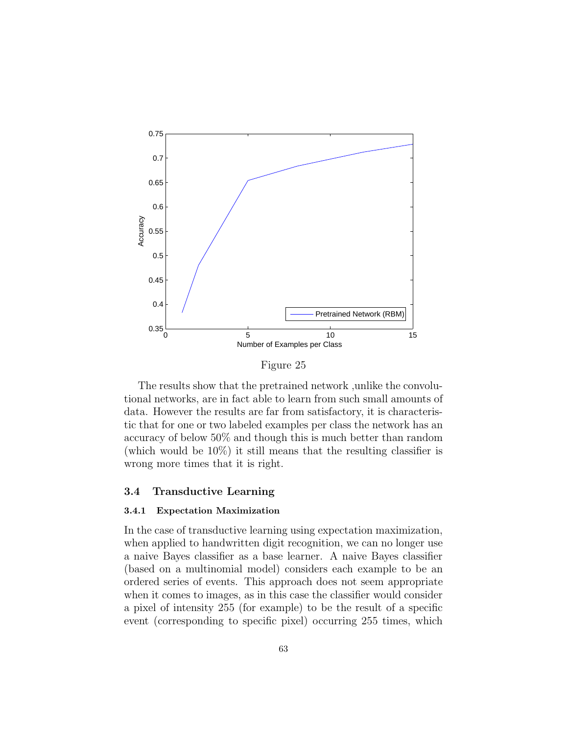

Figure 25

The results show that the pretrained network ,unlike the convolutional networks, are in fact able to learn from such small amounts of data. However the results are far from satisfactory, it is characteristic that for one or two labeled examples per class the network has an accuracy of below 50% and though this is much better than random (which would be 10%) it still means that the resulting classifier is wrong more times that it is right.

#### 3.4 Transductive Learning

# 3.4.1 Expectation Maximization

In the case of transductive learning using expectation maximization, when applied to handwritten digit recognition, we can no longer use a naive Bayes classifier as a base learner. A naive Bayes classifier (based on a multinomial model) considers each example to be an ordered series of events. This approach does not seem appropriate when it comes to images, as in this case the classifier would consider a pixel of intensity 255 (for example) to be the result of a specific event (corresponding to specific pixel) occurring 255 times, which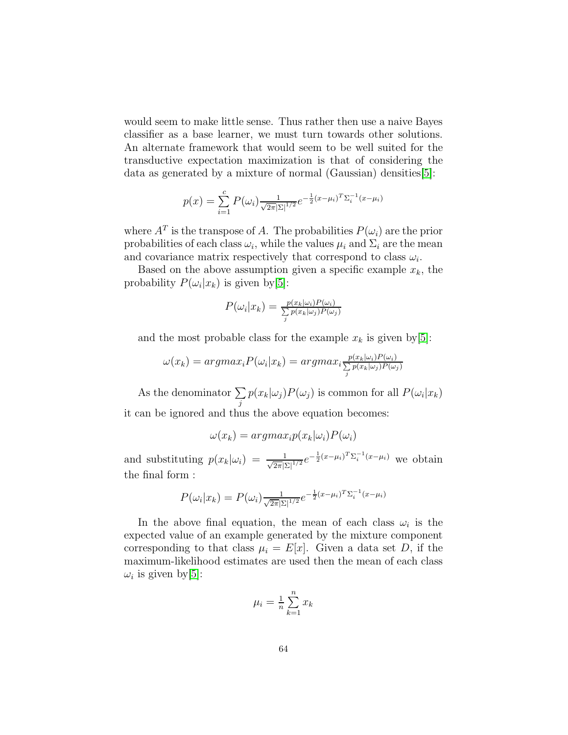would seem to make little sense. Thus rather then use a naive Bayes classifier as a base learner, we must turn towards other solutions. An alternate framework that would seem to be well suited for the transductive expectation maximization is that of considering the data as generated by a mixture of normal (Gaussian) densities[\[5\]](#page-91-4):

$$
p(x) = \sum_{i=1}^{c} P(\omega_i) \frac{1}{\sqrt{2\pi} |\Sigma|^{1/2}} e^{-\frac{1}{2}(x - \mu_i)^T \Sigma_i^{-1} (x - \mu_i)}
$$

where  $A<sup>T</sup>$  is the transpose of A. The probabilities  $P(\omega_i)$  are the prior probabilities of each class  $\omega_i$ , while the values  $\mu_i$  and  $\Sigma_i$  are the mean and covariance matrix respectively that correspond to class  $\omega_i$ .

Based on the above assumption given a specific example  $x_k$ , the probability  $P(\omega_i|x_k)$  is given by [\[5\]](#page-91-4):

$$
P(\omega_i|x_k) = \frac{p(x_k|\omega_i)P(\omega_i)}{\sum_j p(x_k|\omega_j)P(\omega_j)}
$$

and the most probable class for the example  $x_k$  is given by [\[5\]](#page-91-4):

$$
\omega(x_k) = argmax_i P(\omega_i | x_k) = argmax_i \frac{p(x_k | \omega_i) P(\omega_i)}{\sum_j p(x_k | \omega_j) P(\omega_j)}
$$

As the denominator  $\Sigma$  $\sum_{j} p(x_k|\omega_j) P(\omega_j)$  is common for all  $P(\omega_i|x_k)$ it can be ignored and thus the above equation becomes:

$$
\omega(x_k) = argmax_i p(x_k|\omega_i) P(\omega_i)
$$

and substituting  $p(x_k|\omega_i) = \frac{1}{\sqrt{2\pi}|\Sigma|^{1/2}}e^{-\frac{1}{2}(x-\mu_i)^T\Sigma_i^{-1}(x-\mu_i)}$  we obtain the final form :

$$
P(\omega_i|x_k) = P(\omega_i) \frac{1}{\sqrt{2\pi}|\Sigma|^{1/2}} e^{-\frac{1}{2}(x-\mu_i)^T \Sigma_i^{-1}(x-\mu_i)}
$$

In the above final equation, the mean of each class  $\omega_i$  is the expected value of an example generated by the mixture component corresponding to that class  $\mu_i = E[x]$ . Given a data set D, if the maximum-likelihood estimates are used then the mean of each class  $\omega_i$  is given by [\[5\]](#page-91-4):

$$
\mu_i = \frac{1}{n} \sum_{k=1}^n x_k
$$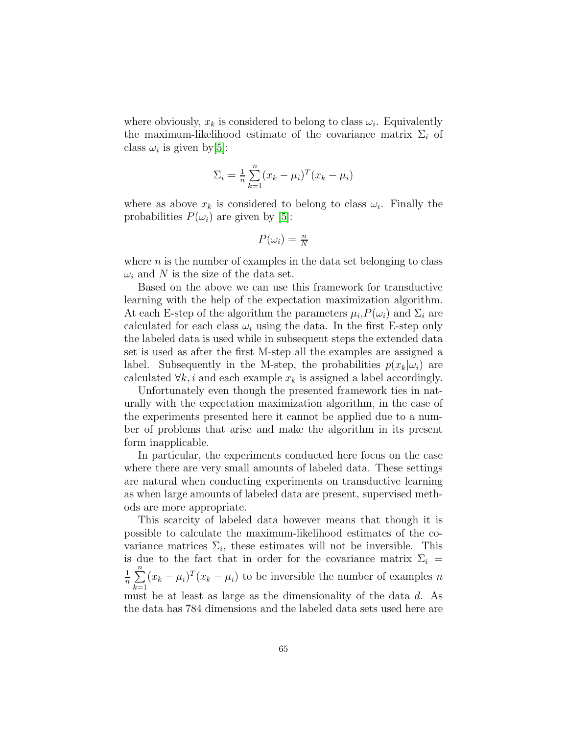where obviously,  $x_k$  is considered to belong to class  $\omega_i$ . Equivalently the maximum-likelihood estimate of the covariance matrix  $\Sigma_i$  of class  $\omega_i$  is given by [\[5\]](#page-91-4):

$$
\Sigma_i = \frac{1}{n} \sum_{k=1}^n (x_k - \mu_i)^T (x_k - \mu_i)
$$

where as above  $x_k$  is considered to belong to class  $\omega_i$ . Finally the probabilities  $P(\omega_i)$  are given by [\[5\]](#page-91-4):

$$
P(\omega_i) = \frac{n}{N}
$$

where  $n$  is the number of examples in the data set belonging to class  $\omega_i$  and N is the size of the data set.

Based on the above we can use this framework for transductive learning with the help of the expectation maximization algorithm. At each E-step of the algorithm the parameters  $\mu_i$ ,  $P(\omega_i)$  and  $\Sigma_i$  are calculated for each class  $\omega_i$  using the data. In the first E-step only the labeled data is used while in subsequent steps the extended data set is used as after the first M-step all the examples are assigned a label. Subsequently in the M-step, the probabilities  $p(x_k|\omega_i)$  are calculated  $\forall k, i$  and each example  $x_k$  is assigned a label accordingly.

Unfortunately even though the presented framework ties in naturally with the expectation maximization algorithm, in the case of the experiments presented here it cannot be applied due to a number of problems that arise and make the algorithm in its present form inapplicable.

In particular, the experiments conducted here focus on the case where there are very small amounts of labeled data. These settings are natural when conducting experiments on transductive learning as when large amounts of labeled data are present, supervised methods are more appropriate.

This scarcity of labeled data however means that though it is possible to calculate the maximum-likelihood estimates of the covariance matrices  $\Sigma_i$ , these estimates will not be inversible. This is due to the fact that in order for the covariance matrix  $\Sigma_i$  = 1  $\frac{1}{n}$  $\sum_{n=1}^{n}$  $\sum_{k=1} (x_k - \mu_i)^T (x_k - \mu_i)$  to be inversible the number of examples n must be at least as large as the dimensionality of the data d. As the data has 784 dimensions and the labeled data sets used here are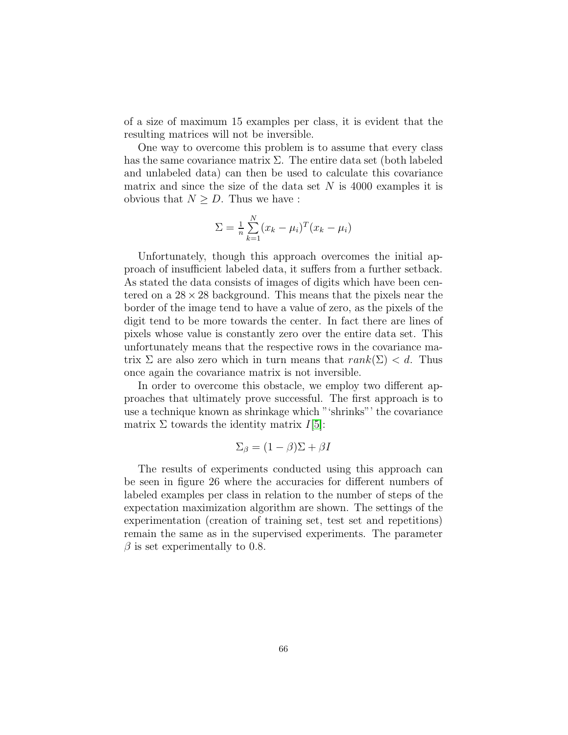of a size of maximum 15 examples per class, it is evident that the resulting matrices will not be inversible.

One way to overcome this problem is to assume that every class has the same covariance matrix  $\Sigma$ . The entire data set (both labeled and unlabeled data) can then be used to calculate this covariance matrix and since the size of the data set  $N$  is 4000 examples it is obvious that  $N \geq D$ . Thus we have :

$$
\Sigma = \frac{1}{n} \sum_{k=1}^{N} (x_k - \mu_i)^T (x_k - \mu_i)
$$

Unfortunately, though this approach overcomes the initial approach of insufficient labeled data, it suffers from a further setback. As stated the data consists of images of digits which have been centered on a  $28 \times 28$  background. This means that the pixels near the border of the image tend to have a value of zero, as the pixels of the digit tend to be more towards the center. In fact there are lines of pixels whose value is constantly zero over the entire data set. This unfortunately means that the respective rows in the covariance matrix  $\Sigma$  are also zero which in turn means that  $rank(\Sigma) < d$ . Thus once again the covariance matrix is not inversible.

In order to overcome this obstacle, we employ two different approaches that ultimately prove successful. The first approach is to use a technique known as shrinkage which "'shrinks"' the covariance matrix  $\Sigma$  towards the identity matrix  $I[5]$  $I[5]$ :

$$
\Sigma_{\beta} = (1 - \beta)\Sigma + \beta I
$$

The results of experiments conducted using this approach can be seen in figure 26 where the accuracies for different numbers of labeled examples per class in relation to the number of steps of the expectation maximization algorithm are shown. The settings of the experimentation (creation of training set, test set and repetitions) remain the same as in the supervised experiments. The parameter  $\beta$  is set experimentally to 0.8.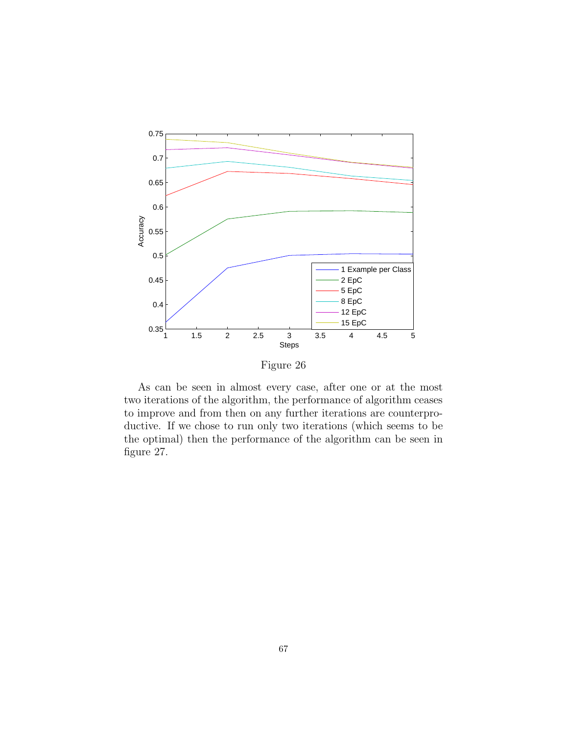

Figure 26

As can be seen in almost every case, after one or at the most two iterations of the algorithm, the performance of algorithm ceases to improve and from then on any further iterations are counterproductive. If we chose to run only two iterations (which seems to be the optimal) then the performance of the algorithm can be seen in figure 27.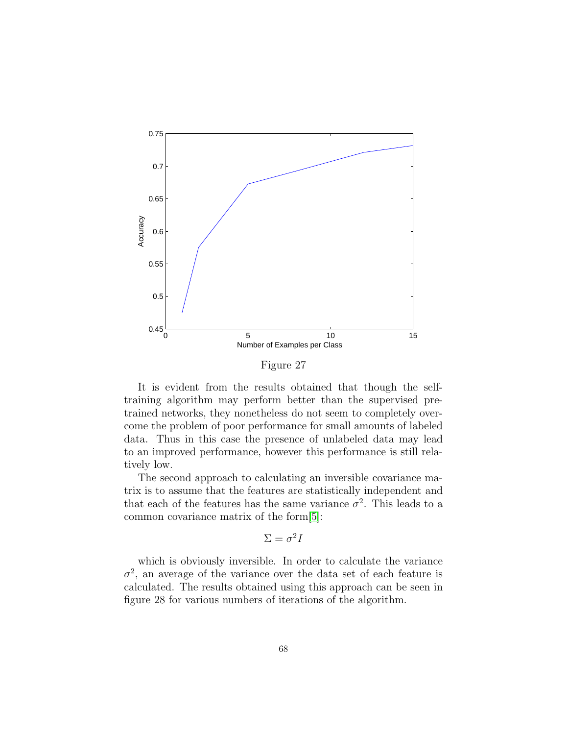

Figure 27

It is evident from the results obtained that though the selftraining algorithm may perform better than the supervised pretrained networks, they nonetheless do not seem to completely overcome the problem of poor performance for small amounts of labeled data. Thus in this case the presence of unlabeled data may lead to an improved performance, however this performance is still relatively low.

The second approach to calculating an inversible covariance matrix is to assume that the features are statistically independent and that each of the features has the same variance  $\sigma^2$ . This leads to a common covariance matrix of the form[\[5\]](#page-91-4):

$$
\Sigma = \sigma^2 I
$$

which is obviously inversible. In order to calculate the variance  $\sigma^2$ , an average of the variance over the data set of each feature is calculated. The results obtained using this approach can be seen in figure 28 for various numbers of iterations of the algorithm.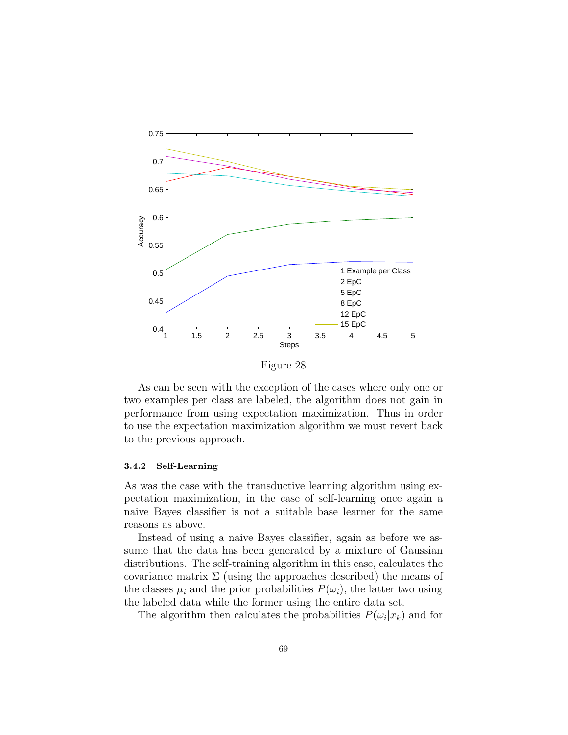

As can be seen with the exception of the cases where only one or two examples per class are labeled, the algorithm does not gain in performance from using expectation maximization. Thus in order to use the expectation maximization algorithm we must revert back

#### 3.4.2 Self-Learning

to the previous approach.

As was the case with the transductive learning algorithm using expectation maximization, in the case of self-learning once again a naive Bayes classifier is not a suitable base learner for the same reasons as above.

Instead of using a naive Bayes classifier, again as before we assume that the data has been generated by a mixture of Gaussian distributions. The self-training algorithm in this case, calculates the covariance matrix  $\Sigma$  (using the approaches described) the means of the classes  $\mu_i$  and the prior probabilities  $P(\omega_i)$ , the latter two using the labeled data while the former using the entire data set.

The algorithm then calculates the probabilities  $P(\omega_i|x_k)$  and for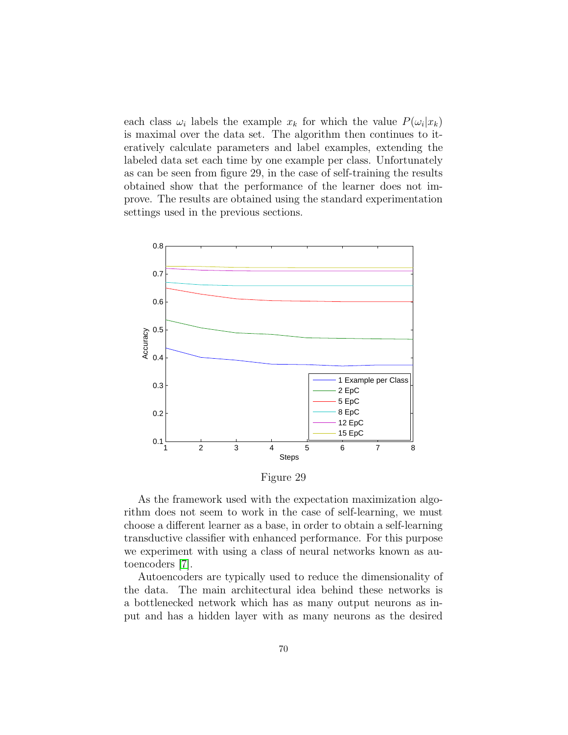each class  $\omega_i$  labels the example  $x_k$  for which the value  $P(\omega_i|x_k)$ is maximal over the data set. The algorithm then continues to iteratively calculate parameters and label examples, extending the labeled data set each time by one example per class. Unfortunately as can be seen from figure 29, in the case of self-training the results obtained show that the performance of the learner does not improve. The results are obtained using the standard experimentation settings used in the previous sections.



Figure 29

As the framework used with the expectation maximization algorithm does not seem to work in the case of self-learning, we must choose a different learner as a base, in order to obtain a self-learning transductive classifier with enhanced performance. For this purpose we experiment with using a class of neural networks known as autoencoders [\[7\]](#page-91-5).

Autoencoders are typically used to reduce the dimensionality of the data. The main architectural idea behind these networks is a bottlenecked network which has as many output neurons as input and has a hidden layer with as many neurons as the desired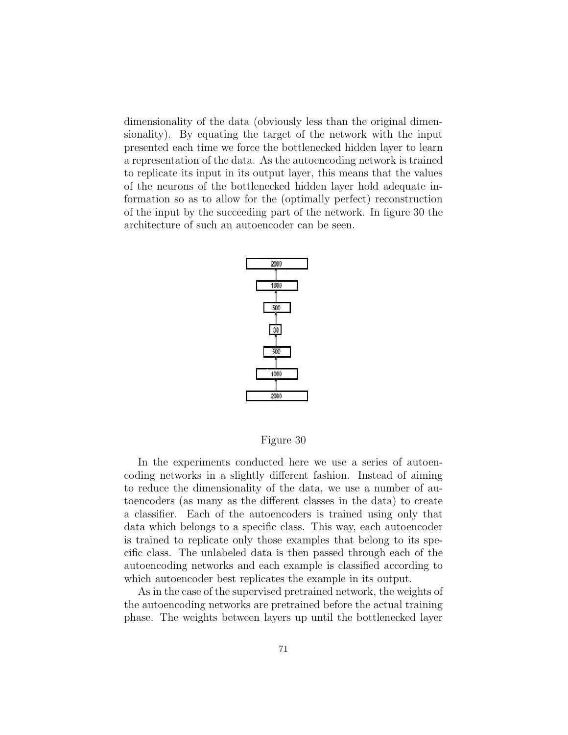dimensionality of the data (obviously less than the original dimensionality). By equating the target of the network with the input presented each time we force the bottlenecked hidden layer to learn a representation of the data. As the autoencoding network is trained to replicate its input in its output layer, this means that the values of the neurons of the bottlenecked hidden layer hold adequate information so as to allow for the (optimally perfect) reconstruction of the input by the succeeding part of the network. In figure 30 the architecture of such an autoencoder can be seen.



Figure 30

In the experiments conducted here we use a series of autoencoding networks in a slightly different fashion. Instead of aiming to reduce the dimensionality of the data, we use a number of autoencoders (as many as the different classes in the data) to create a classifier. Each of the autoencoders is trained using only that data which belongs to a specific class. This way, each autoencoder is trained to replicate only those examples that belong to its specific class. The unlabeled data is then passed through each of the autoencoding networks and each example is classified according to which autoencoder best replicates the example in its output.

As in the case of the supervised pretrained network, the weights of the autoencoding networks are pretrained before the actual training phase. The weights between layers up until the bottlenecked layer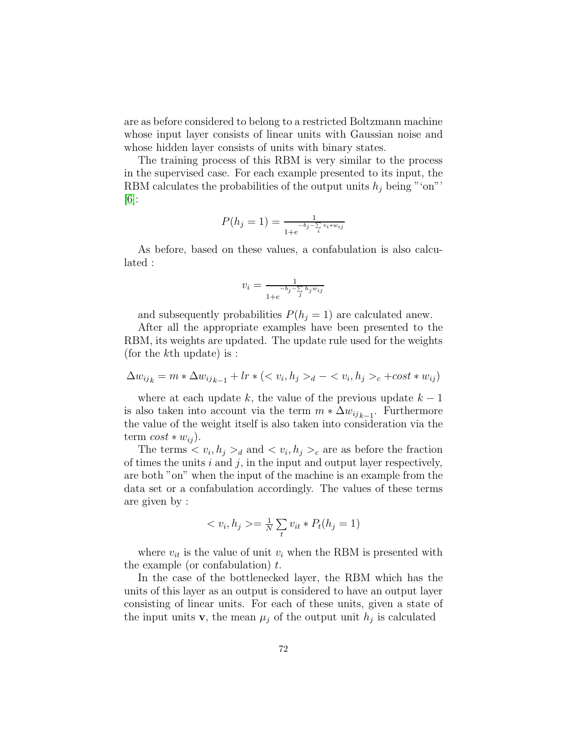are as before considered to belong to a restricted Boltzmann machine whose input layer consists of linear units with Gaussian noise and whose hidden layer consists of units with binary states.

The training process of this RBM is very similar to the process in the supervised case. For each example presented to its input, the RBM calculates the probabilities of the output units  $h_j$  being "'on"'  $|6|$ :

$$
P(h_j = 1) = \frac{1}{1 + e^{-b_j - \sum_{i} v_i + w_{ij}}}
$$

As before, based on these values, a confabulation is also calculated :

$$
v_i = \frac{1}{1 + e^{-b_j - \sum_{j} h_j w_{ij}}}
$$

and subsequently probabilities  $P(h_j = 1)$  are calculated anew.

After all the appropriate examples have been presented to the RBM, its weights are updated. The update rule used for the weights (for the kth update) is :

$$
\Delta w_{ij_k} = m * \Delta w_{ij_{k-1}} + lr * (< v_i, h_j >_d - \langle v_i, h_j >_c + \text{cost} * w_{ij})
$$

where at each update k, the value of the previous update  $k-1$ is also taken into account via the term  $m * \Delta w_{ijk-1}$ . Furthermore the value of the weight itself is also taken into consideration via the term  $cost * w_{ij}$ ).

The terms  $\langle v_i, h_j \rangle_d$  and  $\langle v_i, h_j \rangle_c$  are as before the fraction of times the units  $i$  and  $j$ , in the input and output layer respectively, are both "on" when the input of the machine is an example from the data set or a confabulation accordingly. The values of these terms are given by :

$$
\langle v_i, h_j \rangle = \frac{1}{N} \sum_t v_{it} * P_t(h_j = 1)
$$

where  $v_{it}$  is the value of unit  $v_i$  when the RBM is presented with the example (or confabulation)  $t$ .

In the case of the bottlenecked layer, the RBM which has the units of this layer as an output is considered to have an output layer consisting of linear units. For each of these units, given a state of the input units **v**, the mean  $\mu_j$  of the output unit  $h_j$  is calculated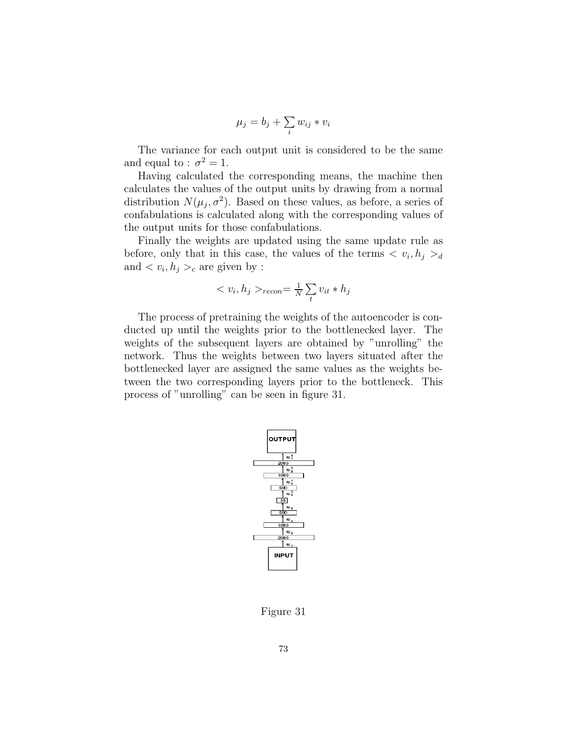$$
\mu_j = b_j + \sum_i w_{ij} * v_i
$$

The variance for each output unit is considered to be the same and equal to :  $\sigma^2 = 1$ .

Having calculated the corresponding means, the machine then calculates the values of the output units by drawing from a normal distribution  $N(\mu_j, \sigma^2)$ . Based on these values, as before, a series of confabulations is calculated along with the corresponding values of the output units for those confabulations.

Finally the weights are updated using the same update rule as before, only that in this case, the values of the terms  $\langle v_i, h_j \rangle_d$ and  $\langle v_i, h_j \rangle_c$  are given by :

$$
\langle v_i, h_j \rangle_{recon} = \frac{1}{N} \sum_t v_{it} * h_j
$$

The process of pretraining the weights of the autoencoder is conducted up until the weights prior to the bottlenecked layer. The weights of the subsequent layers are obtained by "unrolling" the network. Thus the weights between two layers situated after the bottlenecked layer are assigned the same values as the weights between the two corresponding layers prior to the bottleneck. This process of "unrolling" can be seen in figure 31.



Figure 31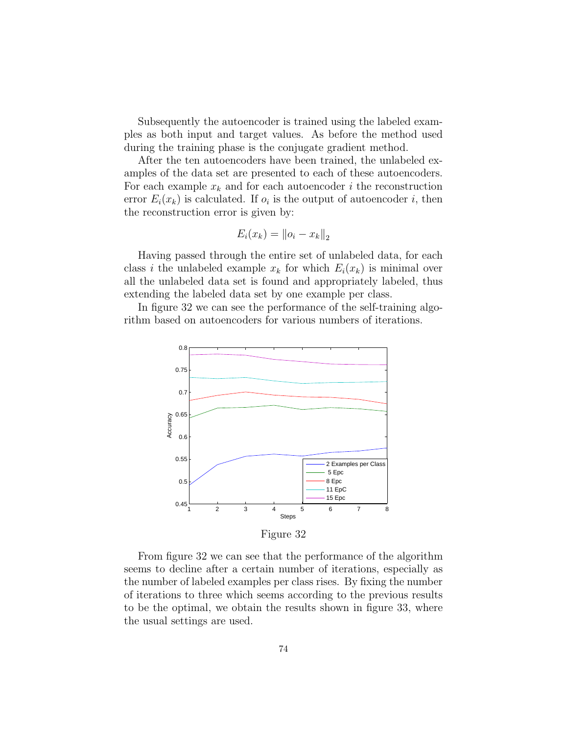Subsequently the autoencoder is trained using the labeled examples as both input and target values. As before the method used during the training phase is the conjugate gradient method.

After the ten autoencoders have been trained, the unlabeled examples of the data set are presented to each of these autoencoders. For each example  $x_k$  and for each autoencoder i the reconstruction error  $E_i(x_k)$  is calculated. If  $o_i$  is the output of autoencoder i, then the reconstruction error is given by:

$$
E_i(x_k) = ||o_i - x_k||_2
$$

Having passed through the entire set of unlabeled data, for each class i the unlabeled example  $x_k$  for which  $E_i(x_k)$  is minimal over all the unlabeled data set is found and appropriately labeled, thus extending the labeled data set by one example per class.

In figure 32 we can see the performance of the self-training algorithm based on autoencoders for various numbers of iterations.



Figure 32

From figure 32 we can see that the performance of the algorithm seems to decline after a certain number of iterations, especially as the number of labeled examples per class rises. By fixing the number of iterations to three which seems according to the previous results to be the optimal, we obtain the results shown in figure 33, where the usual settings are used.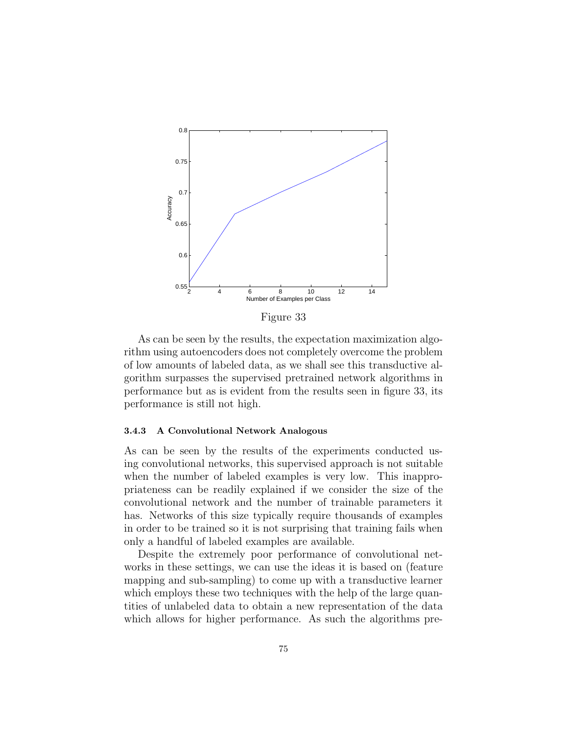

Figure 33

As can be seen by the results, the expectation maximization algorithm using autoencoders does not completely overcome the problem of low amounts of labeled data, as we shall see this transductive algorithm surpasses the supervised pretrained network algorithms in performance but as is evident from the results seen in figure 33, its performance is still not high.

### 3.4.3 A Convolutional Network Analogous

As can be seen by the results of the experiments conducted using convolutional networks, this supervised approach is not suitable when the number of labeled examples is very low. This inappropriateness can be readily explained if we consider the size of the convolutional network and the number of trainable parameters it has. Networks of this size typically require thousands of examples in order to be trained so it is not surprising that training fails when only a handful of labeled examples are available.

Despite the extremely poor performance of convolutional networks in these settings, we can use the ideas it is based on (feature mapping and sub-sampling) to come up with a transductive learner which employs these two techniques with the help of the large quantities of unlabeled data to obtain a new representation of the data which allows for higher performance. As such the algorithms pre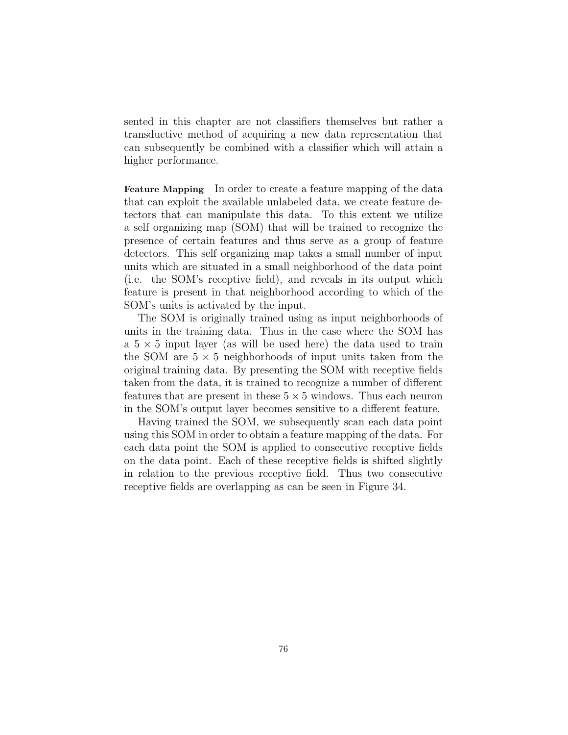sented in this chapter are not classifiers themselves but rather a transductive method of acquiring a new data representation that can subsequently be combined with a classifier which will attain a higher performance.

Feature Mapping In order to create a feature mapping of the data that can exploit the available unlabeled data, we create feature detectors that can manipulate this data. To this extent we utilize a self organizing map (SOM) that will be trained to recognize the presence of certain features and thus serve as a group of feature detectors. This self organizing map takes a small number of input units which are situated in a small neighborhood of the data point (i.e. the SOM's receptive field), and reveals in its output which feature is present in that neighborhood according to which of the SOM's units is activated by the input.

The SOM is originally trained using as input neighborhoods of units in the training data. Thus in the case where the SOM has a  $5 \times 5$  input layer (as will be used here) the data used to train the SOM are  $5 \times 5$  neighborhoods of input units taken from the original training data. By presenting the SOM with receptive fields taken from the data, it is trained to recognize a number of different features that are present in these  $5 \times 5$  windows. Thus each neuron in the SOM's output layer becomes sensitive to a different feature.

Having trained the SOM, we subsequently scan each data point using this SOM in order to obtain a feature mapping of the data. For each data point the SOM is applied to consecutive receptive fields on the data point. Each of these receptive fields is shifted slightly in relation to the previous receptive field. Thus two consecutive receptive fields are overlapping as can be seen in Figure 34.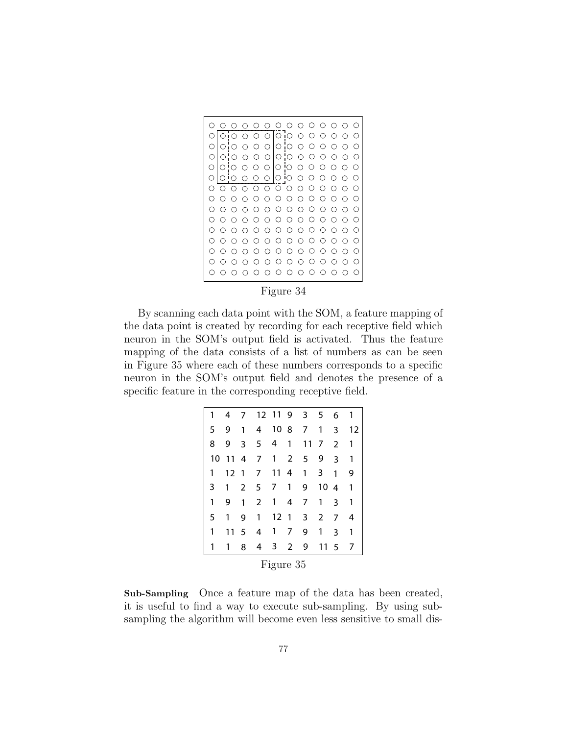|     |   |     |     |                                                             | Э   | 0                      | ( )              | ( )             | ()  | ົາ  | ( ) | ∩   | ( )        |
|-----|---|-----|-----|-------------------------------------------------------------|-----|------------------------|------------------|-----------------|-----|-----|-----|-----|------------|
| Ω   | ∩ | ∩   | ∩   | ∩                                                           |     | ांं ग                  |                  | ∩               | Ω   | Ω   | Ω.  | ∩   | ()         |
| ∩   | ∩ | ∩   | C   | ∩                                                           | ∩   | IО                     | ∩                | ∩               | ∩   | า   | η.  | ∩   | €.         |
| ∩   | ∩ | ∩   | ∩   | $\left(\begin{smallmatrix} 1 \\ 1 \end{smallmatrix}\right)$ | ∩   | IO.                    | ļ<br>∩           | ∩               | ∩   | .)  | ()  | ( ) | ( )        |
| Ω   | ○ | ∩   | ∩   | ⊖                                                           | ∩   | lo                     | 'О               | ◯               | ◯   | ( ) | ∩   | ∩   | ( )        |
|     |   |     |     |                                                             | О   | $\bigcirc$             | ம                | ∩               | Ω   |     |     | ∩   | ∩          |
| ◯   |   |     | ∩   | $\left( \right)$                                            | ⊖   | ∩                      | ∩                | ⌒               | Ο.  | ົ)  | . ) | ົ ) | ⊖          |
| ( ) |   | ( ) | ∩   | $\left( \right)$                                            | ⊖   | ( )                    | $\left( \right)$ | $\left(\right)$ | ∩   | ⊖   | ∩   | ⊖   | $\bigcirc$ |
|     |   | ⊖   | ∩   | ⊖                                                           | ∩   |                        | ∩                | ( )             | Э   | ີ   | ∩   | ∩   | O          |
| ( ) |   |     | ( ) | ()                                                          | ( ) | ()                     | O                | - )             | ۰)  | ۰,  |     | ۰)  | ()         |
| ∩   |   | ∩   | ⊖   | ∩                                                           | ⊖   | $\scriptstyle\bigcirc$ | $\left( \right)$ | ⊖               | ∩   | ∩   | ∩   | ∩   | ⊖          |
|     |   | ⊖   | ∩   | €                                                           | ⊖   |                        | Ω                | ິ               | ິ)  | ົ ) | 7   | ∩   | ∩          |
|     |   |     | . . | ( )                                                         | ( ) |                        | ( )              | ົ)              | ( ) | ٠,  |     | ົ)  | ( )        |
| ◯   |   | ⊖   | ∩   | $\left( \right)$                                            | ⊖   | $\left(\right)$        | ( )              | ⊖               | ∩   | ∩   | ∩   | ⊖   | ⊖          |
|     |   |     | ∩   | ∩                                                           | ∩   |                        |                  | ∩               | ( ) | ⊖   |     |     |            |

Figure 34

By scanning each data point with the SOM, a feature mapping of the data point is created by recording for each receptive field which neuron in the SOM's output field is activated. Thus the feature mapping of the data consists of a list of numbers as can be seen in Figure 35 where each of these numbers corresponds to a specific neuron in the SOM's output field and denotes the presence of a specific feature in the corresponding receptive field.

| 1         | 4   | 7              |                | 12 11 9         |              | 3            | 5            | 6             | 1  |  |  |
|-----------|-----|----------------|----------------|-----------------|--------------|--------------|--------------|---------------|----|--|--|
| 5         | 9   | 1              | $\overline{4}$ |                 | 1087         |              | 1            | 3             | 12 |  |  |
| 8         | 9   |                | $3 \quad 5$    | 4               | 1            | 11           | 7            | $\mathcal{P}$ | 1  |  |  |
| 10        | -11 | $\overline{4}$ | 7 <sup>7</sup> | $\mathbf{1}$    | $\mathbf{2}$ | 5            | 9            | 3             | 1  |  |  |
| 1         | 12  | $\overline{1}$ | 7              |                 | 11 4         | $\mathbf{1}$ | 3            | 1             | 9  |  |  |
| 3         | 1   | $\mathbf{2}$   | 5              | 7 <sup>7</sup>  | $\mathbf{1}$ | 9            | 104          |               | 1  |  |  |
| 1         | 9   | 1              | $\overline{2}$ | 1               | 4            | 7            | 1            | 3             | 1  |  |  |
| 5         | 1   | 9              | 1              | 12 <sub>1</sub> |              | 3            | $\mathbf{2}$ | 7             | 4  |  |  |
| 1         | 11  | 5              | 4              | $\mathbf{1}$    | 7            | 9            | 1            | 3             | 1  |  |  |
| 1         | 1   | 8              |                | 4 3 2           |              | 9            | 11           | - 5           | 7  |  |  |
| Figure 35 |     |                |                |                 |              |              |              |               |    |  |  |

Sub-Sampling Once a feature map of the data has been created, it is useful to find a way to execute sub-sampling. By using subsampling the algorithm will become even less sensitive to small dis-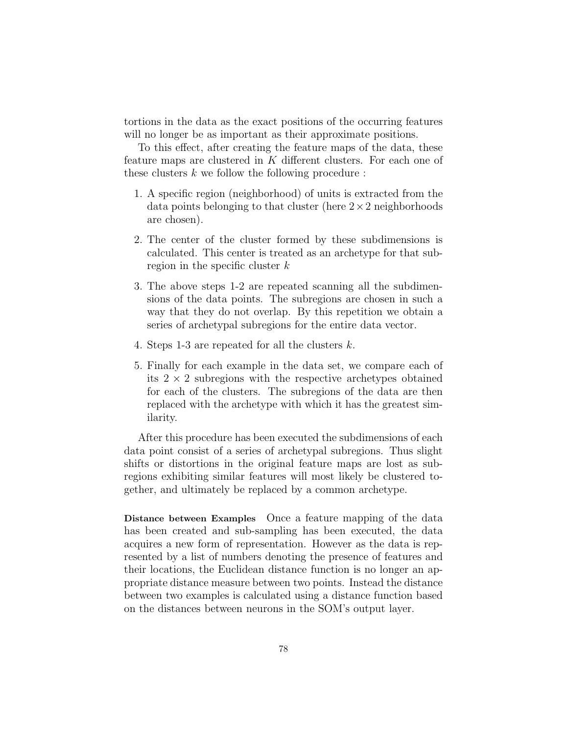tortions in the data as the exact positions of the occurring features will no longer be as important as their approximate positions.

To this effect, after creating the feature maps of the data, these feature maps are clustered in K different clusters. For each one of these clusters  $k$  we follow the following procedure :

- 1. A specific region (neighborhood) of units is extracted from the data points belonging to that cluster (here  $2 \times 2$  neighborhoods) are chosen).
- 2. The center of the cluster formed by these subdimensions is calculated. This center is treated as an archetype for that subregion in the specific cluster  $k$
- 3. The above steps 1-2 are repeated scanning all the subdimensions of the data points. The subregions are chosen in such a way that they do not overlap. By this repetition we obtain a series of archetypal subregions for the entire data vector.
- 4. Steps 1-3 are repeated for all the clusters k.
- 5. Finally for each example in the data set, we compare each of its  $2 \times 2$  subregions with the respective archetypes obtained for each of the clusters. The subregions of the data are then replaced with the archetype with which it has the greatest similarity.

After this procedure has been executed the subdimensions of each data point consist of a series of archetypal subregions. Thus slight shifts or distortions in the original feature maps are lost as subregions exhibiting similar features will most likely be clustered together, and ultimately be replaced by a common archetype.

Distance between Examples Once a feature mapping of the data has been created and sub-sampling has been executed, the data acquires a new form of representation. However as the data is represented by a list of numbers denoting the presence of features and their locations, the Euclidean distance function is no longer an appropriate distance measure between two points. Instead the distance between two examples is calculated using a distance function based on the distances between neurons in the SOM's output layer.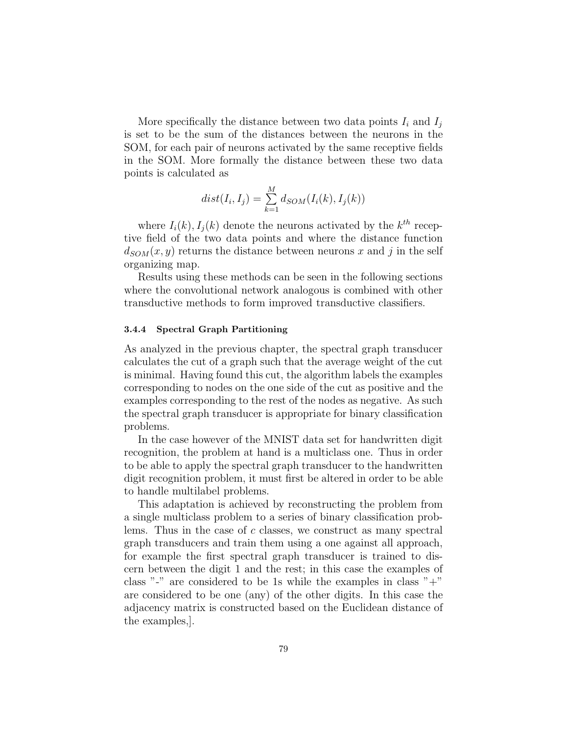More specifically the distance between two data points  $I_i$  and  $I_j$ is set to be the sum of the distances between the neurons in the SOM, for each pair of neurons activated by the same receptive fields in the SOM. More formally the distance between these two data points is calculated as

$$
dist(I_i, I_j) = \sum_{k=1}^{M} d_{SOM}(I_i(k), I_j(k))
$$

where  $I_i(k)$ ,  $I_j(k)$  denote the neurons activated by the  $k^{th}$  receptive field of the two data points and where the distance function  $d_{SOM}(x, y)$  returns the distance between neurons x and j in the self organizing map.

Results using these methods can be seen in the following sections where the convolutional network analogous is combined with other transductive methods to form improved transductive classifiers.

### 3.4.4 Spectral Graph Partitioning

As analyzed in the previous chapter, the spectral graph transducer calculates the cut of a graph such that the average weight of the cut is minimal. Having found this cut, the algorithm labels the examples corresponding to nodes on the one side of the cut as positive and the examples corresponding to the rest of the nodes as negative. As such the spectral graph transducer is appropriate for binary classification problems.

In the case however of the MNIST data set for handwritten digit recognition, the problem at hand is a multiclass one. Thus in order to be able to apply the spectral graph transducer to the handwritten digit recognition problem, it must first be altered in order to be able to handle multilabel problems.

This adaptation is achieved by reconstructing the problem from a single multiclass problem to a series of binary classification problems. Thus in the case of c classes, we construct as many spectral graph transducers and train them using a one against all approach, for example the first spectral graph transducer is trained to discern between the digit 1 and the rest; in this case the examples of class "-" are considered to be 1s while the examples in class " $+$ " are considered to be one (any) of the other digits. In this case the adjacency matrix is constructed based on the Euclidean distance of the examples,].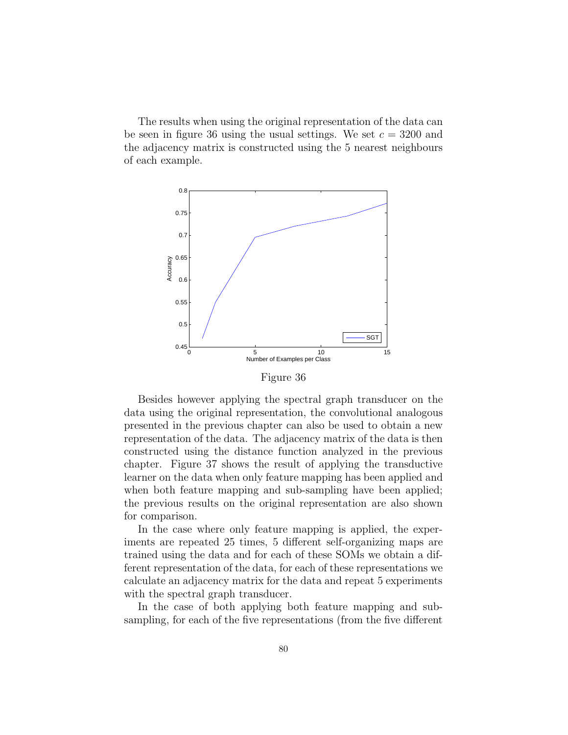The results when using the original representation of the data can be seen in figure 36 using the usual settings. We set  $c = 3200$  and the adjacency matrix is constructed using the 5 nearest neighbours of each example.



Figure 36

Besides however applying the spectral graph transducer on the data using the original representation, the convolutional analogous presented in the previous chapter can also be used to obtain a new representation of the data. The adjacency matrix of the data is then constructed using the distance function analyzed in the previous chapter. Figure 37 shows the result of applying the transductive learner on the data when only feature mapping has been applied and when both feature mapping and sub-sampling have been applied; the previous results on the original representation are also shown for comparison.

In the case where only feature mapping is applied, the experiments are repeated 25 times, 5 different self-organizing maps are trained using the data and for each of these SOMs we obtain a different representation of the data, for each of these representations we calculate an adjacency matrix for the data and repeat 5 experiments with the spectral graph transducer.

In the case of both applying both feature mapping and subsampling, for each of the five representations (from the five different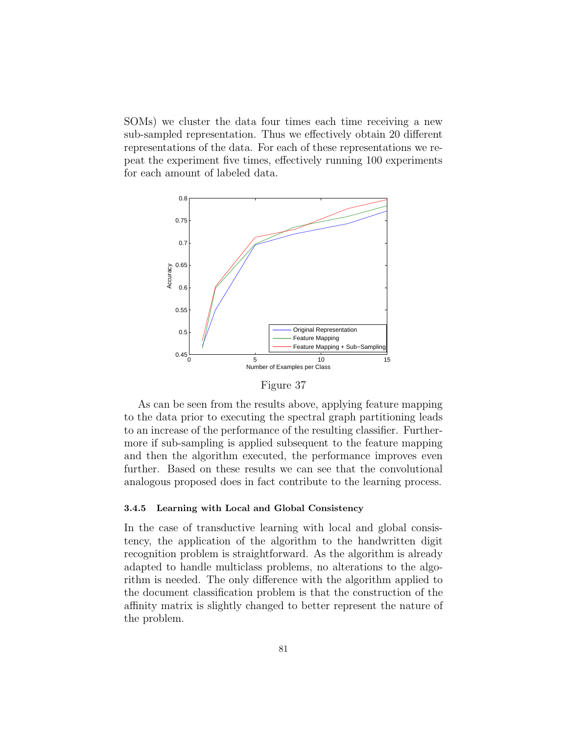SOMs) we cluster the data four times each time receiving a new sub-sampled representation. Thus we effectively obtain 20 different representations of the data. For each of these representations we repeat the experiment five times, effectively running 100 experiments for each amount of labeled data.





As can be seen from the results above, applying feature mapping to the data prior to executing the spectral graph partitioning leads to an increase of the performance of the resulting classifier. Furthermore if sub-sampling is applied subsequent to the feature mapping and then the algorithm executed, the performance improves even further. Based on these results we can see that the convolutional analogous proposed does in fact contribute to the learning process.

### 3.4.5 Learning with Local and Global Consistency

In the case of transductive learning with local and global consistency, the application of the algorithm to the handwritten digit recognition problem is straightforward. As the algorithm is already adapted to handle multiclass problems, no alterations to the algorithm is needed. The only difference with the algorithm applied to the document classification problem is that the construction of the affinity matrix is slightly changed to better represent the nature of the problem.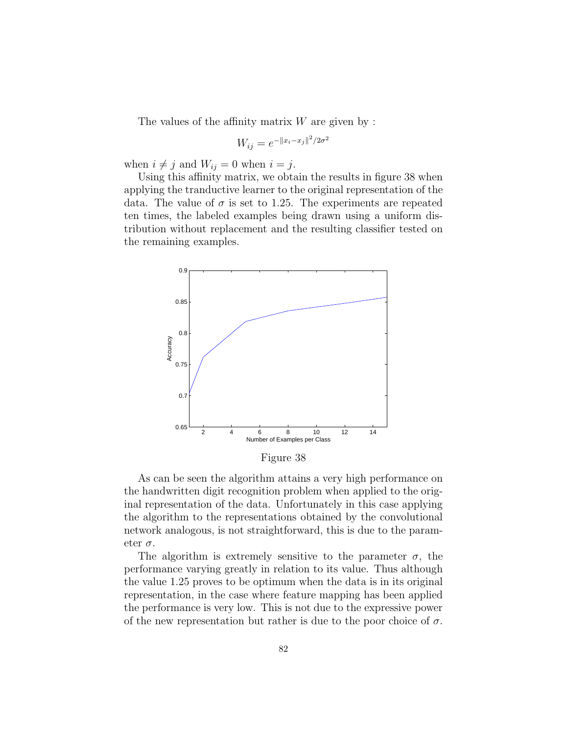The values of the affinity matrix  $W$  are given by :

$$
W_{ij} = e^{-\|x_i - x_j\|^2/2\sigma^2}
$$

when  $i \neq j$  and  $W_{ij} = 0$  when  $i = j$ .

Using this affinity matrix, we obtain the results in figure 38 when applying the tranductive learner to the original representation of the data. The value of  $\sigma$  is set to 1.25. The experiments are repeated ten times, the labeled examples being drawn using a uniform distribution without replacement and the resulting classifier tested on the remaining examples.



Figure 38

As can be seen the algorithm attains a very high performance on the handwritten digit recognition problem when applied to the original representation of the data. Unfortunately in this case applying the algorithm to the representations obtained by the convolutional network analogous, is not straightforward, this is due to the parameter  $\sigma$ .

The algorithm is extremely sensitive to the parameter  $\sigma$ , the performance varying greatly in relation to its value. Thus although the value 1.25 proves to be optimum when the data is in its original representation, in the case where feature mapping has been applied the performance is very low. This is not due to the expressive power of the new representation but rather is due to the poor choice of  $\sigma$ .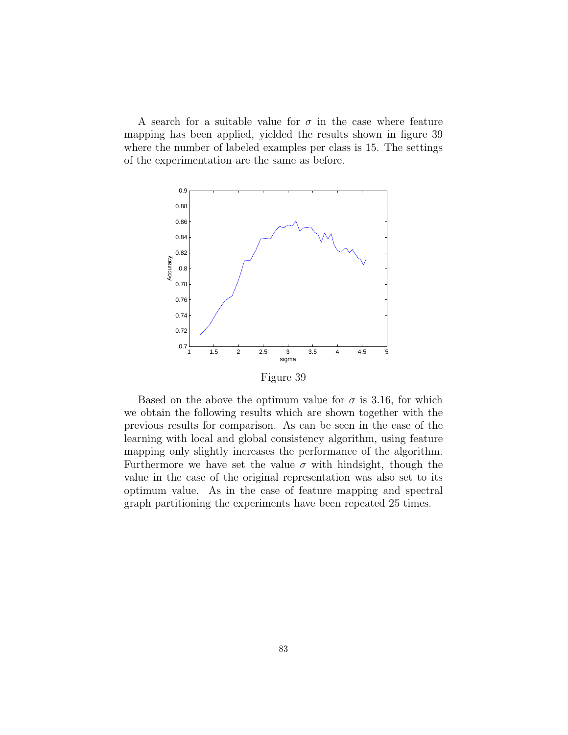A search for a suitable value for  $\sigma$  in the case where feature mapping has been applied, yielded the results shown in figure 39 where the number of labeled examples per class is 15. The settings of the experimentation are the same as before.



Based on the above the optimum value for  $\sigma$  is 3.16, for which we obtain the following results which are shown together with the previous results for comparison. As can be seen in the case of the learning with local and global consistency algorithm, using feature mapping only slightly increases the performance of the algorithm. Furthermore we have set the value  $\sigma$  with hindsight, though the value in the case of the original representation was also set to its optimum value. As in the case of feature mapping and spectral graph partitioning the experiments have been repeated 25 times.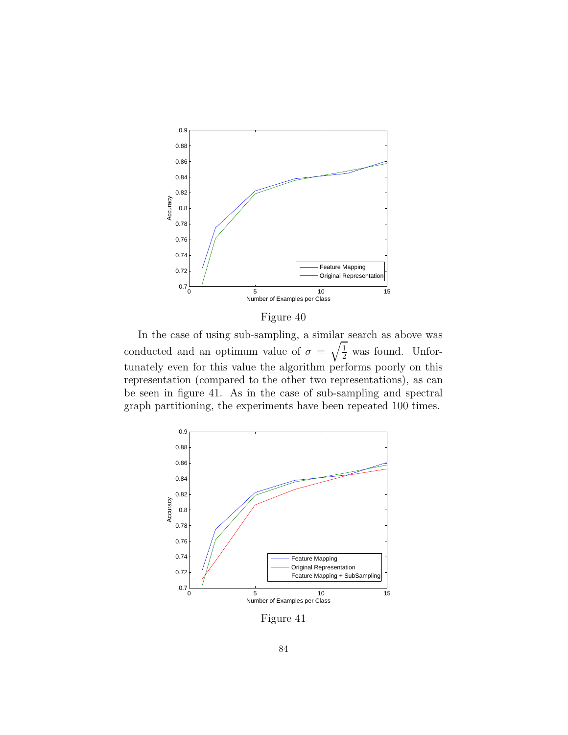

Figure 40

In the case of using sub-sampling, a similar search as above was conducted and an optimum value of  $\sigma = \sqrt{\frac{1}{2}}$  was found. Unfortunately even for this value the algorithm performs poorly on this representation (compared to the other two representations), as can be seen in figure 41. As in the case of sub-sampling and spectral graph partitioning, the experiments have been repeated 100 times.



Figure 41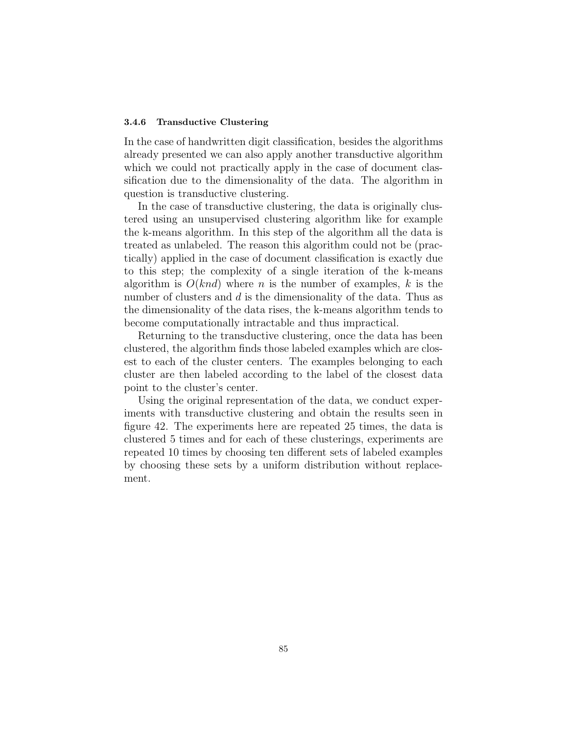### 3.4.6 Transductive Clustering

In the case of handwritten digit classification, besides the algorithms already presented we can also apply another transductive algorithm which we could not practically apply in the case of document classification due to the dimensionality of the data. The algorithm in question is transductive clustering.

In the case of transductive clustering, the data is originally clustered using an unsupervised clustering algorithm like for example the k-means algorithm. In this step of the algorithm all the data is treated as unlabeled. The reason this algorithm could not be (practically) applied in the case of document classification is exactly due to this step; the complexity of a single iteration of the k-means algorithm is  $O(knd)$  where n is the number of examples, k is the number of clusters and d is the dimensionality of the data. Thus as the dimensionality of the data rises, the k-means algorithm tends to become computationally intractable and thus impractical.

Returning to the transductive clustering, once the data has been clustered, the algorithm finds those labeled examples which are closest to each of the cluster centers. The examples belonging to each cluster are then labeled according to the label of the closest data point to the cluster's center.

Using the original representation of the data, we conduct experiments with transductive clustering and obtain the results seen in figure 42. The experiments here are repeated 25 times, the data is clustered 5 times and for each of these clusterings, experiments are repeated 10 times by choosing ten different sets of labeled examples by choosing these sets by a uniform distribution without replacement.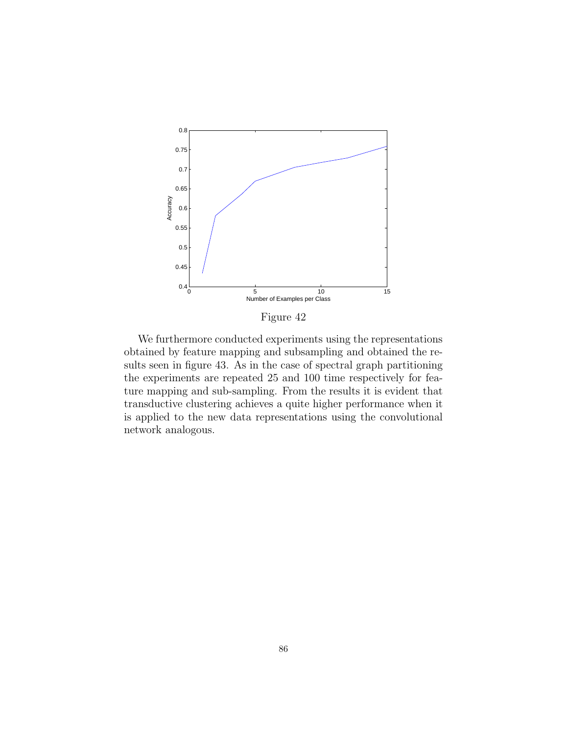

Figure 42

We furthermore conducted experiments using the representations obtained by feature mapping and subsampling and obtained the results seen in figure 43. As in the case of spectral graph partitioning the experiments are repeated 25 and 100 time respectively for feature mapping and sub-sampling. From the results it is evident that transductive clustering achieves a quite higher performance when it is applied to the new data representations using the convolutional network analogous.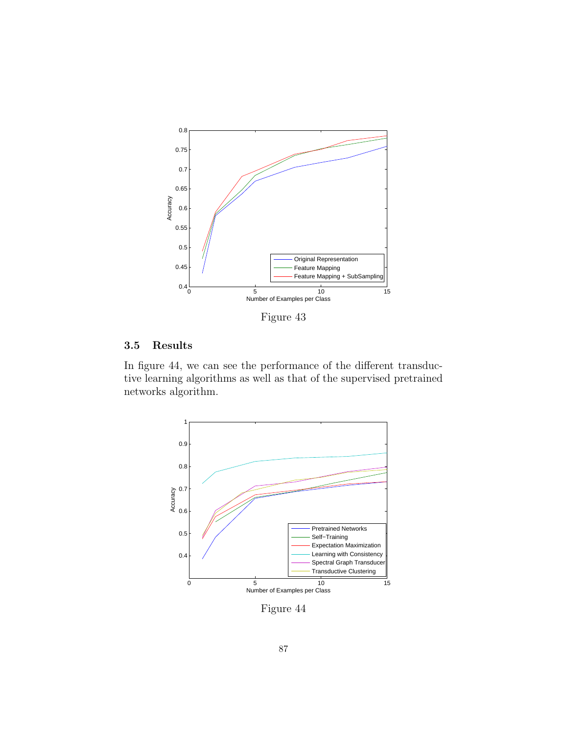

Figure 43

### 3.5 Results

In figure 44, we can see the performance of the different transductive learning algorithms as well as that of the supervised pretrained networks algorithm.



Figure 44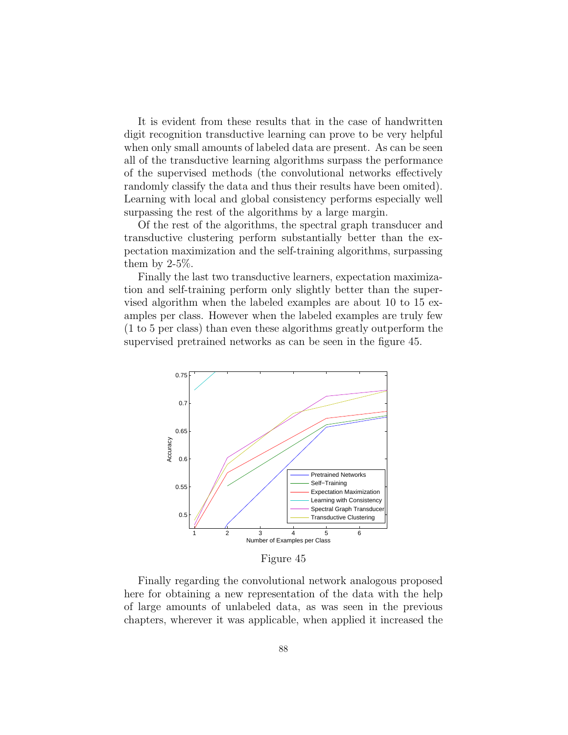It is evident from these results that in the case of handwritten digit recognition transductive learning can prove to be very helpful when only small amounts of labeled data are present. As can be seen all of the transductive learning algorithms surpass the performance of the supervised methods (the convolutional networks effectively randomly classify the data and thus their results have been omited). Learning with local and global consistency performs especially well surpassing the rest of the algorithms by a large margin.

Of the rest of the algorithms, the spectral graph transducer and transductive clustering perform substantially better than the expectation maximization and the self-training algorithms, surpassing them by  $2-5\%$ .

Finally the last two transductive learners, expectation maximization and self-training perform only slightly better than the supervised algorithm when the labeled examples are about 10 to 15 examples per class. However when the labeled examples are truly few (1 to 5 per class) than even these algorithms greatly outperform the supervised pretrained networks as can be seen in the figure 45.



Figure 45

Finally regarding the convolutional network analogous proposed here for obtaining a new representation of the data with the help of large amounts of unlabeled data, as was seen in the previous chapters, wherever it was applicable, when applied it increased the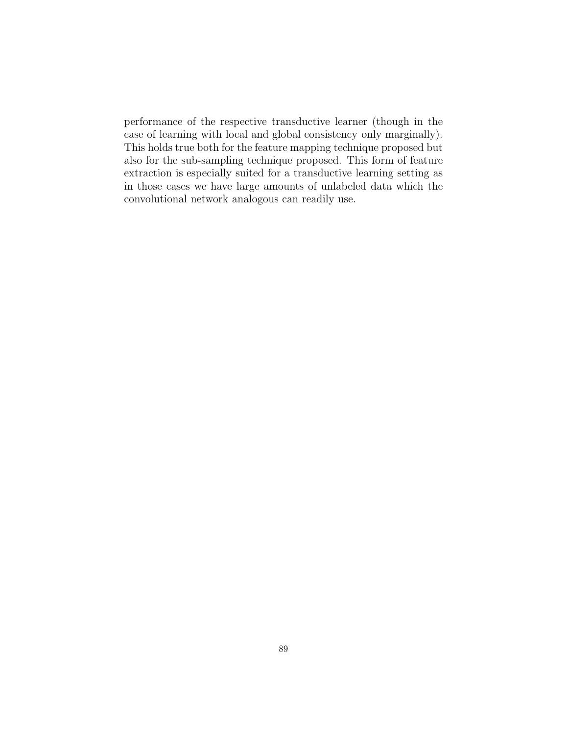performance of the respective transductive learner (though in the case of learning with local and global consistency only marginally). This holds true both for the feature mapping technique proposed but also for the sub-sampling technique proposed. This form of feature extraction is especially suited for a transductive learning setting as in those cases we have large amounts of unlabeled data which the convolutional network analogous can readily use.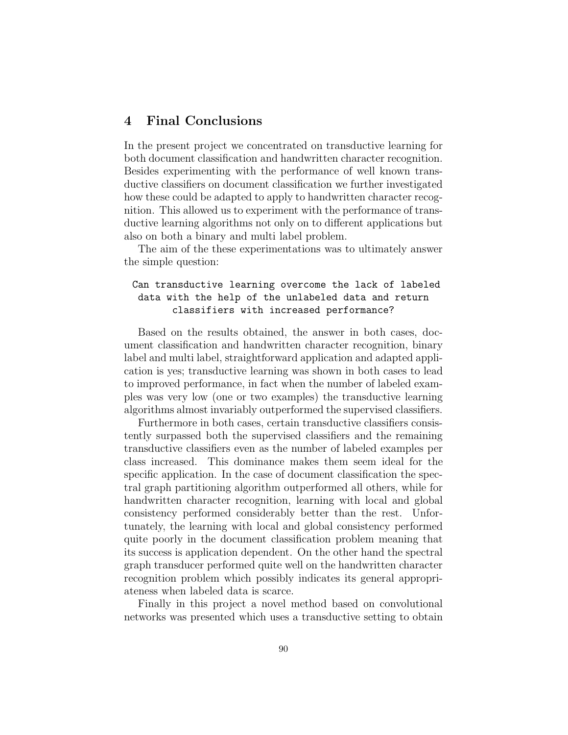# 4 Final Conclusions

In the present project we concentrated on transductive learning for both document classification and handwritten character recognition. Besides experimenting with the performance of well known transductive classifiers on document classification we further investigated how these could be adapted to apply to handwritten character recognition. This allowed us to experiment with the performance of transductive learning algorithms not only on to different applications but also on both a binary and multi label problem.

The aim of the these experimentations was to ultimately answer the simple question:

## Can transductive learning overcome the lack of labeled data with the help of the unlabeled data and return classifiers with increased performance?

Based on the results obtained, the answer in both cases, document classification and handwritten character recognition, binary label and multi label, straightforward application and adapted application is yes; transductive learning was shown in both cases to lead to improved performance, in fact when the number of labeled examples was very low (one or two examples) the transductive learning algorithms almost invariably outperformed the supervised classifiers.

Furthermore in both cases, certain transductive classifiers consistently surpassed both the supervised classifiers and the remaining transductive classifiers even as the number of labeled examples per class increased. This dominance makes them seem ideal for the specific application. In the case of document classification the spectral graph partitioning algorithm outperformed all others, while for handwritten character recognition, learning with local and global consistency performed considerably better than the rest. Unfortunately, the learning with local and global consistency performed quite poorly in the document classification problem meaning that its success is application dependent. On the other hand the spectral graph transducer performed quite well on the handwritten character recognition problem which possibly indicates its general appropriateness when labeled data is scarce.

Finally in this project a novel method based on convolutional networks was presented which uses a transductive setting to obtain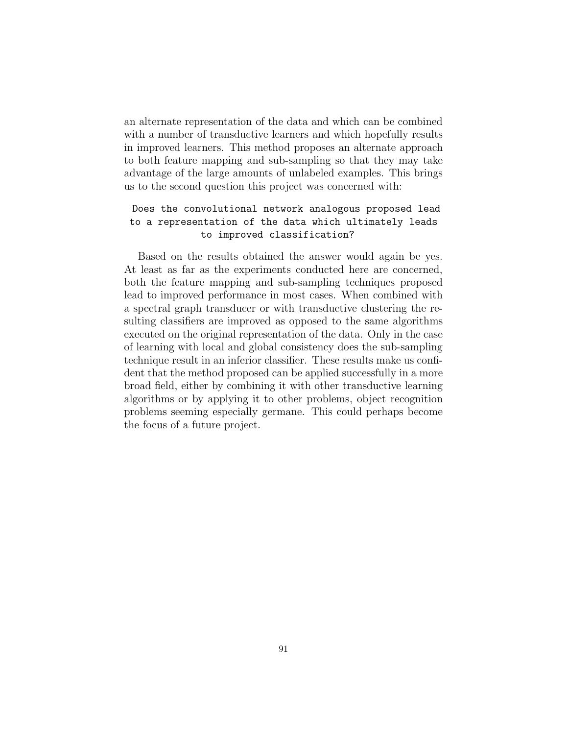an alternate representation of the data and which can be combined with a number of transductive learners and which hopefully results in improved learners. This method proposes an alternate approach to both feature mapping and sub-sampling so that they may take advantage of the large amounts of unlabeled examples. This brings us to the second question this project was concerned with:

# Does the convolutional network analogous proposed lead to a representation of the data which ultimately leads to improved classification?

Based on the results obtained the answer would again be yes. At least as far as the experiments conducted here are concerned, both the feature mapping and sub-sampling techniques proposed lead to improved performance in most cases. When combined with a spectral graph transducer or with transductive clustering the resulting classifiers are improved as opposed to the same algorithms executed on the original representation of the data. Only in the case of learning with local and global consistency does the sub-sampling technique result in an inferior classifier. These results make us confident that the method proposed can be applied successfully in a more broad field, either by combining it with other transductive learning algorithms or by applying it to other problems, object recognition problems seeming especially germane. This could perhaps become the focus of a future project.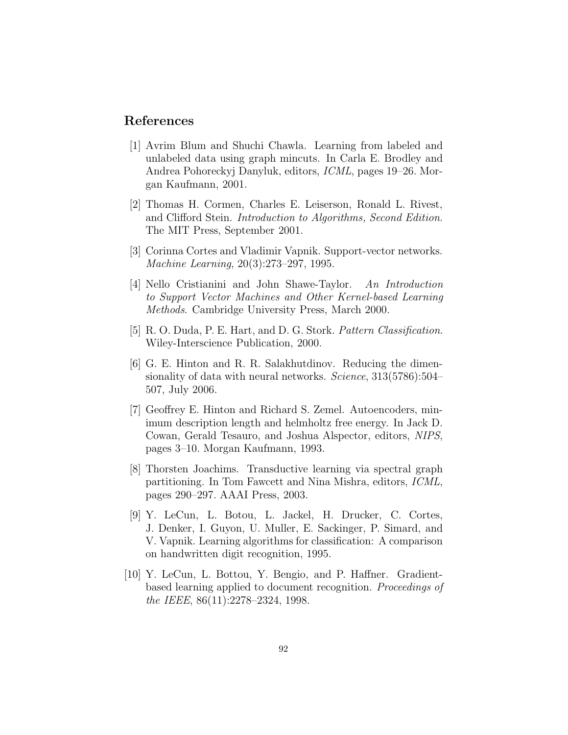## References

- [1] Avrim Blum and Shuchi Chawla. Learning from labeled and unlabeled data using graph mincuts. In Carla E. Brodley and Andrea Pohoreckyj Danyluk, editors, ICML, pages 19–26. Morgan Kaufmann, 2001.
- [2] Thomas H. Cormen, Charles E. Leiserson, Ronald L. Rivest, and Clifford Stein. Introduction to Algorithms, Second Edition. The MIT Press, September 2001.
- [3] Corinna Cortes and Vladimir Vapnik. Support-vector networks. Machine Learning, 20(3):273–297, 1995.
- [4] Nello Cristianini and John Shawe-Taylor. An Introduction to Support Vector Machines and Other Kernel-based Learning Methods. Cambridge University Press, March 2000.
- [5] R. O. Duda, P. E. Hart, and D. G. Stork. Pattern Classification. Wiley-Interscience Publication, 2000.
- [6] G. E. Hinton and R. R. Salakhutdinov. Reducing the dimensionality of data with neural networks. Science, 313(5786):504– 507, July 2006.
- [7] Geoffrey E. Hinton and Richard S. Zemel. Autoencoders, minimum description length and helmholtz free energy. In Jack D. Cowan, Gerald Tesauro, and Joshua Alspector, editors, NIPS, pages 3–10. Morgan Kaufmann, 1993.
- [8] Thorsten Joachims. Transductive learning via spectral graph partitioning. In Tom Fawcett and Nina Mishra, editors, ICML, pages 290–297. AAAI Press, 2003.
- [9] Y. LeCun, L. Botou, L. Jackel, H. Drucker, C. Cortes, J. Denker, I. Guyon, U. Muller, E. Sackinger, P. Simard, and V. Vapnik. Learning algorithms for classification: A comparison on handwritten digit recognition, 1995.
- [10] Y. LeCun, L. Bottou, Y. Bengio, and P. Haffner. Gradientbased learning applied to document recognition. Proceedings of the IEEE, 86(11):2278–2324, 1998.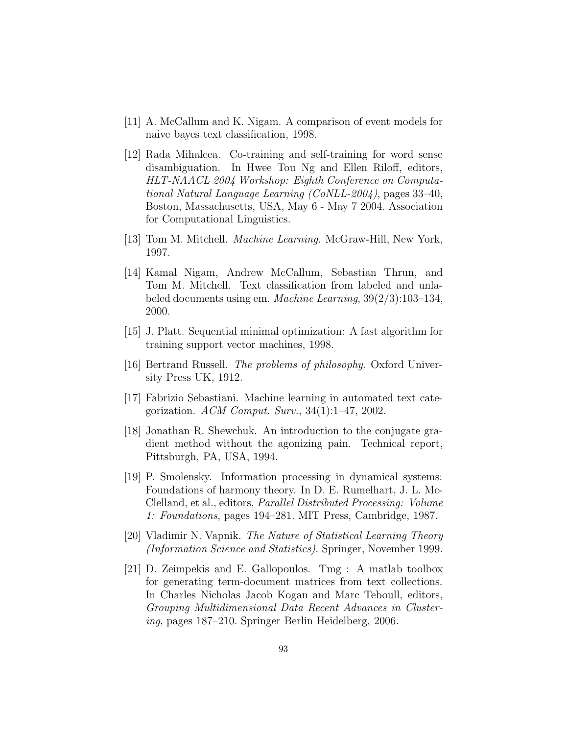- [11] A. McCallum and K. Nigam. A comparison of event models for naive bayes text classification, 1998.
- [12] Rada Mihalcea. Co-training and self-training for word sense disambiguation. In Hwee Tou Ng and Ellen Riloff, editors, HLT-NAACL 2004 Workshop: Eighth Conference on Computational Natural Language Learning (CoNLL-2004), pages 33–40, Boston, Massachusetts, USA, May 6 - May 7 2004. Association for Computational Linguistics.
- [13] Tom M. Mitchell. *Machine Learning*. McGraw-Hill, New York, 1997.
- [14] Kamal Nigam, Andrew McCallum, Sebastian Thrun, and Tom M. Mitchell. Text classification from labeled and unlabeled documents using em. Machine Learning, 39(2/3):103–134, 2000.
- [15] J. Platt. Sequential minimal optimization: A fast algorithm for training support vector machines, 1998.
- [16] Bertrand Russell. *The problems of philosophy*. Oxford University Press UK, 1912.
- [17] Fabrizio Sebastiani. Machine learning in automated text categorization. ACM Comput. Surv.,  $34(1):1-47$ , 2002.
- [18] Jonathan R. Shewchuk. An introduction to the conjugate gradient method without the agonizing pain. Technical report, Pittsburgh, PA, USA, 1994.
- [19] P. Smolensky. Information processing in dynamical systems: Foundations of harmony theory. In D. E. Rumelhart, J. L. Mc-Clelland, et al., editors, Parallel Distributed Processing: Volume 1: Foundations, pages 194–281. MIT Press, Cambridge, 1987.
- [20] Vladimir N. Vapnik. The Nature of Statistical Learning Theory (Information Science and Statistics). Springer, November 1999.
- [21] D. Zeimpekis and E. Gallopoulos. Tmg : A matlab toolbox for generating term-document matrices from text collections. In Charles Nicholas Jacob Kogan and Marc Teboull, editors, Grouping Multidimensional Data Recent Advances in Clustering, pages 187–210. Springer Berlin Heidelberg, 2006.